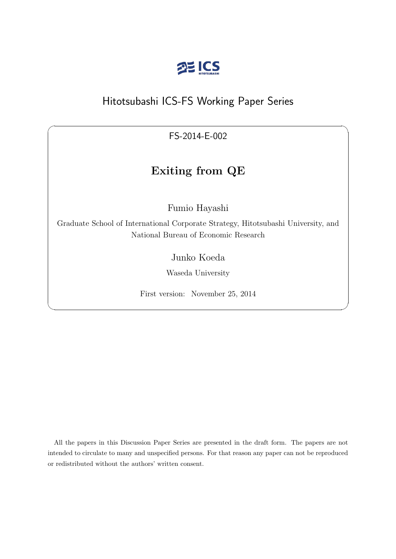

# Hitotsubashi ICS-FS Working Paper Series

FS-2014-E-002

 $\sqrt{2\pi}$ 

# **Exiting from QE**

Fumio Hayashi

Graduate School of International Corporate Strategy, Hitotsubashi University, and National Bureau of Economic Research

Junko Koeda

Waseda University

First version: November 25, 2014

✒ ✑

All the papers in this Discussion Paper Series are presented in the draft form. The papers are not intended to circulate to many and unspecified persons. For that reason any paper can not be reproduced or redistributed without the authors' written consent.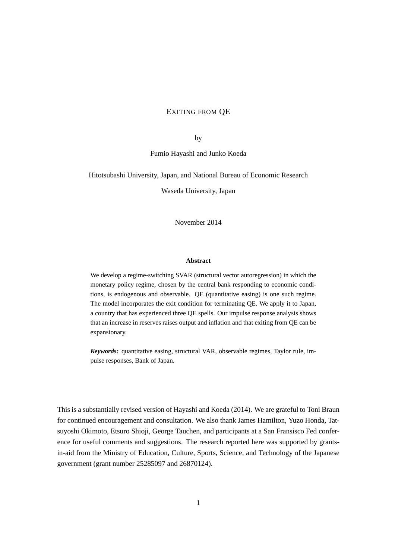# EXITING FROM QE

by

Fumio Hayashi and Junko Koeda

Hitotsubashi University, Japan, and National Bureau of Economic Research

Waseda University, Japan

November 2014

#### **Abstract**

We develop a regime-switching SVAR (structural vector autoregression) in which the monetary policy regime, chosen by the central bank responding to economic conditions, is endogenous and observable. QE (quantitative easing) is one such regime. The model incorporates the exit condition for terminating QE. We apply it to Japan, a country that has experienced three QE spells. Our impulse response analysis shows that an increase in reserves raises output and inflation and that exiting from QE can be expansionary.

*Keywords:* quantitative easing, structural VAR, observable regimes, Taylor rule, impulse responses, Bank of Japan.

This is a substantially revised version of Hayashi and Koeda (2014). We are grateful to Toni Braun for continued encouragement and consultation. We also thank James Hamilton, Yuzo Honda, Tatsuyoshi Okimoto, Etsuro Shioji, George Tauchen, and participants at a San Fransisco Fed conference for useful comments and suggestions. The research reported here was supported by grantsin-aid from the Ministry of Education, Culture, Sports, Science, and Technology of the Japanese government (grant number 25285097 and 26870124).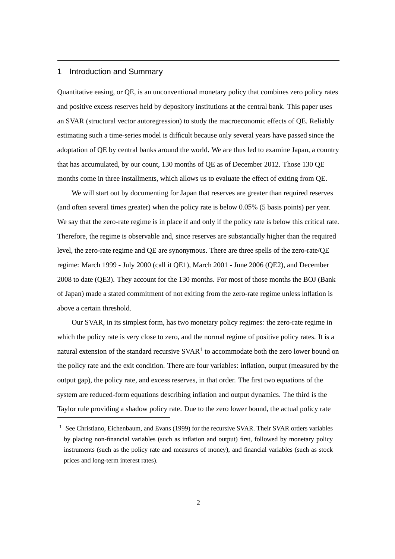# 1 Introduction and Summary

Quantitative easing, or QE, is an unconventional monetary policy that combines zero policy rates and positive excess reserves held by depository institutions at the central bank. This paper uses an SVAR (structural vector autoregression) to study the macroeconomic effects of QE. Reliably estimating such a time-series model is difficult because only several years have passed since the adoptation of QE by central banks around the world. We are thus led to examine Japan, a country that has accumulated, by our count, 130 months of QE as of December 2012. Those 130 QE months come in three installments, which allows us to evaluate the effect of exiting from QE.

We will start out by documenting for Japan that reserves are greater than required reserves (and often several times greater) when the policy rate is below 0.05% (5 basis points) per year. We say that the zero-rate regime is in place if and only if the policy rate is below this critical rate. Therefore, the regime is observable and, since reserves are substantially higher than the required level, the zero-rate regime and QE are synonymous. There are three spells of the zero-rate/QE regime: March 1999 - July 2000 (call it QE1), March 2001 - June 2006 (QE2), and December 2008 to date (QE3). They account for the 130 months. For most of those months the BOJ (Bank of Japan) made a stated commitment of not exiting from the zero-rate regime unless inflation is above a certain threshold.

Our SVAR, in its simplest form, has two monetary policy regimes: the zero-rate regime in which the policy rate is very close to zero, and the normal regime of positive policy rates. It is a natural extension of the standard recursive  $SVAR<sup>1</sup>$  to accommodate both the zero lower bound on the policy rate and the exit condition. There are four variables: inflation, output (measured by the output gap), the policy rate, and excess reserves, in that order. The first two equations of the system are reduced-form equations describing inflation and output dynamics. The third is the Taylor rule providing a shadow policy rate. Due to the zero lower bound, the actual policy rate

<sup>&</sup>lt;sup>1</sup> See Christiano, Eichenbaum, and Evans (1999) for the recursive SVAR. Their SVAR orders variables by placing non-financial variables (such as inflation and output) first, followed by monetary policy instruments (such as the policy rate and measures of money), and financial variables (such as stock prices and long-term interest rates).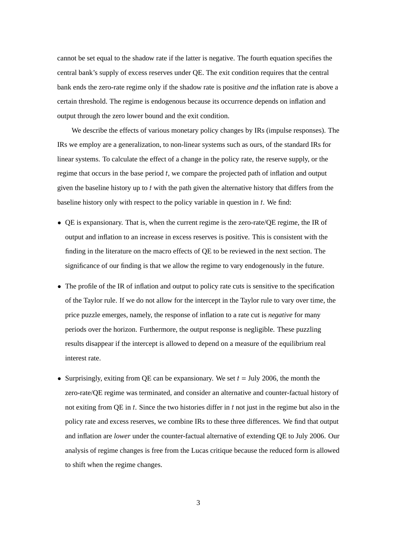cannot be set equal to the shadow rate if the latter is negative. The fourth equation specifies the central bank's supply of excess reserves under QE. The exit condition requires that the central bank ends the zero-rate regime only if the shadow rate is positive *and* the inflation rate is above a certain threshold. The regime is endogenous because its occurrence depends on inflation and output through the zero lower bound and the exit condition.

We describe the effects of various monetary policy changes by IRs (impulse responses). The IRs we employ are a generalization, to non-linear systems such as ours, of the standard IRs for linear systems. To calculate the effect of a change in the policy rate, the reserve supply, or the regime that occurs in the base period *t*, we compare the projected path of inflation and output given the baseline history up to *t* with the path given the alternative history that differs from the baseline history only with respect to the policy variable in question in *t*. We find:

- *•* QE is expansionary. That is, when the current regime is the zero-rate/QE regime, the IR of output and inflation to an increase in excess reserves is positive. This is consistent with the finding in the literature on the macro effects of QE to be reviewed in the next section. The significance of our finding is that we allow the regime to vary endogenously in the future.
- The profile of the IR of inflation and output to policy rate cuts is sensitive to the specification of the Taylor rule. If we do not allow for the intercept in the Taylor rule to vary over time, the price puzzle emerges, namely, the response of inflation to a rate cut is *negative* for many periods over the horizon. Furthermore, the output response is negligible. These puzzling results disappear if the intercept is allowed to depend on a measure of the equilibrium real interest rate.
- *•* Surprisingly, exiting from QE can be expansionary. We set *t* = July 2006, the month the zero-rate/QE regime was terminated, and consider an alternative and counter-factual history of not exiting from QE in *t*. Since the two histories differ in *t* not just in the regime but also in the policy rate and excess reserves, we combine IRs to these three differences. We find that output and inflation are *lower* under the counter-factual alternative of extending QE to July 2006. Our analysis of regime changes is free from the Lucas critique because the reduced form is allowed to shift when the regime changes.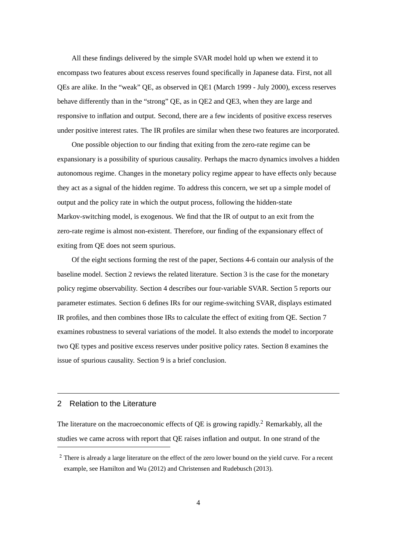All these findings delivered by the simple SVAR model hold up when we extend it to encompass two features about excess reserves found specifically in Japanese data. First, not all QEs are alike. In the "weak" QE, as observed in QE1 (March 1999 - July 2000), excess reserves behave differently than in the "strong" QE, as in QE2 and QE3, when they are large and responsive to inflation and output. Second, there are a few incidents of positive excess reserves under positive interest rates. The IR profiles are similar when these two features are incorporated.

One possible objection to our finding that exiting from the zero-rate regime can be expansionary is a possibility of spurious causality. Perhaps the macro dynamics involves a hidden autonomous regime. Changes in the monetary policy regime appear to have effects only because they act as a signal of the hidden regime. To address this concern, we set up a simple model of output and the policy rate in which the output process, following the hidden-state Markov-switching model, is exogenous. We find that the IR of output to an exit from the zero-rate regime is almost non-existent. Therefore, our finding of the expansionary effect of exiting from QE does not seem spurious.

Of the eight sections forming the rest of the paper, Sections 4-6 contain our analysis of the baseline model. Section 2 reviews the related literature. Section 3 is the case for the monetary policy regime observability. Section 4 describes our four-variable SVAR. Section 5 reports our parameter estimates. Section 6 defines IRs for our regime-switching SVAR, displays estimated IR profiles, and then combines those IRs to calculate the effect of exiting from QE. Section 7 examines robustness to several variations of the model. It also extends the model to incorporate two QE types and positive excess reserves under positive policy rates. Section 8 examines the issue of spurious causality. Section 9 is a brief conclusion.

# 2 Relation to the Literature

The literature on the macroeconomic effects of QE is growing rapidly.<sup>2</sup> Remarkably, all the studies we came across with report that QE raises inflation and output. In one strand of the

<sup>&</sup>lt;sup>2</sup> There is already a large literature on the effect of the zero lower bound on the yield curve. For a recent example, see Hamilton and Wu (2012) and Christensen and Rudebusch (2013).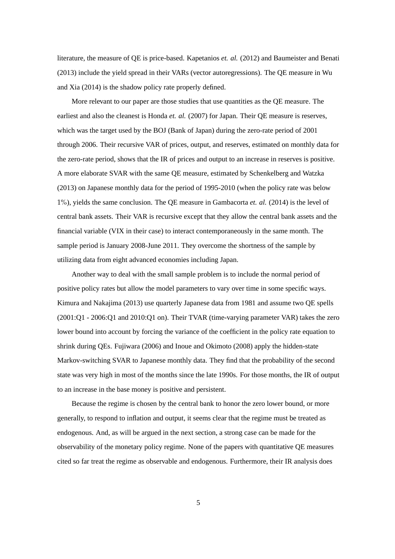literature, the measure of QE is price-based. Kapetanios *et. al.* (2012) and Baumeister and Benati (2013) include the yield spread in their VARs (vector autoregressions). The QE measure in Wu and Xia (2014) is the shadow policy rate properly defined.

More relevant to our paper are those studies that use quantities as the QE measure. The earliest and also the cleanest is Honda *et. al.* (2007) for Japan. Their QE measure is reserves, which was the target used by the BOJ (Bank of Japan) during the zero-rate period of 2001 through 2006. Their recursive VAR of prices, output, and reserves, estimated on monthly data for the zero-rate period, shows that the IR of prices and output to an increase in reserves is positive. A more elaborate SVAR with the same QE measure, estimated by Schenkelberg and Watzka (2013) on Japanese monthly data for the period of 1995-2010 (when the policy rate was below 1%), yields the same conclusion. The QE measure in Gambacorta *et. al.* (2014) is the level of central bank assets. Their VAR is recursive except that they allow the central bank assets and the financial variable (VIX in their case) to interact contemporaneously in the same month. The sample period is January 2008-June 2011. They overcome the shortness of the sample by utilizing data from eight advanced economies including Japan.

Another way to deal with the small sample problem is to include the normal period of positive policy rates but allow the model parameters to vary over time in some specific ways. Kimura and Nakajima (2013) use quarterly Japanese data from 1981 and assume two QE spells (2001:Q1 - 2006:Q1 and 2010:Q1 on). Their TVAR (time-varying parameter VAR) takes the zero lower bound into account by forcing the variance of the coefficient in the policy rate equation to shrink during QEs. Fujiwara (2006) and Inoue and Okimoto (2008) apply the hidden-state Markov-switching SVAR to Japanese monthly data. They find that the probability of the second state was very high in most of the months since the late 1990s. For those months, the IR of output to an increase in the base money is positive and persistent.

Because the regime is chosen by the central bank to honor the zero lower bound, or more generally, to respond to inflation and output, it seems clear that the regime must be treated as endogenous. And, as will be argued in the next section, a strong case can be made for the observability of the monetary policy regime. None of the papers with quantitative QE measures cited so far treat the regime as observable and endogenous. Furthermore, their IR analysis does

5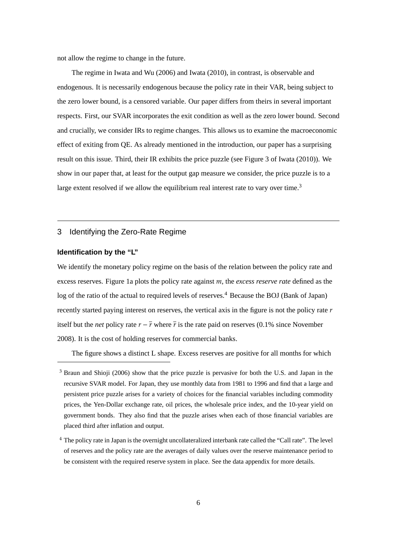not allow the regime to change in the future.

The regime in Iwata and Wu (2006) and Iwata (2010), in contrast, is observable and endogenous. It is necessarily endogenous because the policy rate in their VAR, being subject to the zero lower bound, is a censored variable. Our paper differs from theirs in several important respects. First, our SVAR incorporates the exit condition as well as the zero lower bound. Second and crucially, we consider IRs to regime changes. This allows us to examine the macroeconomic effect of exiting from QE. As already mentioned in the introduction, our paper has a surprising result on this issue. Third, their IR exhibits the price puzzle (see Figure 3 of Iwata (2010)). We show in our paper that, at least for the output gap measure we consider, the price puzzle is to a large extent resolved if we allow the equilibrium real interest rate to vary over time.<sup>3</sup>

# 3 Identifying the Zero-Rate Regime

## **Identification by the "L"**

We identify the monetary policy regime on the basis of the relation between the policy rate and excess reserves. Figure 1a plots the policy rate against *m*, the *excess reserve rate* defined as the log of the ratio of the actual to required levels of reserves.<sup>4</sup> Because the BOJ (Bank of Japan) recently started paying interest on reserves, the vertical axis in the figure is not the policy rate *r* itself but the *net* policy rate  $r - \bar{r}$  where  $\bar{r}$  is the rate paid on reserves (0.1% since November 2008). It is the cost of holding reserves for commercial banks.

The figure shows a distinct L shape. Excess reserves are positive for all months for which

<sup>&</sup>lt;sup>3</sup> Braun and Shioji (2006) show that the price puzzle is pervasive for both the U.S. and Japan in the recursive SVAR model. For Japan, they use monthly data from 1981 to 1996 and find that a large and persistent price puzzle arises for a variety of choices for the financial variables including commodity prices, the Yen-Dollar exchange rate, oil prices, the wholesale price index, and the 10-year yield on government bonds. They also find that the puzzle arises when each of those financial variables are placed third after inflation and output.

<sup>4</sup> The policy rate in Japan is the overnight uncollateralized interbank rate called the "Call rate". The level of reserves and the policy rate are the averages of daily values over the reserve maintenance period to be consistent with the required reserve system in place. See the data appendix for more details.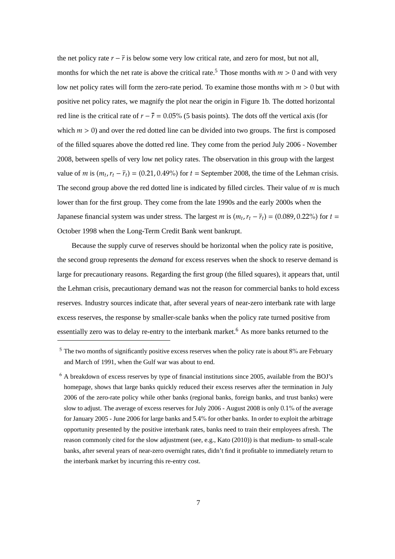the net policy rate  $r - \overline{r}$  is below some very low critical rate, and zero for most, but not all, months for which the net rate is above the critical rate.<sup>5</sup> Those months with  $m > 0$  and with very low net policy rates will form the zero-rate period. To examine those months with *m* > 0 but with positive net policy rates, we magnify the plot near the origin in Figure 1b. The dotted horizontal red line is the critical rate of  $r - \bar{r} = 0.05\%$  (5 basis points). The dots off the vertical axis (for which  $m > 0$ ) and over the red dotted line can be divided into two groups. The first is composed of the filled squares above the dotted red line. They come from the period July 2006 - November 2008, between spells of very low net policy rates. The observation in this group with the largest value of *m* is  $(m_t, r_t - \overline{r}_t) = (0.21, 0.49\%)$  for  $t =$  September 2008, the time of the Lehman crisis. The second group above the red dotted line is indicated by filled circles. Their value of *m* is much lower than for the first group. They come from the late 1990s and the early 2000s when the Japanese financial system was under stress. The largest *m* is  $(m_t, r_t - \bar{r}_t) = (0.089, 0.22\%)$  for  $t =$ October 1998 when the Long-Term Credit Bank went bankrupt.

Because the supply curve of reserves should be horizontal when the policy rate is positive, the second group represents the *demand* for excess reserves when the shock to reserve demand is large for precautionary reasons. Regarding the first group (the filled squares), it appears that, until the Lehman crisis, precautionary demand was not the reason for commercial banks to hold excess reserves. Industry sources indicate that, after several years of near-zero interbank rate with large excess reserves, the response by smaller-scale banks when the policy rate turned positive from essentially zero was to delay re-entry to the interbank market.<sup>6</sup> As more banks returned to the

<sup>&</sup>lt;sup>5</sup> The two months of significantly positive excess reserves when the policy rate is about 8% are February and March of 1991, when the Gulf war was about to end.

 $6$  A breakdown of excess reserves by type of financial institutions since 2005, available from the BOJ's homepage, shows that large banks quickly reduced their excess reserves after the termination in July 2006 of the zero-rate policy while other banks (regional banks, foreign banks, and trust banks) were slow to adjust. The average of excess reserves for July 2006 - August 2008 is only 0.1% of the average for January 2005 - June 2006 for large banks and 5.4% for other banks. In order to exploit the arbitrage opportunity presented by the positive interbank rates, banks need to train their employees afresh. The reason commonly cited for the slow adjustment (see, e.g., Kato (2010)) is that medium- to small-scale banks, after several years of near-zero overnight rates, didn't find it profitable to immediately return to the interbank market by incurring this re-entry cost.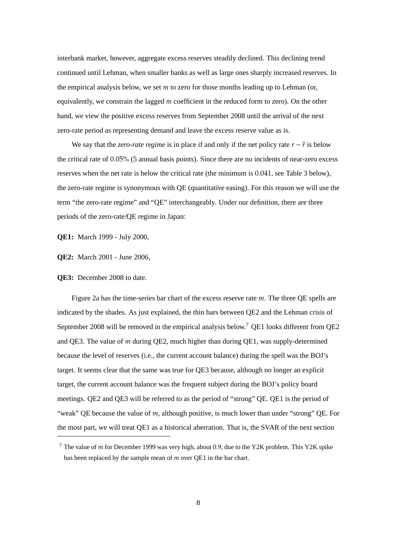interbank market, however, aggregate excess reserves steadily declined. This declining trend continued until Lehman, when smaller banks as well as large ones sharply increased reserves. In the empirical analysis below, we set *m* to zero for those months leading up to Lehman (or, equivalently, we constrain the lagged *m* coefficient in the reduced form to zero). On the other hand, we view the positive excess reserves from September 2008 until the arrival of the next zero-rate period as representing demand and leave the excess reserve value as is.

We say that the *zero-rate regime* is in place if and only if the net policy rate  $r - \overline{r}$  is below the critical rate of 0.05% (5 annual basis points). Since there are no incidents of near-zero excess reserves when the net rate is below the critical rate (the minimum is 0.041, see Table 3 below), the zero-rate regime is synonymous with QE (quantitative easing). For this reason we will use the term "the zero-rate regime" and "QE" interchangeably. Under our definition, there are three periods of the zero-rate/QE regime in Japan:

**QE1:** March 1999 - July 2000,

**QE2:** March 2001 - June 2006,

#### **QE3:** December 2008 to date.

Figure 2a has the time-series bar chart of the excess reserve rate *m*. The three QE spells are indicated by the shades. As just explained, the thin bars between QE2 and the Lehman crisis of September 2008 will be removed in the empirical analysis below.<sup>7</sup> QE1 looks different from QE2 and QE3. The value of *m* during QE2, much higher than during QE1, was supply-determined because the level of reserves (i.e., the current account balance) during the spell was the BOJ's target. It seems clear that the same was true for QE3 because, although no longer an explicit target, the current account balance was the frequent subject during the BOJ's policy board meetings. QE2 and QE3 will be referred to as the period of "strong" QE. QE1 is the period of "weak" QE because the value of *m*, although positive, is much lower than under "strong" QE. For the most part, we will treat QE1 as a historical aberration. That is, the SVAR of the next section

<sup>7</sup> The value of *m* for December 1999 was very high, about 0.9, due to the Y2K problem. This Y2K spike has been replaced by the sample mean of *m* over QE1 in the bar chart.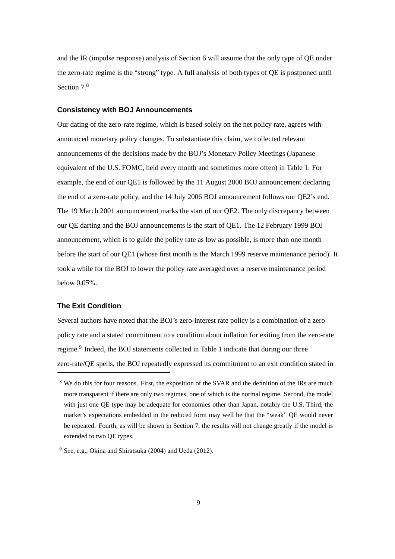and the IR (impulse response) analysis of Section 6 will assume that the only type of QE under the zero-rate regime is the "strong" type. A full analysis of both types of QE is postponed until Section  $7<sup>8</sup>$ 

#### **Consistency with BOJ Announcements**

Our dating of the zero-rate regime, which is based solely on the net policy rate, agrees with announced monetary policy changes. To substantiate this claim, we collected relevant announcements of the decisions made by the BOJ's Monetary Policy Meetings (Japanese equivalent of the U.S. FOMC, held every month and sometimes more often) in Table 1. For example, the end of our QE1 is followed by the 11 August 2000 BOJ announcement declaring the end of a zero-rate policy, and the 14 July 2006 BOJ announcement follows our QE2's end. The 19 March 2001 announcement marks the start of our QE2. The only discrepancy between our QE darting and the BOJ announcements is the start of QE1. The 12 February 1999 BOJ announcement, which is to guide the policy rate as low as possible, is more than one month before the start of our QE1 (whose first month is the March 1999 reserve maintenance period). It took a while for the BOJ to lower the policy rate averaged over a reserve maintenance period below 0.05%.

# **The Exit Condition**

Several authors have noted that the BOJ's zero-interest rate policy is a combination of a zero policy rate and a stated commitment to a condition about inflation for exiting from the zero-rate regime.<sup>9</sup> Indeed, the BOJ statements collected in Table 1 indicate that during our three zero-rate/QE spells, the BOJ repeatedly expressed its commitment to an exit condition stated in

<sup>&</sup>lt;sup>8</sup> We do this for four reasons. First, the exposition of the SVAR and the definition of the IRs are much more transparent if there are only two regimes, one of which is the normal regime. Second, the model with just one QE type may be adequate for economies other than Japan, notably the U.S. Third, the market's expectations embedded in the reduced form may well be that the "weak" QE would never be repeated. Fourth, as will be shown in Section 7, the results will not change greatly if the model is extended to two QE types.

<sup>9</sup> See, e.g., Okina and Shiratsuka (2004) and Ueda (2012).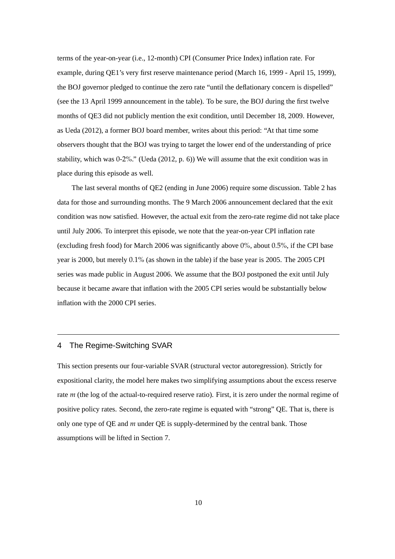terms of the year-on-year (i.e., 12-month) CPI (Consumer Price Index) inflation rate. For example, during QE1's very first reserve maintenance period (March 16, 1999 - April 15, 1999), the BOJ governor pledged to continue the zero rate "until the deflationary concern is dispelled" (see the 13 April 1999 announcement in the table). To be sure, the BOJ during the first twelve months of QE3 did not publicly mention the exit condition, until December 18, 2009. However, as Ueda (2012), a former BOJ board member, writes about this period: "At that time some observers thought that the BOJ was trying to target the lower end of the understanding of price stability, which was 0-2%." (Ueda (2012, p. 6)) We will assume that the exit condition was in place during this episode as well.

The last several months of QE2 (ending in June 2006) require some discussion. Table 2 has data for those and surrounding months. The 9 March 2006 announcement declared that the exit condition was now satisfied. However, the actual exit from the zero-rate regime did not take place until July 2006. To interpret this episode, we note that the year-on-year CPI inflation rate (excluding fresh food) for March 2006 was significantly above  $0\%$ , about 0.5%, if the CPI base year is 2000, but merely 0.1% (as shown in the table) if the base year is 2005. The 2005 CPI series was made public in August 2006. We assume that the BOJ postponed the exit until July because it became aware that inflation with the 2005 CPI series would be substantially below inflation with the 2000 CPI series.

# 4 The Regime-Switching SVAR

This section presents our four-variable SVAR (structural vector autoregression). Strictly for expositional clarity, the model here makes two simplifying assumptions about the excess reserve rate *m* (the log of the actual-to-required reserve ratio). First, it is zero under the normal regime of positive policy rates. Second, the zero-rate regime is equated with "strong" QE. That is, there is only one type of QE and *m* under QE is supply-determined by the central bank. Those assumptions will be lifted in Section 7.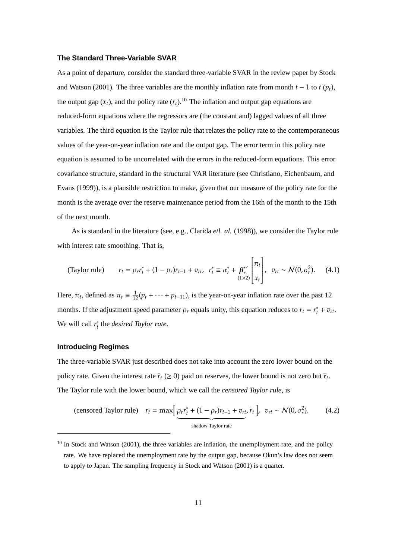#### **The Standard Three-Variable SVAR**

As a point of departure, consider the standard three-variable SVAR in the review paper by Stock and Watson (2001). The three variables are the monthly inflation rate from month  $t - 1$  to  $t (p_t)$ , the output gap  $(x_t)$ , and the policy rate  $(r_t)$ .<sup>10</sup> The inflation and output gap equations are reduced-form equations where the regressors are (the constant and) lagged values of all three variables. The third equation is the Taylor rule that relates the policy rate to the contemporaneous values of the year-on-year inflation rate and the output gap. The error term in this policy rate equation is assumed to be uncorrelated with the errors in the reduced-form equations. This error covariance structure, standard in the structural VAR literature (see Christiano, Eichenbaum, and Evans (1999)), is a plausible restriction to make, given that our measure of the policy rate for the month is the average over the reserve maintenance period from the 16th of the month to the 15th of the next month.

As is standard in the literature (see, e.g., Clarida *etl. al.* (1998)), we consider the Taylor rule with interest rate smoothing. That is,

(Taylor rule) 
$$
r_t = \rho_r r_t^* + (1 - \rho_r) r_{t-1} + v_{rt}, \quad r_t^* \equiv \alpha_r^* + \beta_r^{*'} \begin{bmatrix} \pi_t \\ \pi_t \\ (1 \times 2) \end{bmatrix}, \quad v_{rt} \sim \mathcal{N}(0, \sigma_r^2).
$$
 (4.1)

Here,  $\pi_t$ , defined as  $\pi_t \equiv \frac{1}{12}(p_t + \cdots + p_{t-11})$ , is the year-on-year inflation rate over the past 12 months. If the adjustment speed parameter  $\rho_r$  equals unity, this equation reduces to  $r_t = r_t^*$  $t_t^* + v_{rt}$ . We will call *r* ∗ *t* the *desired Taylor rate*.

# **Introducing Regimes**

The three-variable SVAR just described does not take into account the zero lower bound on the policy rate. Given the interest rate  $\bar{r}_t$  ( $\geq 0$ ) paid on reserves, the lower bound is not zero but  $\bar{r}_t$ . The Taylor rule with the lower bound, which we call the *censored Taylor rule*, is

(censored Taylor rule)  $r_t = \max \left[ \rho_r r_t^* + (1 - \rho_r) r_{t-1} + v_{rt} \right]$ shadow Taylor rate  $\left[\bar{r}_t\right], \ v_{rt} \sim \mathcal{N}(0, \sigma_r^2)$  $(4.2)$ 

 $10$  In Stock and Watson (2001), the three variables are inflation, the unemployment rate, and the policy rate. We have replaced the unemployment rate by the output gap, because Okun's law does not seem to apply to Japan. The sampling frequency in Stock and Watson (2001) is a quarter.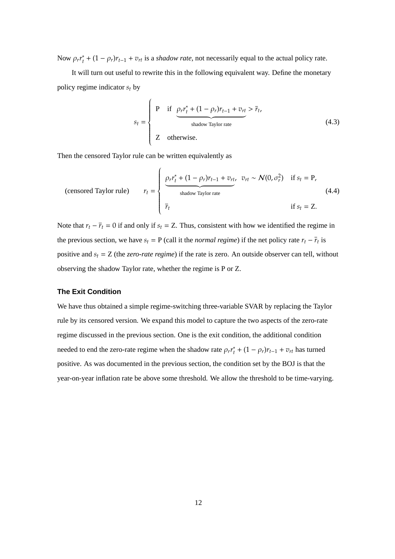Now  $\rho_r r_t^*$  $t_t^*$  +  $(1 - \rho_r)r_{t-1} + v_{rt}$  is a *shadow rate*, not necessarily equal to the actual policy rate.

It will turn out useful to rewrite this in the following equivalent way. Define the monetary policy regime indicator *s<sup>t</sup>* by

$$
s_{t} = \begin{cases} P & \text{if } \underbrace{\rho_{r}r_{t}^{*} + (1 - \rho_{r})r_{t-1} + v_{rt}}_{\text{shadow Taylor rate}} > \overline{r}_{t}, \\ Z & \text{otherwise.} \end{cases}
$$
(4.3)

Then the censored Taylor rule can be written equivalently as

(censored Taylor rule) 
$$
r_{t} = \begin{cases} \frac{\rho_{r} r_{t}^{*} + (1 - \rho_{r}) r_{t-1} + v_{rt}}{\text{shadow Taylor rate}} & \text{if } s_{t} = P, \\ \bar{r}_{t} & \text{if } s_{t} = Z. \end{cases}
$$
 (4.4)

Note that  $r_t - \overline{r}_t = 0$  if and only if  $s_t = Z$ . Thus, consistent with how we identified the regime in the previous section, we have  $s_t = P$  (call it the *normal regime*) if the net policy rate  $r_t - \overline{r}_t$  is positive and *s<sup>t</sup>* = Z (the *zero-rate regime*) if the rate is zero. An outside observer can tell, without observing the shadow Taylor rate, whether the regime is P or Z.

# **The Exit Condition**

We have thus obtained a simple regime-switching three-variable SVAR by replacing the Taylor rule by its censored version. We expand this model to capture the two aspects of the zero-rate regime discussed in the previous section. One is the exit condition, the additional condition needed to end the zero-rate regime when the shadow rate  $\rho_r r_t^*$  $t_t^* + (1 - \rho_r)r_{t-1} + v_{rt}$  has turned positive. As was documented in the previous section, the condition set by the BOJ is that the year-on-year inflation rate be above some threshold. We allow the threshold to be time-varying.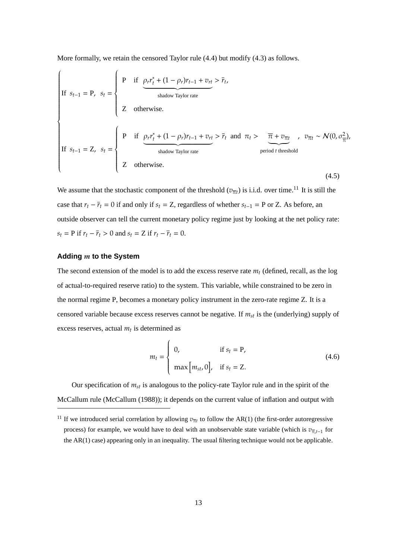More formally, we retain the censored Taylor rule (4.4) but modify (4.3) as follows.

If 
$$
s_{t-1} = P
$$
,  $s_t = \begin{cases} P & \text{if } \underbrace{\rho_r r_t^* + (1 - \rho_r) r_{t-1} + v_{rt}}_{\text{shadow Taylor rate}} > \overline{r}_t, \\ Z & \text{otherwise.} \end{cases}$   
\nIf  $s_{t-1} = Z$ ,  $s_t = \begin{cases} P & \text{if } \underbrace{\rho_r r_t^* + (1 - \rho_r) r_{t-1} + v_{rt}}_{\text{shadow Taylor rate}} > \overline{r}_t \text{ and } \pi_t > \overline{\pi} + v_{\overline{\pi}t} \\ \text{period } t \text{ threshold} \\ Z & \text{otherwise.} \end{cases}$ ,  $v_{\overline{\pi}t} \sim \mathcal{N}(0, \sigma_{\overline{\pi}}^2)$ ,

We assume that the stochastic component of the threshold  $(v_{\overline{n}t})$  is i.i.d. over time.<sup>11</sup> It is still the case that  $r_t - \overline{r}_t = 0$  if and only if  $s_t = Z$ , regardless of whether  $s_{t-1} = P$  or Z. As before, an outside observer can tell the current monetary policy regime just by looking at the net policy rate: *s*<sub>t</sub> = **P** if  $r_t - \bar{r}_t > 0$  and  $s_t = Z$  if  $r_t - \bar{r}_t = 0$ .

#### **Adding** *m* **to the System**

The second extension of the model is to add the excess reserve rate *m<sup>t</sup>* (defined, recall, as the log of actual-to-required reserve ratio) to the system. This variable, while constrained to be zero in the normal regime P, becomes a monetary policy instrument in the zero-rate regime Z. It is a censored variable because excess reserves cannot be negative. If *mst* is the (underlying) supply of excess reserves, actual *m<sup>t</sup>* is determined as

$$
m_t = \begin{cases} 0, & \text{if } s_t = P, \\ \max[m_{st}, 0], & \text{if } s_t = Z. \end{cases}
$$
 (4.6)

Our specification of *mst* is analogous to the policy-rate Taylor rule and in the spirit of the McCallum rule (McCallum (1988)); it depends on the current value of inflation and output with

<sup>&</sup>lt;sup>11</sup> If we introduced serial correlation by allowing  $v_{\overline{n}t}$  to follow the AR(1) (the first-order autoregressive process) for example, we would have to deal with an unobservable state variable (which is *v*π,*t*−<sup>1</sup> for the AR(1) case) appearing only in an inequality. The usual filtering technique would not be applicable.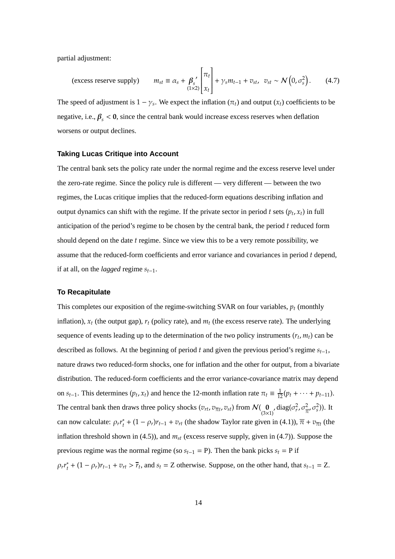partial adjustment:

(excess reserve supply) 
$$
m_{st} \equiv \alpha_s + \beta_s' \begin{bmatrix} \pi_t \\ x_t \end{bmatrix} + \gamma_s m_{t-1} + v_{st}, \ v_{st} \sim \mathcal{N}\left(0, \sigma_s^2\right). \tag{4.7}
$$

The speed of adjustment is  $1 - \gamma_s$ . We expect the inflation  $(\pi_t)$  and output  $(x_t)$  coefficients to be negative, i.e.,  $\beta_s < 0$ , since the central bank would increase excess reserves when deflation worsens or output declines.

### **Taking Lucas Critique into Account**

The central bank sets the policy rate under the normal regime and the excess reserve level under the zero-rate regime. Since the policy rule is different — very different — between the two regimes, the Lucas critique implies that the reduced-form equations describing inflation and output dynamics can shift with the regime. If the private sector in period  $t$  sets  $(p_t, x_t)$  in full anticipation of the period's regime to be chosen by the central bank, the period *t* reduced form should depend on the date *t* regime. Since we view this to be a very remote possibility, we assume that the reduced-form coefficients and error variance and covariances in period *t* depend, if at all, on the *lagged* regime  $s_{t-1}$ .

### **To Recapitulate**

This completes our exposition of the regime-switching SVAR on four variables,  $p_t$  (monthly inflation),  $x_t$  (the output gap),  $r_t$  (policy rate), and  $m_t$  (the excess reserve rate). The underlying sequence of events leading up to the determination of the two policy instruments  $(r_t, m_t)$  can be described as follows. At the beginning of period *t* and given the previous period's regime *st*−1, nature draws two reduced-form shocks, one for inflation and the other for output, from a bivariate distribution. The reduced-form coefficients and the error variance-covariance matrix may depend on  $s_{t-1}$ . This determines  $(p_t, x_t)$  and hence the 12-month inflation rate  $\pi_t \equiv \frac{1}{12}(p_t + \cdots + p_{t-11})$ . The central bank then draws three policy shocks  $(v_{rt}, v_{\overline{\pi}t}, v_{st})$  from  $\mathcal{N}(\mathbf{0}, \mathbf{0})$ ,  $\text{diag}(\sigma_r^2, \sigma_{\overline{\pi}}^2, \sigma_s^2)$ ). It can now calculate: ρ*rr* ∗  $t_t^*$  +  $(1 - \rho_r)r_{t-1} + v_{rt}$  (the shadow Taylor rate given in (4.1)),  $\overline{\pi} + v_{\overline{\pi}t}$  (the inflation threshold shown in (4.5)), and *mst* (excess reserve supply, given in (4.7)). Suppose the previous regime was the normal regime (so  $s_{t-1} = P$ ). Then the bank picks  $s_t = P$  if ρ*rr* ∗  $t_t^*$  +  $(1 - \rho_t)r_{t-1} + v_{rt} > \bar{r}_t$ , and  $s_t = Z$  otherwise. Suppose, on the other hand, that  $s_{t-1} = Z$ .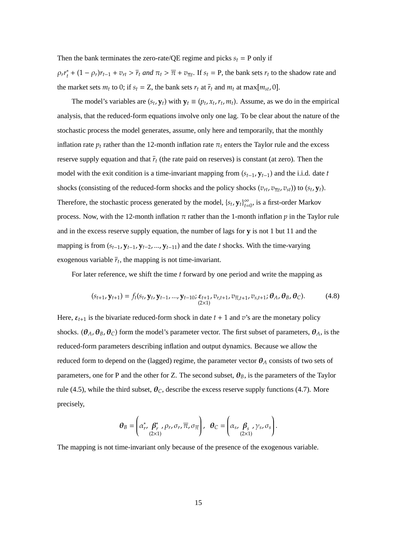Then the bank terminates the zero-rate/QE regime and picks  $s_t$  = P only if

ρ*rr* ∗  $\frac{f}{f} + (1 - \rho_r)r_{t-1} + v_{rt} > \overline{r}_t$  and  $\pi_t > \overline{\pi} + v_{\overline{\pi}t}$ . If  $s_t = P$ , the bank sets  $r_t$  to the shadow rate and the market sets  $m_t$  to 0; if  $s_t = Z$ , the bank sets  $r_t$  at  $\overline{r}_t$  and  $m_t$  at max $[m_{st}, 0]$ .

The model's variables are  $(s_t, y_t)$  with  $y_t \equiv (p_t, x_t, r_t, m_t)$ . Assume, as we do in the empirical analysis, that the reduced-form equations involve only one lag. To be clear about the nature of the stochastic process the model generates, assume, only here and temporarily, that the monthly inflation rate  $p_t$  rather than the 12-month inflation rate  $\pi_t$  enters the Taylor rule and the excess reserve supply equation and that  $\bar{r}_t$  (the rate paid on reserves) is constant (at zero). Then the model with the exit condition is a time-invariant mapping from  $(s_{t-1}, \mathbf{y}_{t-1})$  and the i.i.d. date *t* shocks (consisting of the reduced-form shocks and the policy shocks ( $v_{rt}$ ,  $v_{\overline{x}t}$ ,  $v_{st}$ )) to ( $s_t$ ,  $\mathbf{y}_t$ ). Therefore, the stochastic process generated by the model,  $\{s_t, \mathbf{y}_t\}_{t=1}^{\infty}$  $\sum_{t=0}^{\infty}$ , is a first-order Markov process. Now, with the 12-month inflation  $\pi$  rather than the 1-month inflation  $p$  in the Taylor rule and in the excess reserve supply equation, the number of lags for **y** is not 1 but 11 and the mapping is from  $(s_{t-1}, y_{t-1}, y_{t-2}, ..., y_{t-11})$  and the date *t* shocks. With the time-varying exogenous variable  $\bar{r}_t$ , the mapping is not time-invariant.

For later reference, we shift the time *t* forward by one period and write the mapping as

$$
(s_{t+1}, \mathbf{y}_{t+1}) = f_t(s_t, \mathbf{y}_t, \mathbf{y}_{t-1}, \dots, \mathbf{y}_{t-10}; \underbrace{\varepsilon_{t+1}}_{(2\times 1)}, v_{r,t+1}, v_{\overline{\pi}, t+1}, v_{s,t+1}; \boldsymbol{\theta}_A, \boldsymbol{\theta}_B, \boldsymbol{\theta}_C). \tag{4.8}
$$

Here,  $\varepsilon_{t+1}$  is the bivariate reduced-form shock in date  $t + 1$  and  $v$ 's are the monetary policy shocks. ( $\theta_A$ ,  $\theta_B$ ,  $\theta_C$ ) form the model's parameter vector. The first subset of parameters,  $\theta_A$ , is the reduced-form parameters describing inflation and output dynamics. Because we allow the reduced form to depend on the (lagged) regime, the parameter vector  $\theta_A$  consists of two sets of parameters, one for P and the other for Z. The second subset,  $\theta_B$ , is the parameters of the Taylor rule (4.5), while the third subset,  $\theta_C$ , describe the excess reserve supply functions (4.7). More precisely,

$$
\boldsymbol{\theta}_B = \left(\alpha_r^*, \boldsymbol{\beta}_r^*, \rho_r, \sigma_r, \overline{\pi}, \sigma_{\overline{\pi}}\right), \boldsymbol{\theta}_C = \left(\alpha_s, \boldsymbol{\beta}_s, \gamma_s, \sigma_s\right).
$$

The mapping is not time-invariant only because of the presence of the exogenous variable.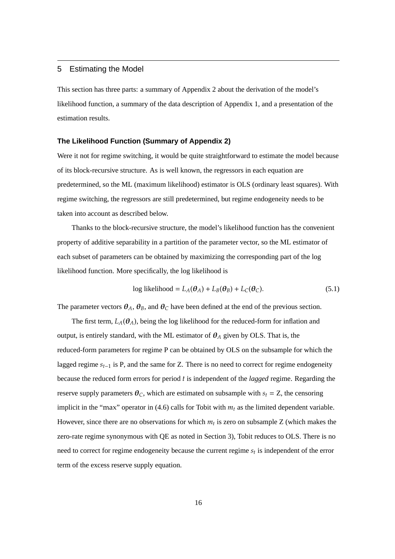# 5 Estimating the Model

This section has three parts: a summary of Appendix 2 about the derivation of the model's likelihood function, a summary of the data description of Appendix 1, and a presentation of the estimation results.

# **The Likelihood Function (Summary of Appendix 2)**

Were it not for regime switching, it would be quite straightforward to estimate the model because of its block-recursive structure. As is well known, the regressors in each equation are predetermined, so the ML (maximum likelihood) estimator is OLS (ordinary least squares). With regime switching, the regressors are still predetermined, but regime endogeneity needs to be taken into account as described below.

Thanks to the block-recursive structure, the model's likelihood function has the convenient property of additive separability in a partition of the parameter vector, so the ML estimator of each subset of parameters can be obtained by maximizing the corresponding part of the log likelihood function. More specifically, the log likelihood is

$$
\log likelihood = L_A(\theta_A) + L_B(\theta_B) + L_C(\theta_C). \tag{5.1}
$$

The parameter vectors  $\theta_A$ ,  $\theta_B$ , and  $\theta_C$  have been defined at the end of the previous section.

The first term,  $L_A(\theta_A)$ , being the log likelihood for the reduced-form for inflation and output, is entirely standard, with the ML estimator of  $\theta_A$  given by OLS. That is, the reduced-form parameters for regime P can be obtained by OLS on the subsample for which the lagged regime *st*−<sup>1</sup> is P, and the same for Z. There is no need to correct for regime endogeneity because the reduced form errors for period *t* is independent of the *lagged* regime. Regarding the reserve supply parameters  $\theta_C$ , which are estimated on subsample with  $s_t = Z$ , the censoring implicit in the "max" operator in  $(4.6)$  calls for Tobit with  $m_t$  as the limited dependent variable. However, since there are no observations for which  $m_t$  is zero on subsample Z (which makes the zero-rate regime synonymous with QE as noted in Section 3), Tobit reduces to OLS. There is no need to correct for regime endogeneity because the current regime *s<sup>t</sup>* is independent of the error term of the excess reserve supply equation.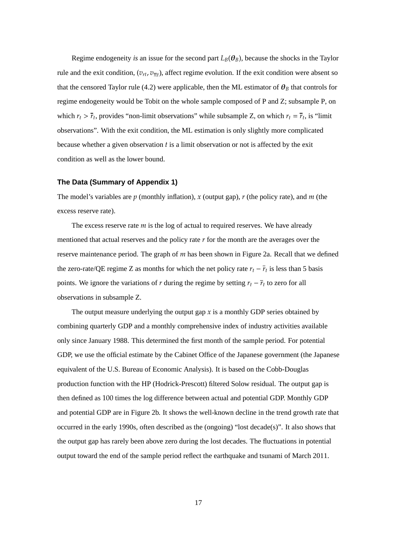Regime endogeneity *is* an issue for the second part  $L_B(\theta_B)$ , because the shocks in the Taylor rule and the exit condition,  $(v_{rt}, v_{\overline{nt}})$ , affect regime evolution. If the exit condition were absent so that the censored Taylor rule (4.2) were applicable, then the ML estimator of  $\theta_B$  that controls for regime endogeneity would be Tobit on the whole sample composed of P and Z; subsample P, on which  $r_t > \bar{r}_t$ , provides "non-limit observations" while subsample Z, on which  $r_t = \bar{r}_t$ , is "limit observations". With the exit condition, the ML estimation is only slightly more complicated because whether a given observation *t* is a limit observation or not is affected by the exit condition as well as the lower bound.

#### **The Data (Summary of Appendix 1)**

The model's variables are *p* (monthly inflation), *x* (output gap), *r* (the policy rate), and *m* (the excess reserve rate).

The excess reserve rate *m* is the log of actual to required reserves. We have already mentioned that actual reserves and the policy rate *r* for the month are the averages over the reserve maintenance period. The graph of *m* has been shown in Figure 2a. Recall that we defined the zero-rate/QE regime Z as months for which the net policy rate  $r_t - \overline{r}_t$  is less than 5 basis points. We ignore the variations of *r* during the regime by setting  $r_t - \bar{r}_t$  to zero for all observations in subsample Z.

The output measure underlying the output gap  $x$  is a monthly GDP series obtained by combining quarterly GDP and a monthly comprehensive index of industry activities available only since January 1988. This determined the first month of the sample period. For potential GDP, we use the official estimate by the Cabinet Office of the Japanese government (the Japanese equivalent of the U.S. Bureau of Economic Analysis). It is based on the Cobb-Douglas production function with the HP (Hodrick-Prescott) filtered Solow residual. The output gap is then defined as 100 times the log difference between actual and potential GDP. Monthly GDP and potential GDP are in Figure 2b. It shows the well-known decline in the trend growth rate that occurred in the early 1990s, often described as the (ongoing) "lost decade(s)". It also shows that the output gap has rarely been above zero during the lost decades. The fluctuations in potential output toward the end of the sample period reflect the earthquake and tsunami of March 2011.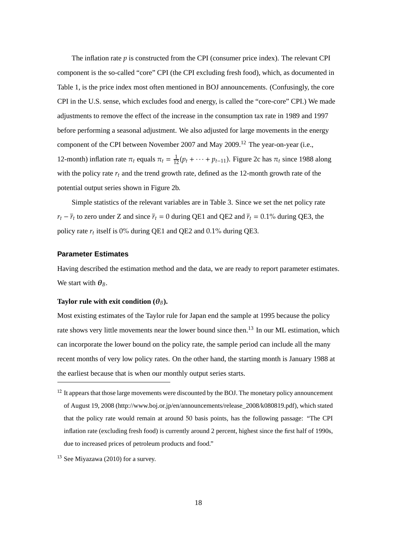The inflation rate *p* is constructed from the CPI (consumer price index). The relevant CPI component is the so-called "core" CPI (the CPI excluding fresh food), which, as documented in Table 1, is the price index most often mentioned in BOJ announcements. (Confusingly, the core CPI in the U.S. sense, which excludes food and energy, is called the "core-core" CPI.) We made adjustments to remove the effect of the increase in the consumption tax rate in 1989 and 1997 before performing a seasonal adjustment. We also adjusted for large movements in the energy component of the CPI between November 2007 and May 2009.<sup>12</sup> The year-on-year (i.e., 12-month) inflation rate  $\pi_t$  equals  $\pi_t = \frac{1}{12}(p_t + \cdots + p_{t-11})$ . Figure 2c has  $\pi_t$  since 1988 along with the policy rate *r<sup>t</sup>* and the trend growth rate, defined as the 12-month growth rate of the potential output series shown in Figure 2b.

Simple statistics of the relevant variables are in Table 3. Since we set the net policy rate  $r_t - \bar{r}_t$  to zero under Z and since  $\bar{r}_t = 0$  during QE1 and QE2 and  $\bar{r}_t = 0.1\%$  during QE3, the policy rate  $r_t$  itself is 0% during QE1 and QE2 and 0.1% during QE3.

## **Parameter Estimates**

Having described the estimation method and the data, we are ready to report parameter estimates. We start with  $\theta_B$ .

#### **Taylor rule with exit condition**  $(\theta_B)$ **.**

Most existing estimates of the Taylor rule for Japan end the sample at 1995 because the policy rate shows very little movements near the lower bound since then.<sup>13</sup> In our ML estimation, which can incorporate the lower bound on the policy rate, the sample period can include all the many recent months of very low policy rates. On the other hand, the starting month is January 1988 at the earliest because that is when our monthly output series starts.

<sup>&</sup>lt;sup>12</sup> It appears that those large movements were discounted by the BOJ. The monetary policy announcement of August 19, 2008 (http://www.boj.or.jp/en/announcements/release\_2008/k080819.pdf), which stated that the policy rate would remain at around 50 basis points, has the following passage: "The CPI inflation rate (excluding fresh food) is currently around 2 percent, highest since the first half of 1990s, due to increased prices of petroleum products and food."

<sup>13</sup> See Miyazawa (2010) for a survey.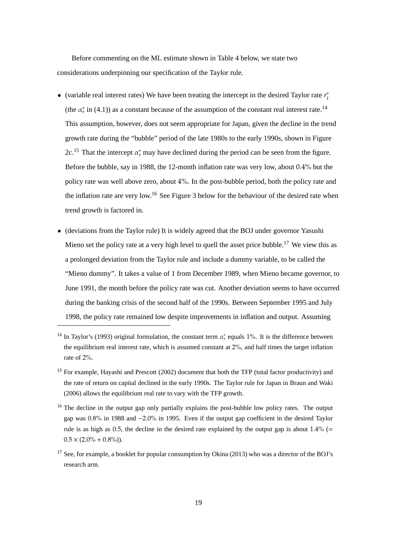Before commenting on the ML estimate shown in Table 4 below, we state two considerations underpinning our specification of the Taylor rule.

- *•* (variable real interest rates) We have been treating the intercept in the desired Taylor rate *r* ∗ *t* (the  $\alpha_r^*$  in (4.1)) as a constant because of the assumption of the constant real interest rate.<sup>14</sup> This assumption, however, does not seem appropriate for Japan, given the decline in the trend growth rate during the "bubble" period of the late 1980s to the early 1990s, shown in Figure 2c.<sup>15</sup> That the intercept  $\alpha_r^*$  may have declined during the period can be seen from the figure. Before the bubble, say in 1988, the 12-month inflation rate was very low, about 0.4% but the policy rate was well above zero, about 4%. In the post-bubble period, both the policy rate and the inflation rate are very low.<sup>16</sup> See Figure 3 below for the behaviour of the desired rate when trend growth is factored in.
- (deviations from the Taylor rule) It is widely agreed that the BOJ under governor Yasushi Mieno set the policy rate at a very high level to quell the asset price bubble.<sup>17</sup> We view this as a prolonged deviation from the Taylor rule and include a dummy variable, to be called the "Mieno dummy". It takes a value of 1 from December 1989, when Mieno became governor, to June 1991, the month before the policy rate was cut. Another deviation seems to have occurred during the banking crisis of the second half of the 1990s. Between September 1995 and July 1998, the policy rate remained low despite improvements in inflation and output. Assuming

<sup>&</sup>lt;sup>14</sup> In Taylor's (1993) original formulation, the constant term  $\alpha_r^*$  equals 1%. It is the difference between the equilibrium real interest rate, which is assumed constant at 2%, and half times the target inflation rate of 2%.

<sup>&</sup>lt;sup>15</sup> For example, Havashi and Prescott (2002) document that both the TFP (total factor productivity) and the rate of return on capital declined in the early 1990s. The Taylor rule for Japan in Braun and Waki (2006) allows the equilibrium real rate to vary with the TFP growth.

<sup>&</sup>lt;sup>16</sup> The decline in the output gap only partially explains the post-bubble low policy rates. The output gap was 0.8% in 1988 and −2.0% in 1995. Even if the output gap coefficient in the desired Taylor rule is as high as 0.5, the decline in the desired rate explained by the output gap is about  $1.4\%$  (=  $0.5 \times (2.0\% + 0.8\%)).$ 

 $17$  See, for example, a booklet for popular consumption by Okina (2013) who was a director of the BOJ's research arm.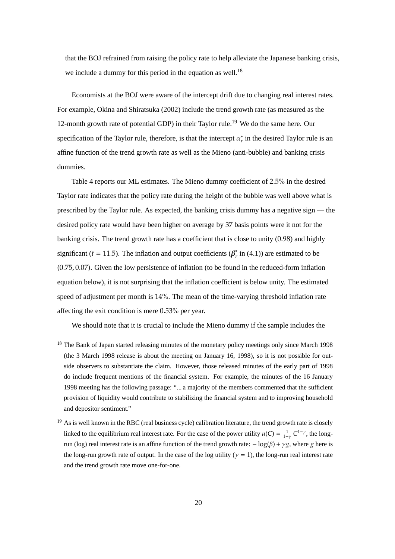that the BOJ refrained from raising the policy rate to help alleviate the Japanese banking crisis, we include a dummy for this period in the equation as well.<sup>18</sup>

Economists at the BOJ were aware of the intercept drift due to changing real interest rates. For example, Okina and Shiratsuka (2002) include the trend growth rate (as measured as the 12-month growth rate of potential GDP) in their Taylor rule.<sup>19</sup> We do the same here. Our specification of the Taylor rule, therefore, is that the intercept  $\alpha_r^*$  in the desired Taylor rule is an affine function of the trend growth rate as well as the Mieno (anti-bubble) and banking crisis dummies.

Table 4 reports our ML estimates. The Mieno dummy coefficient of 2.5% in the desired Taylor rate indicates that the policy rate during the height of the bubble was well above what is prescribed by the Taylor rule. As expected, the banking crisis dummy has a negative sign — the desired policy rate would have been higher on average by 37 basis points were it not for the banking crisis. The trend growth rate has a coefficient that is close to unity (0.98) and highly significant ( $t = 11.5$ ). The inflation and output coefficients ( $\beta_r^*$ )  $r \nvert r$  in (4.1)) are estimated to be (0.75, 0.07). Given the low persistence of inflation (to be found in the reduced-form inflation equation below), it is not surprising that the inflation coefficient is below unity. The estimated speed of adjustment per month is 14%. The mean of the time-varying threshold inflation rate affecting the exit condition is mere 0.53% per year.

We should note that it is crucial to include the Mieno dummy if the sample includes the

<sup>&</sup>lt;sup>18</sup> The Bank of Japan started releasing minutes of the monetary policy meetings only since March 1998 (the 3 March 1998 release is about the meeting on January 16, 1998), so it is not possible for outside observers to substantiate the claim. However, those released minutes of the early part of 1998 do include frequent mentions of the financial system. For example, the minutes of the 16 January 1998 meeting has the following passage: "... a majority of the members commented that the sufficient provision of liquidity would contribute to stabilizing the financial system and to improving household and depositor sentiment."

<sup>&</sup>lt;sup>19</sup> As is well known in the RBC (real business cycle) calibration literature, the trend growth rate is closely linked to the equilibrium real interest rate. For the case of the power utility  $u(C) = \frac{1}{1-\gamma} C^{1-\gamma}$ , the longrun (log) real interest rate is an affine function of the trend growth rate: −log(β) + γ*g*, where *g* here is the long-run growth rate of output. In the case of the log utility ( $\gamma = 1$ ), the long-run real interest rate and the trend growth rate move one-for-one.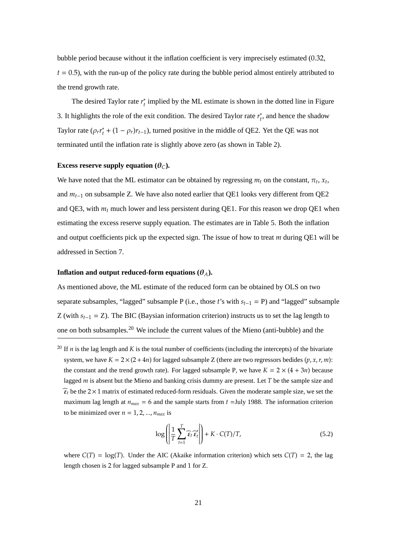bubble period because without it the inflation coefficient is very imprecisely estimated (0.32,  $t = 0.5$ ), with the run-up of the policy rate during the bubble period almost entirely attributed to the trend growth rate.

The desired Taylor rate *r* ∗ *t* implied by the ML estimate is shown in the dotted line in Figure 3. It highlights the role of the exit condition. The desired Taylor rate  $r_t^*$ *t* , and hence the shadow Taylor rate (ρ*rr* ∗  $t_t^*$  + (1 −  $\rho_r$ ) $r_{t-1}$ ), turned positive in the middle of QE2. Yet the QE was not terminated until the inflation rate is slightly above zero (as shown in Table 2).

### **Excess reserve supply equation**  $(\theta_C)$ **.**

We have noted that the ML estimator can be obtained by regressing  $m_t$  on the constant,  $\pi_t$ ,  $x_t$ , and *mt*−<sup>1</sup> on subsample Z. We have also noted earlier that QE1 looks very different from QE2 and QE3, with  $m_t$  much lower and less persistent during QE1. For this reason we drop QE1 when estimating the excess reserve supply equation. The estimates are in Table 5. Both the inflation and output coefficients pick up the expected sign. The issue of how to treat *m* during QE1 will be addressed in Section 7.

## **Inflation and output reduced-form equations**  $(\theta_A)$ **.**

As mentioned above, the ML estimate of the reduced form can be obtained by OLS on two separate subsamples, "lagged" subsample P (i.e., those *t*'s with *st*−<sup>1</sup> = P) and "lagged" subsample Z (with  $s_{t-1} = Z$ ). The BIC (Baysian information criterion) instructs us to set the lag length to one on both subsamples.<sup>20</sup> We include the current values of the Mieno (anti-bubble) and the

$$
\log\left(\left|\frac{1}{T}\sum_{t=1}^{T}\widehat{\epsilon}_{t}\widehat{\epsilon}'_{t}\right|\right) + K \cdot C(T)/T,
$$
\n(5.2)

where  $C(T) = \log(T)$ . Under the AIC (Akaike information criterion) which sets  $C(T) = 2$ , the lag length chosen is 2 for lagged subsample P and 1 for Z.

<sup>&</sup>lt;sup>20</sup> If  $n$  is the lag length and  $K$  is the total number of coefficients (including the intercepts) of the bivariate system, we have  $K = 2 \times (2+4n)$  for lagged subsample Z (there are two regressors bedides  $(p, x, r, m)$ ): the constant and the trend growth rate). For lagged subsample P, we have  $K = 2 \times (4 + 3n)$  because lagged *m* is absent but the Mieno and banking crisis dummy are present. Let *T* be the sample size and  $\hat{\epsilon}_t$  be the 2 × 1 matrix of estimated reduced-form residuals. Given the moderate sample size, we set the maximum lag length at  $n_{max} = 6$  and the sample starts from  $t =$ July 1988. The information criterion to be minimized over  $n = 1, 2, ..., n_{max}$  is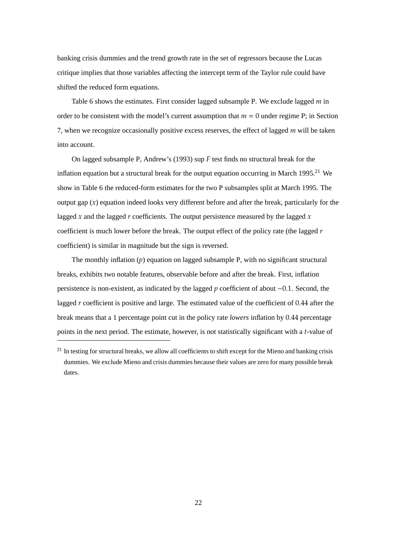banking crisis dummies and the trend growth rate in the set of regressors because the Lucas critique implies that those variables affecting the intercept term of the Taylor rule could have shifted the reduced form equations.

Table 6 shows the estimates. First consider lagged subsample P. We exclude lagged *m* in order to be consistent with the model's current assumption that  $m = 0$  under regime P; in Section 7, when we recognize occasionally positive excess reserves, the effect of lagged *m* will be taken into account.

On lagged subsample P, Andrew's (1993) sup *F* test finds no structural break for the inflation equation but a structural break for the output equation occurring in March 1995.<sup>21</sup> We show in Table 6 the reduced-form estimates for the two P subsamples split at March 1995. The output gap  $(x)$  equation indeed looks very different before and after the break, particularly for the lagged  $x$  and the lagged  $r$  coefficients. The output persistence measured by the lagged  $x$ coefficient is much lower before the break. The output effect of the policy rate (the lagged *r* coefficient) is similar in magnitude but the sign is reversed.

The monthly inflation (*p*) equation on lagged subsample P, with no significant structural breaks, exhibits two notable features, observable before and after the break. First, inflation persistence is non-existent, as indicated by the lagged *p* coefficient of about −0.1. Second, the lagged *r* coefficient is positive and large. The estimated value of the coefficient of 0.44 after the break means that a 1 percentage point cut in the policy rate *lowers* inflation by 0.44 percentage points in the next period. The estimate, however, is not statistically significant with a *t*-value of

 $21$  In testing for structural breaks, we allow all coefficients to shift except for the Mieno and banking crisis dummies. We exclude Mieno and crisis dummies because their values are zero for many possible break dates.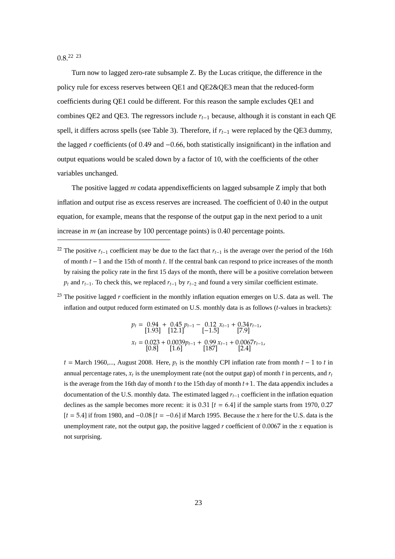$0.8^{22}$   $^{23}$ 

Turn now to lagged zero-rate subsample Z. By the Lucas critique, the difference in the policy rule for excess reserves between QE1 and QE2&QE3 mean that the reduced-form coefficients during QE1 could be different. For this reason the sample excludes QE1 and combines QE2 and QE3. The regressors include *rt*−<sup>1</sup> because, although it is constant in each QE spell, it differs across spells (see Table 3). Therefore, if *rt*−<sup>1</sup> were replaced by the QE3 dummy, the lagged *r* coefficients (of 0.49 and −0.66, both statistically insignificant) in the inflation and output equations would be scaled down by a factor of 10, with the coefficients of the other variables unchanged.

The positive lagged *m* codata appendixefficients on lagged subsample Z imply that both inflation and output rise as excess reserves are increased. The coefficient of 0.40 in the output equation, for example, means that the response of the output gap in the next period to a unit increase in *m* (an increase by 100 percentage points) is 0.40 percentage points.

<sup>22</sup> The positive  $r_{t-1}$  coefficient may be due to the fact that  $r_{t-1}$  is the average over the period of the 16th of month *t* − 1 and the 15th of month *t*. If the central bank can respond to price increases of the month by raising the policy rate in the first 15 days of the month, there will be a positive correlation between  $p_t$  and  $r_{t-1}$ . To check this, we replaced  $r_{t-1}$  by  $r_{t-2}$  and found a very similar coefficient estimate.

<sup>23</sup> The positive lagged  $r$  coefficient in the monthly inflation equation emerges on U.S. data as well. The inflation and output reduced form estimated on U.S. monthly data is as follows (*t*-values in brackets):

$$
p_t = \begin{bmatrix} 0.94 & + & 0.45 \\ 1.93 & 12.1 \end{bmatrix} \begin{bmatrix} p_{t-1} - 0.12 & x_{t-1} + 0.34r_{t-1}, \\ -1.5 & 7.9 \end{bmatrix}
$$
\n
$$
x_t = \begin{bmatrix} 0.023 & + & 0.0039p_{t-1} + 0.99 & x_{t-1} + 0.0067r_{t-1}, \\ 1.6 & 1.87 & 1.24 \end{bmatrix}
$$

 $t =$  March 1960,..., August 2008. Here,  $p_t$  is the monthly CPI inflation rate from month  $t - 1$  to  $t$  in annual percentage rates,  $x_t$  is the unemployment rate (not the output gap) of month  $t$  in percents, and  $r_t$ is the average from the 16th day of month *t* to the 15th day of month *t*+1. The data appendix includes a documentation of the U.S. monthly data. The estimated lagged *rt*−<sup>1</sup> coefficient in the inflation equation declines as the sample becomes more recent: it is  $0.31$  [ $t = 6.4$ ] if the sample starts from 1970, 0.27 [*t* = 5.4] if from 1980, and −0.08 [*t* = −0.6] if March 1995. Because the *x* here for the U.S. data is the unemployment rate, not the output gap, the positive lagged  $r$  coefficient of 0.0067 in the  $x$  equation is not surprising.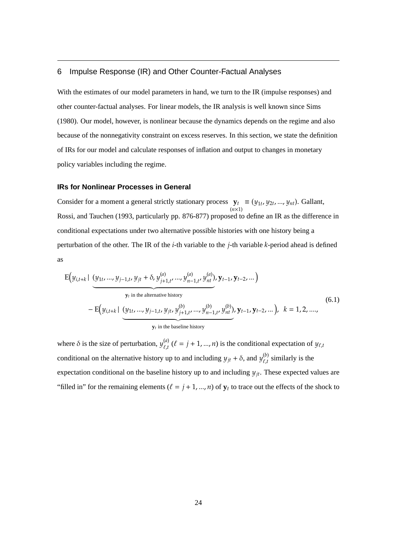# 6 Impulse Response (IR) and Other Counter-Factual Analyses

With the estimates of our model parameters in hand, we turn to the IR (impulse responses) and other counter-factual analyses. For linear models, the IR analysis is well known since Sims (1980). Our model, however, is nonlinear because the dynamics depends on the regime and also because of the nonnegativity constraint on excess reserves. In this section, we state the definition of IRs for our model and calculate responses of inflation and output to changes in monetary policy variables including the regime.

# **IRs for Nonlinear Processes in General**

Consider for a moment a general strictly stationary process  $y_t$ (*n*×1)  $\equiv$  (*y*<sub>1*t*</sub>, *y*<sub>2*t*</sub>, ..., *y*<sub>*nt*</sub>). Gallant, Rossi, and Tauchen (1993, particularly pp. 876-877) proposed to define an IR as the difference in conditional expectations under two alternative possible histories with one history being a perturbation of the other. The IR of the *i*-th variable to the *j*-th variable *k*-period ahead is defined as

$$
E(y_{i,t+k} | (y_{1t},..., y_{j-1,t}, y_{jt} + \delta, y_{j+1,t}^{(a)},..., y_{n-1,t}^{(a)}, y_{nt}^{(a)}), y_{t-1}, y_{t-2}, ...)
$$
  
\n
$$
y_t \text{ in the alternative history}
$$
\n
$$
- E(y_{i,t+k} | (y_{1t},..., y_{j-1,t}, y_{jt}, y_{j+1,t}^{(b)},..., y_{n-1,t}^{(b)}, y_{nt}^{(b)}), y_{t-1}, y_{t-2}, ...), k = 1, 2, ....,
$$
\n
$$
y_t \text{ in the baseline history}
$$
\n(6.1)

where  $\delta$  is the size of perturbation,  $y_{\ell}^{(a)}$  $\ell_{\ell,t}^{(u)}$  ( $\ell = j + 1, ..., n$ ) is the conditional expectation of  $y_{\ell,t}$ conditional on the alternative history up to and including  $y_{jt} + \delta$ , and  $y_{\ell,t}^{(b)}$  $\int_{\ell,t}^{(\nu)}$  similarly is the expectation conditional on the baseline history up to and including  $y_{it}$ . These expected values are "filled in" for the remaining elements  $(\ell = j + 1, ..., n)$  of  $y_t$  to trace out the effects of the shock to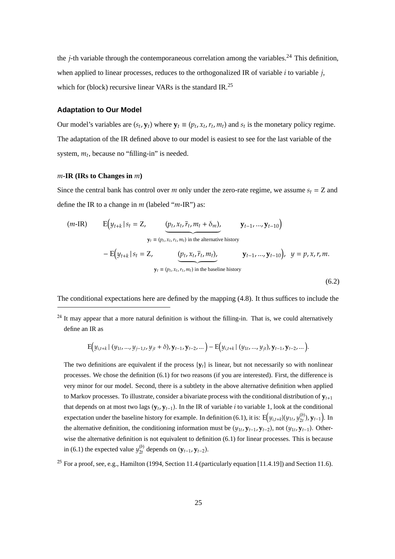the *j*-th variable through the contemporaneous correlation among the variables.<sup>24</sup> This definition, when applied to linear processes, reduces to the orthogonalized IR of variable *i* to variable *j*, which for (block) recursive linear VARs is the standard IR.<sup>25</sup>

#### **Adaptation to Our Model**

Our model's variables are  $(s_t, y_t)$  where  $y_t \equiv (p_t, x_t, r_t, m_t)$  and  $s_t$  is the monetary policy regime. The adaptation of the IR defined above to our model is easiest to see for the last variable of the system,  $m_t$ , because no "filling-in" is needed.

#### *m***-IR (IRs to Changes in** *m***)**

Since the central bank has control over *m* only under the zero-rate regime, we assume  $s_t = Z$  and define the IR to a change in *m* (labeled "*m*-IR") as:

$$
\begin{aligned}\n(m\text{-IR}) \qquad & \mathbf{E}\Big(y_{t+k} \,|\, s_t = \mathbf{Z}, \qquad \underbrace{(p_t, x_t, \overline{r}_t, m_t + \delta_m)}, \qquad \mathbf{y}_{t-1}, \dots, \mathbf{y}_{t-10}\Big) \\
& \mathbf{y}_t \equiv (p_t, x_t, r_t, m_t) \text{ in the alternative history} \\
& \quad - \mathbf{E}\Big(y_{t+k} \,|\, s_t = \mathbf{Z}, \qquad \underbrace{(p_t, x_t, \overline{r}_t, m_t)}, \qquad \mathbf{y}_{t-1}, \dots, \mathbf{y}_{t-10}\Big), \quad y = p, x, r, m. \\
& \mathbf{y}_t \equiv (p_t, x_t, r_t, m_t) \text{ in the baseline history}\n\end{aligned}
$$

The conditional expectations here are defined by the mapping (4.8). It thus suffices to include the

 $(6.2)$ 

$$
\mathrm{E}\big(y_{i,t+k} \mid (y_{1t},...,y_{j-1,t},y_{jt}+\delta), \mathbf{y}_{t-1}, \mathbf{y}_{t-2},...\big)-\mathrm{E}\big(y_{i,t+k} \mid (y_{1t},...,y_{jt}), \mathbf{y}_{t-1}, \mathbf{y}_{t-2},...\big).
$$

The two definitions are equivalent if the process  $\{v_t\}$  is linear, but not necessarily so with nonlinear processes. We chose the definition (6.1) for two reasons (if you are interested). First, the difference is very minor for our model. Second, there is a subtlety in the above alternative definition when applied to Markov processes. To illustrate, consider a bivariate process with the conditional distribution of **y***<sup>t</sup>*+<sup>1</sup> that depends on at most two lags  $(y_t, y_{t-1})$ . In the IR of variable *i* to variable 1, look at the conditional expectation under the baseline history for example. In definition (6.1), it is:  $E(y_{i,t+k}|(y_{1t}, y_{2t}^{(b)})$ 2*t* ), **y***t*−<sup>1</sup> ) . In the alternative definition, the conditioning information must be  $(y_{1t}, y_{t-1}, y_{t-2})$ , not  $(y_{1t}, y_{t-1})$ . Otherwise the alternative definition is not equivalent to definition (6.1) for linear processes. This is because in (6.1) the expected value  $y_{2t}^{(b)}$  $\sum_{2t}^{(0)}$  depends on  $(y_{t-1}, y_{t-2})$ .

<sup>25</sup> For a proof, see, e.g., Hamilton (1994, Section 11.4 (particularly equation [11.4.19]) and Section 11.6).

 $24$  It may appear that a more natural definition is without the filling-in. That is, we could alternatively define an IR as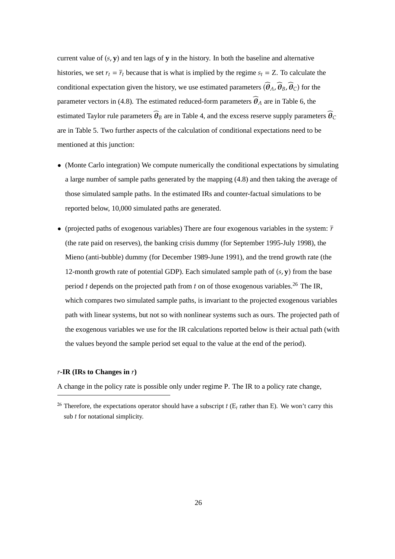current value of  $(s, y)$  and ten lags of  $y$  in the history. In both the baseline and alternative histories, we set  $r_t = \overline{r}_t$  because that is what is implied by the regime  $s_t = Z$ . To calculate the conditional expectation given the history, we use estimated parameters  $(\widehat{\theta}_A, \widehat{\theta}_B, \widehat{\theta}_C)$  for the parameter vectors in (4.8). The estimated reduced-form parameters  $\hat{\theta}_A$  are in Table 6, the estimated Taylor rule parameters  $\widehat{\theta}_B$  are in Table 4, and the excess reserve supply parameters  $\widehat{\theta}_C$ are in Table 5. Two further aspects of the calculation of conditional expectations need to be mentioned at this junction:

- (Monte Carlo integration) We compute numerically the conditional expectations by simulating a large number of sample paths generated by the mapping (4.8) and then taking the average of those simulated sample paths. In the estimated IRs and counter-factual simulations to be reported below, 10,000 simulated paths are generated.
- (projected paths of exogenous variables) There are four exogenous variables in the system:  $\bar{r}$ (the rate paid on reserves), the banking crisis dummy (for September 1995-July 1998), the Mieno (anti-bubble) dummy (for December 1989-June 1991), and the trend growth rate (the 12-month growth rate of potential GDP). Each simulated sample path of (*s*, **y**) from the base period *t* depends on the projected path from *t* on of those exogenous variables.<sup>26</sup> The IR, which compares two simulated sample paths, is invariant to the projected exogenous variables path with linear systems, but not so with nonlinear systems such as ours. The projected path of the exogenous variables we use for the IR calculations reported below is their actual path (with the values beyond the sample period set equal to the value at the end of the period).

#### *r***-IR (IRs to Changes in** *r***)**

A change in the policy rate is possible only under regime P. The IR to a policy rate change,

<sup>&</sup>lt;sup>26</sup> Therefore, the expectations operator should have a subscript  $t$  ( $E_t$  rather than E). We won't carry this sub *t* for notational simplicity.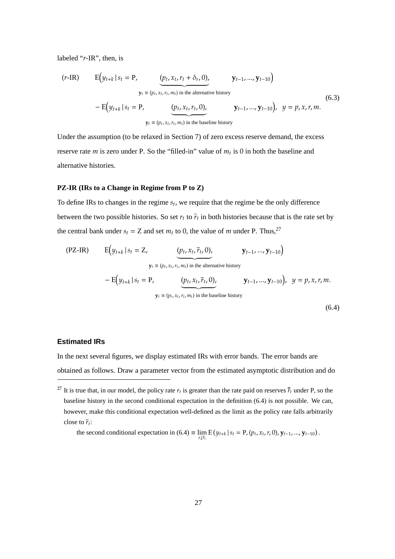labeled "*r*-IR", then, is

$$
\begin{aligned}\n(r\text{-IR}) \qquad & \mathbf{E}\Big(y_{t+k} \,|\, s_t = \mathbf{P}, \qquad \underbrace{(p_t, x_t, r_t + \delta_r, 0)}, \qquad \mathbf{y}_{t-1}, \dots, \mathbf{y}_{t-10}\Big) \\
& \mathbf{y}_t \equiv (p_t, x_t, r_t, m_t) \text{ in the alternative history} \\
& \quad - \mathbf{E}\Big(y_{t+k} \,|\, s_t = \mathbf{P}, \qquad \underbrace{(p_t, x_t, r_t, 0)}, \qquad \mathbf{y}_{t-1}, \dots, \mathbf{y}_{t-10}\Big), \quad y = p, x, r, m. \\
& \mathbf{y}_t \equiv (p_t, x_t, r_t, m_t) \text{ in the baseline history}\n\end{aligned}\n\tag{6.3}
$$

Under the assumption (to be relaxed in Section 7) of zero excess reserve demand, the excess reserve rate *m* is zero under P. So the "filled-in" value of  $m_t$  is 0 in both the baseline and alternative histories.

#### **PZ-IR (IRs to a Change in Regime from P to Z)**

To define IRs to changes in the regime *s<sup>t</sup>* , we require that the regime be the only difference between the two possible histories. So set  $r_t$  to  $\bar{r}_t$  in both histories because that is the rate set by the central bank under  $s_t = Z$  and set  $m_t$  to 0, the value of *m* under P. Thus,<sup>27</sup>

$$
\begin{aligned}\n\text{(PZ-IR)} \qquad \mathbf{E}\Big(y_{t+k} \,|\, s_t = \mathbf{Z}, & \underbrace{(p_t, x_t, \overline{r}_t, 0)}_{\mathbf{y}_t = (p_t, x_t, r_t, m_t) \text{ in the alternative history}} \\
&\quad - \mathbf{E}\Big(y_{t+k} \,|\, s_t = \mathbf{P}, & \underbrace{(p_t, x_t, \overline{r}_t, 0)}_{\mathbf{y}_t = (p_t, x_t, r_t, m_t) \text{ in the baseline history}} \mathbf{y}_{t-1}, \dots, \mathbf{y}_{t-10}\Big), & y = p, x, r, m. \\
&\quad \text{(6.4)}\n\end{aligned}
$$

**Estimated IRs**

In the next several figures, we display estimated IRs with error bands. The error bands are obtained as follows. Draw a parameter vector from the estimated asymptotic distribution and do

the second conditional expectation in (6.4)  $\equiv \lim_{r \downarrow \bar{r}_t} E(y_{t+k} | s_t = P, (p_t, x_t, r, 0), y_{t-1}, ..., y_{t-10}).$ 

<sup>&</sup>lt;sup>27</sup> It is true that, in our model, the policy rate  $r_t$  is greater than the rate paid on reserves  $\bar{r}_t$  under P, so the baseline history in the second conditional expectation in the definition (6.4) is not possible. We can, however, make this conditional expectation well-defined as the limit as the policy rate falls arbitrarily close to  $\bar{r}_t$ :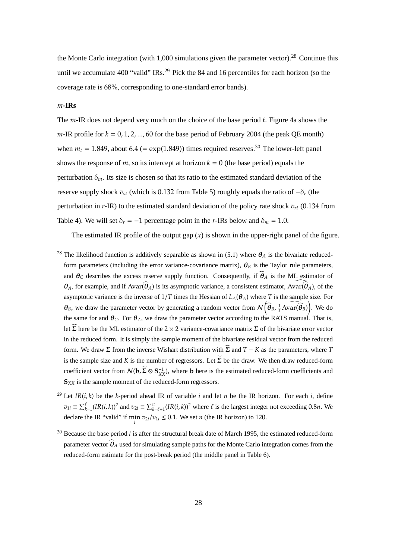the Monte Carlo integration (with 1,000 simulations given the parameter vector).<sup>28</sup> Continue this until we accumulate 400 "valid"  $IRs<sup>29</sup>$  Pick the 84 and 16 percentiles for each horizon (so the coverage rate is 68%, corresponding to one-standard error bands).

#### *m***-IRs**

The *m*-IR does not depend very much on the choice of the base period *t*. Figure 4a shows the *m*-IR profile for  $k = 0, 1, 2, ..., 60$  for the base period of February 2004 (the peak QE month) when  $m_t = 1.849$ , about 6.4 (= exp(1.849)) times required reserves.<sup>30</sup> The lower-left panel shows the response of *m*, so its intercept at horizon  $k = 0$  (the base period) equals the perturbation  $\delta_m$ . Its size is chosen so that its ratio to the estimated standard deviation of the reserve supply shock  $v_{st}$  (which is 0.132 from Table 5) roughly equals the ratio of  $-\delta_r$  (the perturbation in  $r$ -IR) to the estimated standard deviation of the policy rate shock  $v_{rt}$  (0.134 from Table 4). We will set  $\delta_r = -1$  percentage point in the *r*-IRs below and  $\delta_m = 1.0$ .

The estimated IR profile of the output gap  $(x)$  is shown in the upper-right panel of the figure.

- <sup>29</sup> Let *IR*(*i*, *k*) be the *k*-period ahead IR of variable *i* and let *n* be the IR horizon. For each *i*, define  $v_{1i} \equiv \sum_{k=1}^{\ell} (IR(i,k))^2$  and  $v_{2i} \equiv \sum_{k=\ell+1}^{n} (IR(i,k))^2$  where  $\ell$  is the largest integer not exceeding 0.8*n*. We declare the IR "valid" if  $\min_i v_{2i}/v_{1i} \leq 0.1$ . We set *n* (the IR horizon) to 120.
- <sup>30</sup> Because the base period *t* is after the structural break date of March 1995, the estimated reduced-form parameter vector  $\hat{\theta}_A$  used for simulating sample paths for the Monte Carlo integration comes from the reduced-form estimate for the post-break period (the middle panel in Table 6).

<sup>&</sup>lt;sup>28</sup> The likelihood function is additively separable as shown in (5.1) where  $\theta_A$  is the bivariate reducedform parameters (including the error variance-covariance matrix),  $\theta_B$  is the Taylor rule parameters, and  $\theta_C$  describes the excess reserve supply function. Consequently, if  $\hat{\theta}_A$  is the ML estimator of  $\theta_A$ , for example, and if Avar $(\widehat{\theta}_A)$  is its asymptotic variance, a consistent estimator, Avar $(\widehat{\theta}_A)$ , of the asymptotic variance is the inverse of  $1/T$  times the Hessian of  $L_A(\theta_A)$  where *T* is the sample size. For  $\theta_B$ , we draw the parameter vector by generating a random vector from  $\mathcal{N}\left(\widehat{\theta}_B, \frac{1}{T}A\widehat{var(\theta_B)}\right)$ . We do the same for and  $\theta_C$ . For  $\theta_A$ , we draw the parameter vector according to the RATS manual. That is, let  $\Sigma$  here be the ML estimator of the 2 × 2 variance-covariance matrix  $\Sigma$  of the bivariate error vector in the reduced form. It is simply the sample moment of the bivariate residual vector from the reduced form. We draw  $\Sigma$  from the inverse Wishart distribution with  $\widehat{\Sigma}$  and  $T - K$  as the parameters, where *T* is the sample size and *K* is the number of regressors. Let  $\widetilde{\Sigma}$  be the draw. We then draw reduced-form coefficient vector from  $\mathcal{N}(\mathbf{b}, \Sigma \otimes \mathbf{S}_{XX}^{-1})$ , where **b** here is the estimated reduced-form coefficients and **S***XX* is the sample moment of the reduced-form regressors.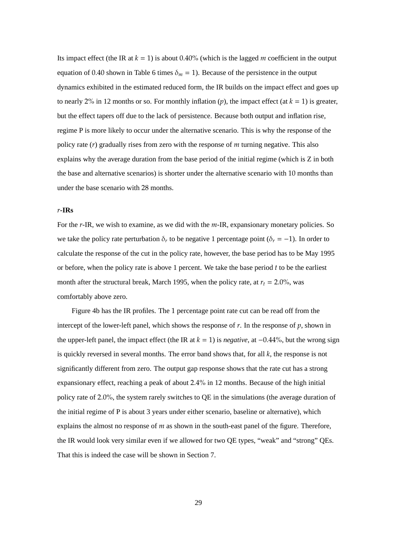Its impact effect (the IR at  $k = 1$ ) is about 0.40% (which is the lagged *m* coefficient in the output equation of 0.40 shown in Table 6 times  $\delta_m = 1$ ). Because of the persistence in the output dynamics exhibited in the estimated reduced form, the IR builds on the impact effect and goes up to nearly 2% in 12 months or so. For monthly inflation  $(p)$ , the impact effect (at  $k = 1$ ) is greater, but the effect tapers off due to the lack of persistence. Because both output and inflation rise, regime P is more likely to occur under the alternative scenario. This is why the response of the policy rate (*r*) gradually rises from zero with the response of *m* turning negative. This also explains why the average duration from the base period of the initial regime (which is Z in both the base and alternative scenarios) is shorter under the alternative scenario with 10 months than under the base scenario with 28 months.

#### *r***-IRs**

For the *r*-IR, we wish to examine, as we did with the *m*-IR, expansionary monetary policies. So we take the policy rate perturbation  $\delta_r$  to be negative 1 percentage point ( $\delta_r = -1$ ). In order to calculate the response of the cut in the policy rate, however, the base period has to be May 1995 or before, when the policy rate is above 1 percent. We take the base period *t* to be the earliest month after the structural break, March 1995, when the policy rate, at  $r_t = 2.0\%$ , was comfortably above zero.

Figure 4b has the IR profiles. The 1 percentage point rate cut can be read off from the intercept of the lower-left panel, which shows the response of  $r$ . In the response of  $p$ , shown in the upper-left panel, the impact effect (the IR at  $k = 1$ ) is *negative*, at  $-0.44\%$ , but the wrong sign is quickly reversed in several months. The error band shows that, for all *k*, the response is not significantly different from zero. The output gap response shows that the rate cut has a strong expansionary effect, reaching a peak of about 2.4% in 12 months. Because of the high initial policy rate of 2.0%, the system rarely switches to QE in the simulations (the average duration of the initial regime of P is about 3 years under either scenario, baseline or alternative), which explains the almost no response of *m* as shown in the south-east panel of the figure. Therefore, the IR would look very similar even if we allowed for two QE types, "weak" and "strong" QEs. That this is indeed the case will be shown in Section 7.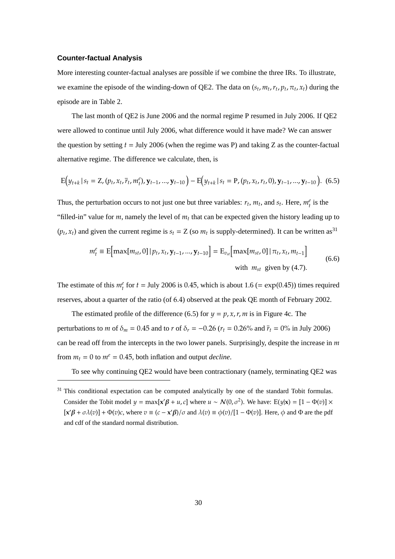#### **Counter-factual Analysis**

More interesting counter-factual analyses are possible if we combine the three IRs. To illustrate, we examine the episode of the winding-down of QE2. The data on  $(s_t, m_t, r_t, p_t, \pi_t, x_t)$  during the episode are in Table 2.

The last month of QE2 is June 2006 and the normal regime P resumed in July 2006. If QE2 were allowed to continue until July 2006, what difference would it have made? We can answer the question by setting *t* = July 2006 (when the regime was P) and taking Z as the counter-factual alternative regime. The difference we calculate, then, is

$$
E(y_{t+k} | s_t = Z, (p_t, x_t, \bar{r}_t, m_t^e), y_{t-1}, ..., y_{t-10}) - E(y_{t+k} | s_t = P, (p_t, x_t, r_t, 0), y_{t-1}, ..., y_{t-10}).
$$
 (6.5)

Thus, the perturbation occurs to not just one but three variables:  $r_t$ ,  $m_t$ , and  $s_t$ . Here,  $m_t^e$  is the "filled-in" value for  $m$ , namely the level of  $m_t$  that can be expected given the history leading up to  $(p_t, x_t)$  and given the current regime is  $s_t = Z$  (so  $m_t$  is supply-determined). It can be written as<sup>31</sup>

$$
m_t^e \equiv \mathbb{E}[\max[m_{st}, 0] | p_t, x_t, \mathbf{y}_{t-1}, ..., \mathbf{y}_{t-10}] = \mathbb{E}_{v_{st}}[\max[m_{st}, 0] | \pi_t, x_t, m_{t-1}]
$$
\n
$$
\text{with } m_{st} \text{ given by (4.7).}
$$
\n(6.6)

The estimate of this  $m_t^e$  for  $t =$  July 2006 is 0.45, which is about 1.6 (= exp(0.45)) times required reserves, about a quarter of the ratio (of 6.4) observed at the peak QE month of February 2002.

The estimated profile of the difference (6.5) for  $y = p, x, r, m$  is in Figure 4c. The perturbations to *m* of  $\delta_m = 0.45$  and to *r* of  $\delta_r = -0.26$  ( $r_t = 0.26$ % and  $\bar{r}_t = 0$ % in July 2006) can be read off from the intercepts in the two lower panels. Surprisingly, despite the increase in *m* from  $m_t = 0$  to  $m^e = 0.45$ , both inflation and output *decline*.

To see why continuing QE2 would have been contractionary (namely, terminating QE2 was

 $31$  This conditional expectation can be computed analytically by one of the standard Tobit formulas. Consider the Tobit model  $y = max[x'\beta + u, c]$  where  $u \sim N(0, \sigma^2)$ . We have:  $E(y|x) = [1 - \Phi(v)] \times$  $[\mathbf{x}'\beta + \sigma \lambda(v)] + \Phi(v)c$ , where  $v \equiv (c - \mathbf{x}'\beta)/\sigma$  and  $\lambda(v) \equiv \phi(v)/[1 - \Phi(v)]$ . Here,  $\phi$  and  $\Phi$  are the pdf and cdf of the standard normal distribution.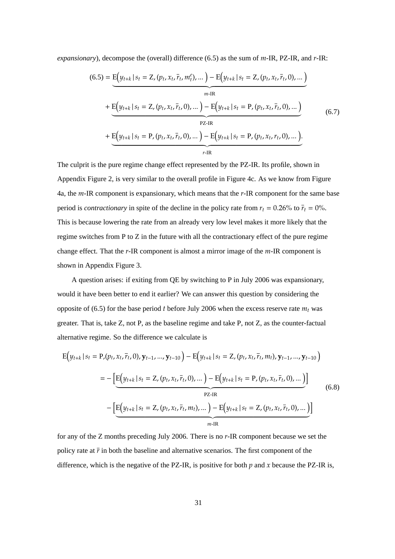*expansionary*), decompose the (overall) difference (6.5) as the sum of *m*-IR, PZ-IR, and *r*-IR:

$$
(6.5) = \underbrace{E(y_{t+k} | s_t = Z, (p_t, x_t, \bar{r}_t, m_t^e), \dots) - E(y_{t+k} | s_t = Z, (p_t, x_t, \bar{r}_t, 0), \dots)}_{m\text{-IR}} + \underbrace{E(y_{t+k} | s_t = Z, (p_t, x_t, \bar{r}_t, 0), \dots) - E(y_{t+k} | s_t = P, (p_t, x_t, \bar{r}_t, 0), \dots)}_{PZ\text{-IR}} + \underbrace{E(y_{t+k} | s_t = P, (p_t, x_t, \bar{r}_t, 0), \dots) - E(y_{t+k} | s_t = P, (p_t, x_t, r_t, 0), \dots)}_{r\text{-IR}}.
$$
\n(6.7)

The culprit is the pure regime change effect represented by the PZ-IR. Its profile, shown in Appendix Figure 2, is very similar to the overall profile in Figure 4c. As we know from Figure 4a, the *m*-IR component is expansionary, which means that the *r*-IR component for the same base period is *contractionary* in spite of the decline in the policy rate from  $r_t = 0.26\%$  to  $\bar{r}_t = 0\%$ . This is because lowering the rate from an already very low level makes it more likely that the regime switches from P to Z in the future with all the contractionary effect of the pure regime change effect. That the *r*-IR component is almost a mirror image of the *m*-IR component is shown in Appendix Figure 3.

A question arises: if exiting from QE by switching to P in July 2006 was expansionary, would it have been better to end it earlier? We can answer this question by considering the opposite of (6.5) for the base period *t* before July 2006 when the excess reserve rate  $m_t$  was greater. That is, take Z, not P, as the baseline regime and take P, not Z, as the counter-factual alternative regime. So the difference we calculate is

$$
E(y_{t+k} | s_t = P, (p_t, x_t, \overline{r}_t, 0), y_{t-1}, ..., y_{t-10}) - E(y_{t+k} | s_t = Z, (p_t, x_t, \overline{r}_t, m_t), y_{t-1}, ..., y_{t-10})
$$
  

$$
= -\left[ E(y_{t+k} | s_t = Z, (p_t, x_t, \overline{r}_t, 0), ... ) - E(y_{t+k} | s_t = P, (p_t, x_t, \overline{r}_t, 0), ... ) \right]
$$
  
PZ-IR  

$$
- \left[ E(y_{t+k} | s_t = Z, (p_t, x_t, \overline{r}_t, m_t), ... ) - E(y_{t+k} | s_t = Z, (p_t, x_t, \overline{r}_t, 0), ... ) \right]
$$
  
(6.8)  

$$
m-IR
$$

for any of the Z months preceding July 2006. There is no *r*-IR component because we set the policy rate at  $\bar{r}$  in both the baseline and alternative scenarios. The first component of the difference, which is the negative of the PZ-IR, is positive for both *p* and *x* because the PZ-IR is,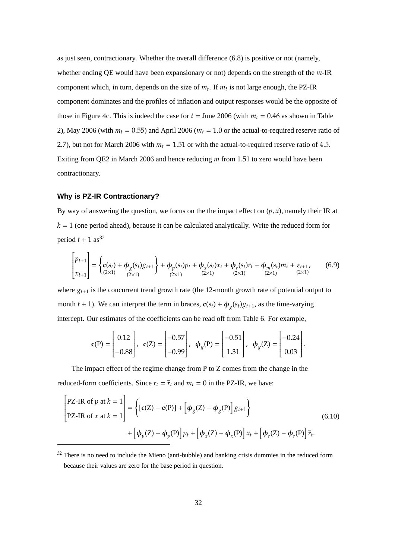as just seen, contractionary. Whether the overall difference (6.8) is positive or not (namely, whether ending QE would have been expansionary or not) depends on the strength of the *m*-IR component which, in turn, depends on the size of  $m_t$ . If  $m_t$  is not large enough, the PZ-IR component dominates and the profiles of inflation and output responses would be the opposite of those in Figure 4c. This is indeed the case for  $t =$  June 2006 (with  $m_t = 0.46$  as shown in Table 2), May 2006 (with  $m_t = 0.55$ ) and April 2006 ( $m_t = 1.0$  or the actual-to-required reserve ratio of 2.7), but not for March 2006 with  $m<sub>t</sub> = 1.51$  or with the actual-to-required reserve ratio of 4.5. Exiting from QE2 in March 2006 and hence reducing *m* from 1.51 to zero would have been contractionary.

# **Why is PZ-IR Contractionary?**

By way of answering the question, we focus on the the impact effect on  $(p, x)$ , namely their IR at  $k = 1$  (one period ahead), because it can be calculated analytically. Write the reduced form for period  $t + 1$  as<sup>32</sup>

$$
\begin{bmatrix} p_{t+1} \\ x_{t+1} \end{bmatrix} = \begin{cases} c(s_t) + \phi_g(s_t)g_{t+1} \\ (2 \times 1) \end{cases} + \phi_p(s_t)p_t + \phi_x(s_t)x_t + \phi_r(s_t)r_t + \phi_m(s_t)m_t + \varepsilon_{t+1}, \quad (6.9)
$$

where  $g_{t+1}$  is the concurrent trend growth rate (the 12-month growth rate of potential output to month  $t + 1$ ). We can interpret the term in braces,  $\mathbf{c}(s_t) + \phi_g(s_t)g_{t+1}$ , as the time-varying intercept. Our estimates of the coefficients can be read off from Table 6. For example,

$$
\mathbf{c}(\mathbf{P}) = \begin{bmatrix} 0.12 \\ -0.88 \end{bmatrix}, \quad \mathbf{c}(\mathbf{Z}) = \begin{bmatrix} -0.57 \\ -0.99 \end{bmatrix}, \quad \phi_{g}(\mathbf{P}) = \begin{bmatrix} -0.51 \\ 1.31 \end{bmatrix}, \quad \phi_{g}(\mathbf{Z}) = \begin{bmatrix} -0.24 \\ 0.03 \end{bmatrix}.
$$

The impact effect of the regime change from P to Z comes from the change in the reduced-form coefficients. Since  $r_t = \overline{r}_t$  and  $m_t = 0$  in the PZ-IR, we have:

$$
\begin{aligned}\n\begin{bmatrix}\n\text{PZ-IR of } p \text{ at } k=1 \\
\text{PZ-IR of } x \text{ at } k=1\n\end{bmatrix} &= \left\{ \left[ \mathbf{c}(Z) - \mathbf{c}(P) \right] + \left[ \phi_g(Z) - \phi_g(P) \right] g_{t+1} \right\} \\
&+ \left[ \phi_p(Z) - \phi_p(P) \right] p_t + \left[ \phi_x(Z) - \phi_x(P) \right] x_t + \left[ \phi_r(Z) - \phi_r(P) \right] \overline{r}_t.\n\end{aligned}\n\tag{6.10}
$$

 $32$  There is no need to include the Mieno (anti-bubble) and banking crisis dummies in the reduced form because their values are zero for the base period in question.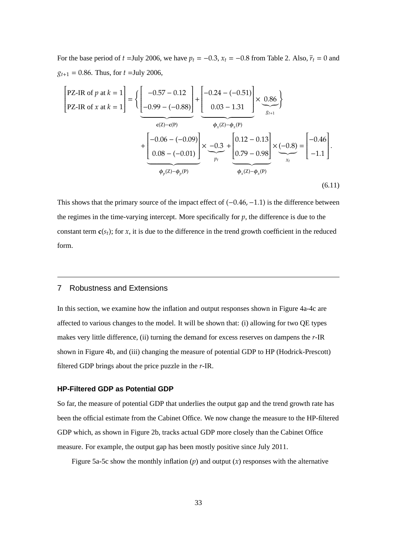For the base period of *t* =July 2006, we have  $p_t = -0.3$ ,  $x_t = -0.8$  from Table 2. Also,  $\bar{r}_t = 0$  and  $g_{t+1} = 0.86$ . Thus, for  $t =$ July 2006,

$$
\begin{bmatrix}\n\text{PZ-IR of } p \text{ at } k=1 \\
\text{PZ-IR of } x \text{ at } k=1\n\end{bmatrix} = \left\{ \underbrace{\begin{bmatrix} -0.57 - 0.12 \\ -0.99 - (-0.88) \end{bmatrix}}_{c(Z) - c(P)} + \underbrace{\begin{bmatrix} -0.24 - (-0.51) \\ 0.03 - 1.31 \end{bmatrix}}_{p_t} \times \underbrace{\begin{bmatrix} 0.86 \\ \phi_x(z) - \phi_x(p) \end{bmatrix}}_{p_t} + \underbrace{\begin{bmatrix} -0.06 - (-0.09) \\ 0.08 - (-0.01) \end{bmatrix}}_{p_t} \times \underbrace{-0.3}_{p_t} + \underbrace{\begin{bmatrix} 0.12 - 0.13 \\ 0.79 - 0.98 \end{bmatrix}}_{p_t} \times \underbrace{\begin{bmatrix} -0.8 \ -1.1 \end{bmatrix}}_{x_t} - \underbrace{\begin{bmatrix} -0.46 \\ -1.1 \end{bmatrix}}_{x_t}.\n\right\}.
$$
\n(6.11)

This shows that the primary source of the impact effect of  $(-0.46, -1.1)$  is the difference between the regimes in the time-varying intercept. More specifically for *p*, the difference is due to the constant term  $c(s_t)$ ; for *x*, it is due to the difference in the trend growth coefficient in the reduced form.

# 7 Robustness and Extensions

In this section, we examine how the inflation and output responses shown in Figure 4a-4c are affected to various changes to the model. It will be shown that: (i) allowing for two QE types makes very little difference, (ii) turning the demand for excess reserves on dampens the *r*-IR shown in Figure 4b, and (iii) changing the measure of potential GDP to HP (Hodrick-Prescott) filtered GDP brings about the price puzzle in the *r*-IR.

## **HP-Filtered GDP as Potential GDP**

So far, the measure of potential GDP that underlies the output gap and the trend growth rate has been the official estimate from the Cabinet Office. We now change the measure to the HP-filtered GDP which, as shown in Figure 2b, tracks actual GDP more closely than the Cabinet Office measure. For example, the output gap has been mostly positive since July 2011.

Figure 5a-5c show the monthly inflation  $(p)$  and output  $(x)$  responses with the alternative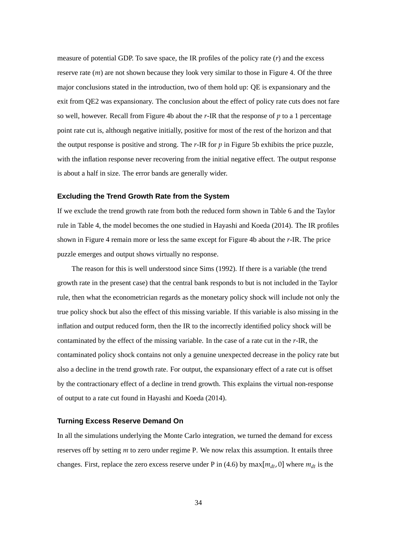measure of potential GDP. To save space, the IR profiles of the policy rate (*r*) and the excess reserve rate (*m*) are not shown because they look very similar to those in Figure 4. Of the three major conclusions stated in the introduction, two of them hold up: QE is expansionary and the exit from QE2 was expansionary. The conclusion about the effect of policy rate cuts does not fare so well, however. Recall from Figure 4b about the *r*-IR that the response of *p* to a 1 percentage point rate cut is, although negative initially, positive for most of the rest of the horizon and that the output response is positive and strong. The *r*-IR for *p* in Figure 5b exhibits the price puzzle, with the inflation response never recovering from the initial negative effect. The output response is about a half in size. The error bands are generally wider.

#### **Excluding the Trend Growth Rate from the System**

If we exclude the trend growth rate from both the reduced form shown in Table 6 and the Taylor rule in Table 4, the model becomes the one studied in Hayashi and Koeda (2014). The IR profiles shown in Figure 4 remain more or less the same except for Figure 4b about the *r*-IR. The price puzzle emerges and output shows virtually no response.

The reason for this is well understood since Sims (1992). If there is a variable (the trend growth rate in the present case) that the central bank responds to but is not included in the Taylor rule, then what the econometrician regards as the monetary policy shock will include not only the true policy shock but also the effect of this missing variable. If this variable is also missing in the inflation and output reduced form, then the IR to the incorrectly identified policy shock will be contaminated by the effect of the missing variable. In the case of a rate cut in the *r*-IR, the contaminated policy shock contains not only a genuine unexpected decrease in the policy rate but also a decline in the trend growth rate. For output, the expansionary effect of a rate cut is offset by the contractionary effect of a decline in trend growth. This explains the virtual non-response of output to a rate cut found in Hayashi and Koeda (2014).

#### **Turning Excess Reserve Demand On**

In all the simulations underlying the Monte Carlo integration, we turned the demand for excess reserves off by setting *m* to zero under regime P. We now relax this assumption. It entails three changes. First, replace the zero excess reserve under P in (4.6) by max $[m_{dt}, 0]$  where  $m_{dt}$  is the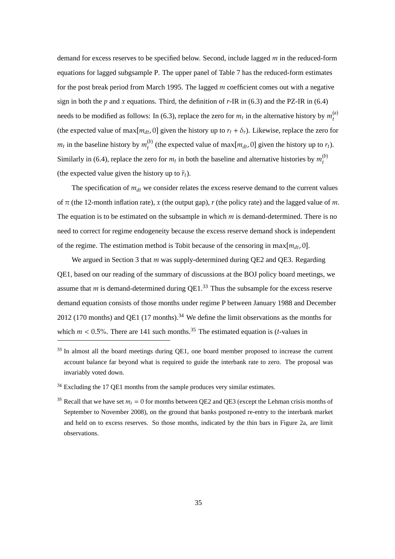demand for excess reserves to be specified below. Second, include lagged *m* in the reduced-form equations for lagged subgsample P. The upper panel of Table 7 has the reduced-form estimates for the post break period from March 1995. The lagged *m* coefficient comes out with a negative sign in both the  $p$  and  $x$  equations. Third, the definition of  $r$ -IR in (6.3) and the PZ-IR in (6.4) needs to be modified as follows: In (6.3), replace the zero for  $m_t$  in the alternative history by  $m_t^{(a)}$ *t* (the expected value of max $[m_{dt}, 0]$  given the history up to  $r_t + \delta_r$ ). Likewise, replace the zero for  $m_t$  in the baseline history by  $m_t^{(b)}$  $t_t^{(0)}$  (the expected value of max $[m_{dt}, 0]$  given the history up to  $r_t$ ). Similarly in (6.4), replace the zero for  $m_t$  in both the baseline and alternative histories by  $m_t^{(b)}$ *t* (the expected value given the history up to  $\bar{r}_t$ ).

The specification of  $m_{dt}$  we consider relates the excess reserve demand to the current values of  $\pi$  (the 12-month inflation rate),  $x$  (the output gap),  $r$  (the policy rate) and the lagged value of  $m$ . The equation is to be estimated on the subsample in which *m* is demand-determined. There is no need to correct for regime endogeneity because the excess reserve demand shock is independent of the regime. The estimation method is Tobit because of the censoring in max $[m_{dt}, 0]$ .

We argued in Section 3 that *m* was supply-determined during QE2 and QE3. Regarding QE1, based on our reading of the summary of discussions at the BOJ policy board meetings, we assume that  $m$  is demand-determined during  $QE1$ <sup>33</sup>. Thus the subsample for the excess reserve demand equation consists of those months under regime P between January 1988 and December 2012 (170 months) and QE1 (17 months).<sup>34</sup> We define the limit observations as the months for which  $m < 0.5$ %. There are 141 such months.<sup>35</sup> The estimated equation is (*t*-values in

<sup>&</sup>lt;sup>33</sup> In almost all the board meetings during QE1, one board member proposed to increase the current account balance far beyond what is required to guide the interbank rate to zero. The proposal was invariably voted down.

 $34$  Excluding the 17 QE1 months from the sample produces very similar estimates.

<sup>&</sup>lt;sup>35</sup> Recall that we have set  $m_t = 0$  for months between QE2 and QE3 (except the Lehman crisis months of September to November 2008), on the ground that banks postponed re-entry to the interbank market and held on to excess reserves. So those months, indicated by the thin bars in Figure 2a, are limit observations.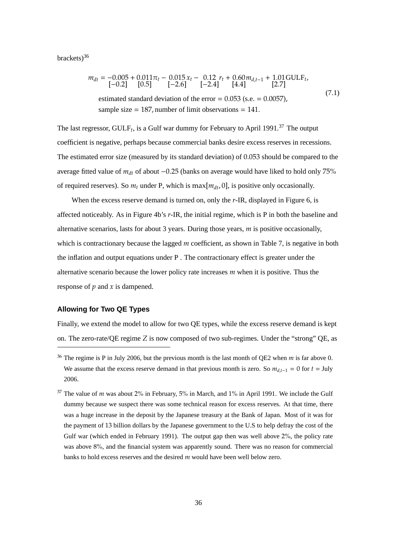brackets $)^{36}$ 

$$
m_{dt} = -0.005 + 0.011\pi_t - 0.015x_t - 0.12r_t + 0.60m_{d,t-1} + 1.01 \text{GULE}_{t},
$$
  
\n[-0.2] [0.5] [-2.6] [-2.4] [4.4] [2.7]

The last regressor,  $GULF_t$ , is a Gulf war dummy for February to April 1991.<sup>37</sup> The output coefficient is negative, perhaps because commercial banks desire excess reserves in recessions. The estimated error size (measured by its standard deviation) of 0.053 should be compared to the average fitted value of *mdt* of about −0.25 (banks on average would have liked to hold only 75% of required reserves). So  $m_t$  under P, which is max $[m_{dt}, 0]$ , is positive only occasionally.

When the excess reserve demand is turned on, only the *r*-IR, displayed in Figure 6, is affected noticeably. As in Figure 4b's *r*-IR, the initial regime, which is P in both the baseline and alternative scenarios, lasts for about 3 years. During those years, *m* is positive occasionally, which is contractionary because the lagged *m* coefficient, as shown in Table 7, is negative in both the inflation and output equations under P . The contractionary effect is greater under the alternative scenario because the lower policy rate increases *m* when it is positive. Thus the response of *p* and *x* is dampened.

# **Allowing for Two QE Types**

Finally, we extend the model to allow for two QE types, while the excess reserve demand is kept on. The zero-rate/QE regime *Z* is now composed of two sub-regimes. Under the "strong" QE, as

<sup>36</sup> The regime is P in July 2006, but the previous month is the last month of QE2 when *m* is far above 0. We assume that the excess reserve demand in that previous month is zero. So  $m_{d,t-1} = 0$  for  $t =$  July 2006.

 $37$  The value of *m* was about 2% in February, 5% in March, and 1% in April 1991. We include the Gulf dummy because we suspect there was some technical reason for excess reserves. At that time, there was a huge increase in the deposit by the Japanese treasury at the Bank of Japan. Most of it was for the payment of 13 billion dollars by the Japanese government to the U.S to help defray the cost of the Gulf war (which ended in February 1991). The output gap then was well above 2%, the policy rate was above 8%, and the financial system was apparently sound. There was no reason for commercial banks to hold excess reserves and the desired *m* would have been well below zero.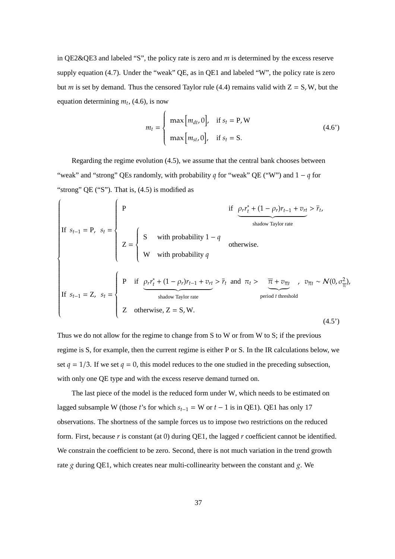in QE2&QE3 and labeled "S", the policy rate is zero and *m* is determined by the excess reserve supply equation (4.7). Under the "weak" QE, as in QE1 and labeled "W", the policy rate is zero but *m* is set by demand. Thus the censored Taylor rule (4.4) remains valid with  $Z = S$ , W, but the equation determining  $m_t$ , (4.6), is now

$$
m_{t} = \begin{cases} \max[m_{dt}, 0], & \text{if } s_{t} = P, W \\ \max[m_{st}, 0], & \text{if } s_{t} = S. \end{cases}
$$
 (4.6')

Regarding the regime evolution (4.5), we assume that the central bank chooses between "weak" and "strong" QEs randomly, with probability *q* for "weak" QE ("W") and 1 − *q* for "strong" QE ("S"). That is,  $(4.5)$  is modified as

 $\overline{a}$ 

If 
$$
s_{t-1} = P
$$
,  $s_t = \begin{cases} P & \text{if } \frac{\rho_r r_t^* + (1 - \rho_r) r_{t-1} + v_{rt}}{\text{shadow Taylor rate}} > \bar{r}_t, \\ Z = \begin{cases} S & \text{with probability } 1 - q \\ W & \text{with probability } q \end{cases} \\ \text{If } s_{t-1} = Z, s_t = \begin{cases} P & \text{if } \frac{\rho_r r_t^* + (1 - \rho_r) r_{t-1} + v_{rt}}{\text{shadow Taylor rate}} > \bar{r}_t \text{ and } \pi_t > \bar{\pi} + v_{\bar{\pi}t} &, v_{\bar{\pi}t} \sim N(0, \sigma_{\bar{\pi}}^2), \\ Z & \text{shadow Taylor rate} \end{cases} \text{, the given probability } \sigma_{\bar{\pi}} \text{ is the probability of the given probability } \sigma_{\bar{\pi}} \text{ and } \sigma_{\bar{\pi}} \text{ is the probability of the given probability } \sigma_{\bar{\pi}} \text{ and } \sigma_{\bar{\pi}} \text{ is the probability of the given probability } \sigma_{\bar{\pi}} \text{ and } \sigma_{\bar{\pi}} \text{ is the probability of the given probability } \sigma_{\bar{\pi}} \text{ and } \sigma_{\bar{\pi}} \text{ is the probability of the given probability } \sigma_{\bar{\pi}} \text{ and } \sigma_{\bar{\pi}} \text{ is the probability of the given probability } \sigma_{\bar{\pi}} \text{ and } \sigma_{\bar{\pi}} \text{ is the probability of the given probability } \sigma_{\bar{\pi}} \text{ and } \sigma_{\bar{\pi}} \text{ is the probability of the given probability } \sigma_{\bar{\pi}} \text{ and } \sigma_{\bar{\pi}} \text{ is the probability of the given probability } \sigma_{\bar{\pi}} \text{ and } \sigma_{\bar{\pi}} \text{ is the probability of the given probability } \sigma_{\bar{\pi}} \text{ and } \sigma_{\bar{\pi}} \text{ is the probability of the given probability } \sigma_{\bar{\pi}} \text{ and } \sigma_{\bar{\pi}} \text{ is the probability of the given probability } \sigma_{\bar{\pi}} \text{ and } \sigma_{\bar{\pi}} \text{ is the probability of the given probability. } \sigma_{\bar{\pi}} \text{ is the probability of the given probability. } \sigma_{\bar{\pi}} \text{ is the probability of the given probability. } \sigma_{\bar{\pi}} \text{ is the probability of the given probability. } \sigma_{\bar{\pi}} \text{ is the probability of the given probability } \sigma_{\bar{\pi}} \text{ and } \sigma_{\bar{\pi}} \text{ is the$ 

Thus we do not allow for the regime to change from S to W or from W to S; if the previous regime is S, for example, then the current regime is either P or S. In the IR calculations below, we set  $q = 1/3$ . If we set  $q = 0$ , this model reduces to the one studied in the preceding subsection, with only one QE type and with the excess reserve demand turned on.

The last piece of the model is the reduced form under W, which needs to be estimated on lagged subsample W (those *t*'s for which  $s_{t-1} = W$  or  $t - 1$  is in QE1). QE1 has only 17 observations. The shortness of the sample forces us to impose two restrictions on the reduced form. First, because *r* is constant (at 0) during QE1, the lagged *r* coefficient cannot be identified. We constrain the coefficient to be zero. Second, there is not much variation in the trend growth rate *g* during QE1, which creates near multi-collinearity between the constant and *g*. We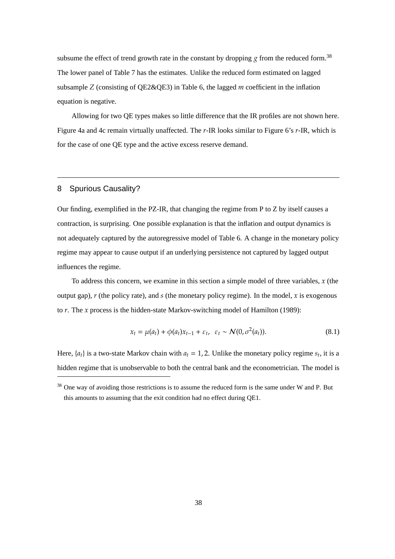subsume the effect of trend growth rate in the constant by dropping  $g$  from the reduced form.<sup>38</sup> The lower panel of Table 7 has the estimates. Unlike the reduced form estimated on lagged subsample *Z* (consisting of QE2&QE3) in Table 6, the lagged *m* coefficient in the inflation equation is negative.

Allowing for two QE types makes so little difference that the IR profiles are not shown here. Figure 4a and 4c remain virtually unaffected. The *r*-IR looks similar to Figure 6's *r*-IR, which is for the case of one QE type and the active excess reserve demand.

# 8 Spurious Causality?

Our finding, exemplified in the PZ-IR, that changing the regime from P to Z by itself causes a contraction, is surprising. One possible explanation is that the inflation and output dynamics is not adequately captured by the autoregressive model of Table 6. A change in the monetary policy regime may appear to cause output if an underlying persistence not captured by lagged output influences the regime.

To address this concern, we examine in this section a simple model of three variables, *x* (the output gap), *r* (the policy rate), and *s* (the monetary policy regime). In the model, *x* is exogenous to *r*. The *x* process is the hidden-state Markov-switching model of Hamilton (1989):

$$
x_t = \mu(a_t) + \phi(a_t)x_{t-1} + \varepsilon_t, \quad \varepsilon_t \sim \mathcal{N}(0, \sigma^2(a_t)). \tag{8.1}
$$

Here,  $\{a_t\}$  is a two-state Markov chain with  $a_t = 1, 2$ . Unlike the monetary policy regime  $s_t$ , it is a hidden regime that is unobservable to both the central bank and the econometrician. The model is

<sup>&</sup>lt;sup>38</sup> One way of avoiding those restrictions is to assume the reduced form is the same under W and P. But this amounts to assuming that the exit condition had no effect during QE1.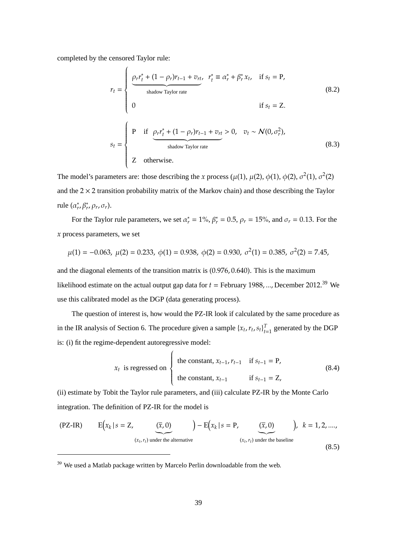completed by the censored Taylor rule:

$$
r_{t} = \begin{cases} \frac{\rho_{r}r_{t}^{*} + (1 - \rho_{r})r_{t-1} + v_{rt}}{\text{shadow Taylor rate}} & r_{t}^{*} \equiv \alpha_{r}^{*} + \beta_{r}^{*}x_{t}, & \text{if } s_{t} = \text{P}, \\ 0 & \text{if } s_{t} = \text{Z}. \end{cases}
$$
\n
$$
s_{t} = \begin{cases} \text{P} & \text{if } \underbrace{\rho_{r}r_{t}^{*} + (1 - \rho_{r})r_{t-1} + v_{rt}}_{\text{shadow Taylor rate}} > 0, & v_{t} \sim \mathcal{N}(0, \sigma_{r}^{2}), \\ \text{shadow Taylor rate} \\ Z & \text{otherwise.} \end{cases}
$$
\n
$$
(8.3)
$$

The model's parameters are: those describing the *x* process ( $\mu$ (1),  $\mu$ (2),  $\phi$ (1),  $\phi$ (2),  $\sigma$ <sup>2</sup>(1),  $\sigma$ <sup>2</sup>(2) and the  $2 \times 2$  transition probability matrix of the Markov chain) and those describing the Taylor rule  $(\alpha_r^*, \beta_r^*, \rho_r, \sigma_r)$ .

For the Taylor rule parameters, we set  $\alpha_r^* = 1\%$ ,  $\beta_r^* = 0.5$ ,  $\rho_r = 15\%$ , and  $\sigma_r = 0.13$ . For the *x* process parameters, we set

$$
\mu(1) = -0.063, \ \mu(2) = 0.233, \ \phi(1) = 0.938, \ \phi(2) = 0.930, \ \sigma^2(1) = 0.385, \ \sigma^2(2) = 7.45,
$$

and the diagonal elements of the transition matrix is (0.976, 0.640). This is the maximum likelihood estimate on the actual output gap data for *t* = February 1988, ..., December 2012. <sup>39</sup> We use this calibrated model as the DGP (data generating process).

The question of interest is, how would the PZ-IR look if calculated by the same procedure as in the IR analysis of Section 6. The procedure given a sample  $\{x_t, r_t, s_t\}_{t=1}^T$  $t_{t=1}^T$  generated by the DGP is: (i) fit the regime-dependent autoregressive model:

$$
x_{t} \text{ is regressed on} \begin{cases} \text{the constant, } x_{t-1}, r_{t-1} & \text{if } s_{t-1} = P, \\ \text{the constant, } x_{t-1} & \text{if } s_{t-1} = Z, \end{cases}
$$
(8.4)

(ii) estimate by Tobit the Taylor rule parameters, and (iii) calculate PZ-IR by the Monte Carlo integration. The definition of PZ-IR for the model is

$$
\text{(PZ-IR)} \qquad \mathcal{E}\Big(x_k \mid s = \mathcal{Z}, \underbrace{(\overline{x}, 0)}_{(x_t, r_t) \text{ under the alternative}}\Big) - \mathcal{E}\Big(x_k \mid s = \mathcal{P}, \underbrace{(\overline{x}, 0)}_{(x_t, r_t) \text{ under the baseline}}\Big), \quad k = 1, 2, \dots, \tag{8.5}
$$

<sup>39</sup> We used a Matlab package written by Marcelo Perlin downloadable from the web.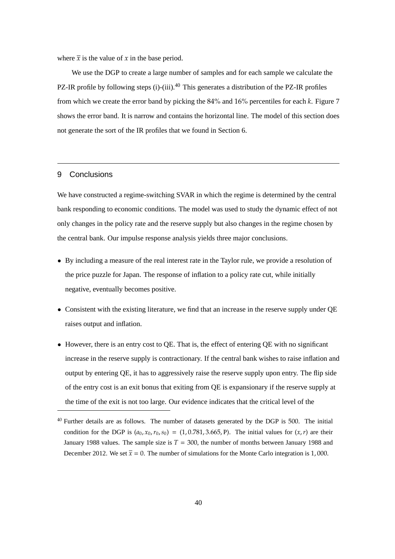where  $\bar{x}$  is the value of *x* in the base period.

We use the DGP to create a large number of samples and for each sample we calculate the PZ-IR profile by following steps (i)-(iii).<sup>40</sup> This generates a distribution of the PZ-IR profiles from which we create the error band by picking the 84% and 16% percentiles for each *k*. Figure 7 shows the error band. It is narrow and contains the horizontal line. The model of this section does not generate the sort of the IR profiles that we found in Section 6.

# 9 Conclusions

We have constructed a regime-switching SVAR in which the regime is determined by the central bank responding to economic conditions. The model was used to study the dynamic effect of not only changes in the policy rate and the reserve supply but also changes in the regime chosen by the central bank. Our impulse response analysis yields three major conclusions.

- By including a measure of the real interest rate in the Taylor rule, we provide a resolution of the price puzzle for Japan. The response of inflation to a policy rate cut, while initially negative, eventually becomes positive.
- Consistent with the existing literature, we find that an increase in the reserve supply under QE raises output and inflation.
- However, there is an entry cost to QE. That is, the effect of entering QE with no significant increase in the reserve supply is contractionary. If the central bank wishes to raise inflation and output by entering QE, it has to aggressively raise the reserve supply upon entry. The flip side of the entry cost is an exit bonus that exiting from QE is expansionary if the reserve supply at the time of the exit is not too large. Our evidence indicates that the critical level of the

<sup>&</sup>lt;sup>40</sup> Further details are as follows. The number of datasets generated by the DGP is 500. The initial condition for the DGP is  $(a_0, x_0, r_0, s_0) = (1, 0.781, 3.665, P)$ . The initial values for  $(x, r)$  are their January 1988 values. The sample size is *T* = 300, the number of months between January 1988 and December 2012. We set  $\bar{x} = 0$ . The number of simulations for the Monte Carlo integration is 1,000.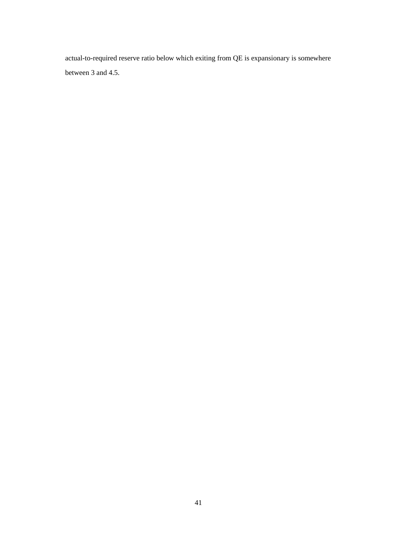actual-to-required reserve ratio below which exiting from QE is expansionary is somewhere between 3 and 4.5.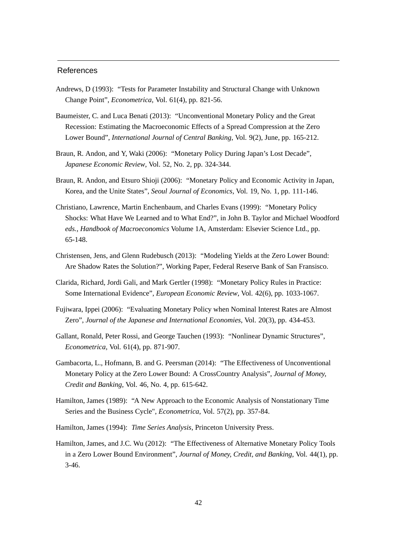### References

- Andrews, D (1993): "Tests for Parameter Instability and Structural Change with Unknown Change Point", *Econometrica*, Vol. 61(4), pp. 821-56.
- Baumeister, C. and Luca Benati (2013): "Unconventional Monetary Policy and the Great Recession: Estimating the Macroeconomic Effects of a Spread Compression at the Zero Lower Bound", *International Journal of Central Banking*, Vol. 9(2), June, pp. 165-212.
- Braun, R. Andon, and Y, Waki (2006): "Monetary Policy During Japan's Lost Decade", *Japanese Economic Review*, Vol. 52, No. 2, pp. 324-344.
- Braun, R. Andon, and Etsuro Shioji (2006): "Monetary Policy and Economic Activity in Japan, Korea, and the Unite States", *Seoul Journal of Economics*, Vol. 19, No. 1, pp. 111-146.
- Christiano, Lawrence, Martin Enchenbaum, and Charles Evans (1999): "Monetary Policy Shocks: What Have We Learned and to What End?", in John B. Taylor and Michael Woodford *eds., Handbook of Macroeconomics* Volume 1A, Amsterdam: Elsevier Science Ltd., pp. 65-148.
- Christensen, Jens, and Glenn Rudebusch (2013): "Modeling Yields at the Zero Lower Bound: Are Shadow Rates the Solution?", Working Paper, Federal Reserve Bank of San Fransisco.
- Clarida, Richard, Jordi Gali, and Mark Gertler (1998): "Monetary Policy Rules in Practice: Some International Evidence", *European Economic Review*, Vol. 42(6), pp. 1033-1067.
- Fujiwara, Ippei (2006): "Evaluating Monetary Policy when Nominal Interest Rates are Almost Zero", *Journal of the Japanese and International Economies*, Vol. 20(3), pp. 434-453.
- Gallant, Ronald, Peter Rossi, and George Tauchen (1993): "Nonlinear Dynamic Structures", *Econometrica*, Vol. 61(4), pp. 871-907.
- Gambacorta, L., Hofmann, B. and G. Peersman (2014): "The Effectiveness of Unconventional Monetary Policy at the Zero Lower Bound: A CrossCountry Analysis", *Journal of Money, Credit and Banking*, Vol. 46, No. 4, pp. 615-642.
- Hamilton, James (1989): "A New Approach to the Economic Analysis of Nonstationary Time Series and the Business Cycle", *Econometrica*, Vol. 57(2), pp. 357-84.
- Hamilton, James (1994): *Time Series Analysis*, Princeton University Press.
- Hamilton, James, and J.C. Wu (2012): "The Effectiveness of Alternative Monetary Policy Tools in a Zero Lower Bound Environment", *Journal of Money, Credit, and Banking*, Vol. 44(1), pp. 3-46.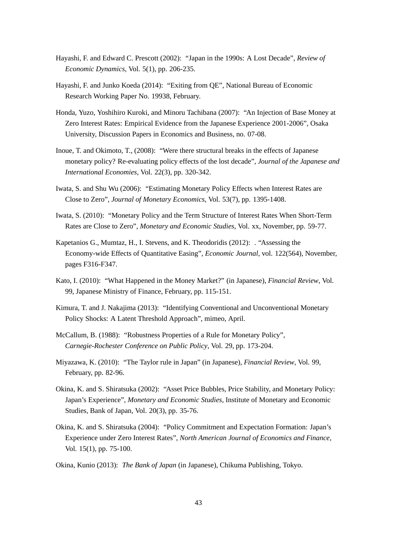- Hayashi, F. and Edward C. Prescott (2002): "Japan in the 1990s: A Lost Decade", *Review of Economic Dynamics*, Vol. 5(1), pp. 206-235.
- Hayashi, F. and Junko Koeda (2014): "Exiting from QE", National Bureau of Economic Research Working Paper No. 19938, February.
- Honda, Yuzo, Yoshihiro Kuroki, and Minoru Tachibana (2007): "An Injection of Base Money at Zero Interest Rates: Empirical Evidence from the Japanese Experience 2001-2006", Osaka University, Discussion Papers in Economics and Business, no. 07-08.
- Inoue, T. and Okimoto, T., (2008): "Were there structural breaks in the effects of Japanese monetary policy? Re-evaluating policy effects of the lost decade", *Journal of the Japanese and International Economies*, Vol. 22(3), pp. 320-342.
- Iwata, S. and Shu Wu (2006): "Estimating Monetary Policy Effects when Interest Rates are Close to Zero", *Journal of Monetary Economics*, Vol. 53(7), pp. 1395-1408.
- Iwata, S. (2010): "Monetary Policy and the Term Structure of Interest Rates When Short-Term Rates are Close to Zero", *Monetary and Economic Studies*, Vol. xx, November, pp. 59-77.
- Kapetanios G., Mumtaz, H., I. Stevens, and K. Theodoridis (2012): . "Assessing the Economy-wide Effects of Quantitative Easing", *Economic Journal*, vol. 122(564), November, pages F316-F347.
- Kato, I. (2010): "What Happened in the Money Market?" (in Japanese), *Financial Review*, Vol. 99, Japanese Ministry of Finance, February, pp. 115-151.
- Kimura, T. and J. Nakajima (2013): "Identifying Conventional and Unconventional Monetary Policy Shocks: A Latent Threshold Approach", mimeo, April.
- McCallum, B. (1988): "Robustness Properties of a Rule for Monetary Policy", *Carnegie-Rochester Conference on Public Policy*, Vol. 29, pp. 173-204.
- Miyazawa, K. (2010): "The Taylor rule in Japan" (in Japanese), *Financial Review*, Vol. 99, February, pp. 82-96.
- Okina, K. and S. Shiratsuka (2002): "Asset Price Bubbles, Price Stability, and Monetary Policy: Japan's Experience", *Monetary and Economic Studies*, Institute of Monetary and Economic Studies, Bank of Japan, Vol. 20(3), pp. 35-76.
- Okina, K. and S. Shiratsuka (2004): "Policy Commitment and Expectation Formation: Japan's Experience under Zero Interest Rates", *North American Journal of Economics and Finance*, Vol. 15(1), pp. 75-100.
- Okina, Kunio (2013): *The Bank of Japan* (in Japanese), Chikuma Publishing, Tokyo.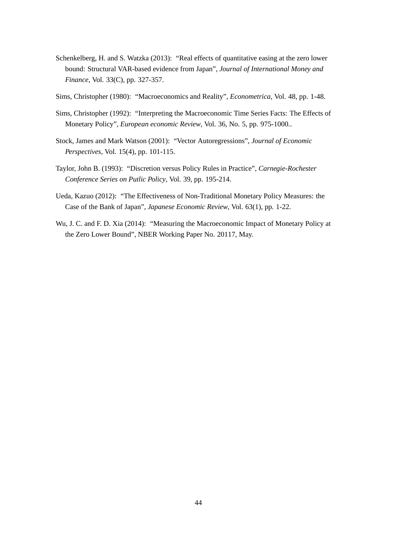- Schenkelberg, H. and S. Watzka (2013): "Real effects of quantitative easing at the zero lower bound: Structural VAR-based evidence from Japan", *Journal of International Money and Finance*, Vol. 33(C), pp. 327-357.
- Sims, Christopher (1980): "Macroeconomics and Reality", *Econometrica*, Vol. 48, pp. 1-48.
- Sims, Christopher (1992): "Interpreting the Macroeconomic Time Series Facts: The Effects of Monetary Policy", *European economic Review*, Vol. 36, No. 5, pp. 975-1000..
- Stock, James and Mark Watson (2001): "Vector Autoregressions", *Journal of Economic Perspectives*, Vol. 15(4), pp. 101-115.
- Taylor, John B. (1993): "Discretion versus Policy Rules in Practice", *Carnegie-Rochester Conference Series on Putlic Policy*, Vol. 39, pp. 195-214.
- Ueda, Kazuo (2012): "The Effectiveness of Non-Traditional Monetary Policy Measures: the Case of the Bank of Japan", *Japanese Economic Review*, Vol. 63(1), pp. 1-22.
- Wu, J. C. and F. D. Xia (2014): "Measuring the Macroeconomic Impact of Monetary Policy at the Zero Lower Bound", NBER Working Paper No. 20117, May.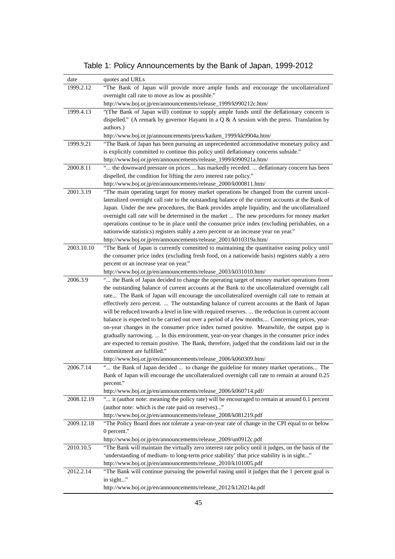| date       | quotes and URLs                                                                                                                                               |
|------------|---------------------------------------------------------------------------------------------------------------------------------------------------------------|
| 1999.2.12  | "The Bank of Japan will provide more ample funds and encourage the uncollateralized                                                                           |
|            | overnight call rate to move as low as possible."                                                                                                              |
|            | http://www.boj.or.jp/en/announcements/release_1999/k990212c.htm/                                                                                              |
| 1999.4.13  | "(The Bank of Japan will) continue to supply ample funds until the deflationary concern is                                                                    |
|            | dispelled." (A remark by governor Hayami in a $Q & A$ session with the press. Translation by                                                                  |
|            | authors.)                                                                                                                                                     |
|            | http://www.boj.or.jp/announcements/press/kaiken_1999/kk9904a.htm/                                                                                             |
| 1999.9.21  | "The Bank of Japan has been pursuing an unprecedented accommodative monetary policy and                                                                       |
|            | is explicitly committed to continue this policy until deflationary concerns subside."                                                                         |
| 2000.8.11  | http://www.boj.or.jp/en/announcements/release_1999/k990921a.htm/<br>" the downward pressure on prices  has markedly receded.  deflationary concern has been   |
|            | dispelled, the condition for lifting the zero interest rate policy."                                                                                          |
|            | http://www.boj.or.jp/en/announcements/release_2000/k000811.htm/                                                                                               |
| 2001.3.19  | "The main operating target for money market operations be changed from the current uncol-                                                                     |
|            | lateralized overnight call rate to the outstanding balance of the current accounts at the Bank of                                                             |
|            | Japan. Under the new procedures, the Bank provides ample liquidity, and the uncollateralized                                                                  |
|            | overnight call rate will be determined in the market  The new procedures for money market                                                                     |
|            | operations continue to be in place until the consumer price index (excluding perishables, on a                                                                |
|            | nationwide statistics) registers stably a zero percent or an increase year on year."                                                                          |
|            | http://www.boj.or.jp/en/announcements/release_2001/k010319a.htm/                                                                                              |
| 2003.10.10 | "The Bank of Japan is currently committed to maintaining the quantitative easing policy until                                                                 |
|            | the consumer price index (excluding fresh food, on a nationwide basis) registers stably a zero                                                                |
|            | percent or an increase year on year."                                                                                                                         |
| 2006.3.9   | http://www.boj.or.jp/en/announcements/release_2003/k031010.htm/<br>" the Bank of Japan decided to change the operating target of money market operations from |
|            | the outstanding balance of current accounts at the Bank to the uncollateralized overnight call                                                                |
|            | rate The Bank of Japan will encourage the uncollateralized overnight call rate to remain at                                                                   |
|            | effectively zero percent.  The outstanding balance of current accounts at the Bank of Japan                                                                   |
|            | will be reduced towards a level in line with required reserves.  the reduction in current account                                                             |
|            | balance is expected to be carried out over a period of a few months Concerning prices, year-                                                                  |
|            | on-year changes in the consumer price index turned positive. Meanwhile, the output gap is                                                                     |
|            | gradually narrowing.  In this environment, year-on-year changes in the consumer price index                                                                   |
|            | are expected to remain positive. The Bank, therefore, judged that the conditions laid out in the                                                              |
|            | commitment are fulfilled."                                                                                                                                    |
|            | http://www.boj.or.jp/en/announcements/release_2006/k060309.htm/                                                                                               |
| 2006.7.14  | " the Bank of Japan decided  to change the guideline for money market operations The                                                                          |
|            | Bank of Japan will encourage the uncollateralized overnight call rate to remain at around 0.25<br>percent."                                                   |
|            | http://www.boj.or.jp/en/announcements/release_2006/k060714.pdf/                                                                                               |
| 2008.12.19 | " it (author note: meaning the policy rate) will be encouraged to remain at around 0.1 percent                                                                |
|            | (author note: which is the rate paid on reserves)"                                                                                                            |
|            | http://www.boj.or.jp/en/announcements/release_2008/k081219.pdf                                                                                                |
| 2009.12.18 | "The Policy Board does not tolerate a year-on-year rate of change in the CPI equal to or below                                                                |
|            | 0 percent."                                                                                                                                                   |
|            | http://www.boj.or.jp/en/announcements/release_2009/un0912c.pdf                                                                                                |
| 2010.10.5  | "The Bank will maintain the virtually zero interest rate policy until it judges, on the basis of the                                                          |
|            | 'understanding of medium- to long-term price stability' that price stability is in sight"                                                                     |
|            | http://www.boj.or.jp/en/announcements/release_2010/k101005.pdf                                                                                                |
| 2012.2.14  | "The Bank will continue pursuing the powerful easing until it judges that the 1 percent goal is                                                               |
|            | in sight"                                                                                                                                                     |
|            | http://www.boj.or.jp/en/announcements/release_2012/k120214a.pdf                                                                                               |

Table 1: Policy Announcements by the Bank of Japan, 1999-2012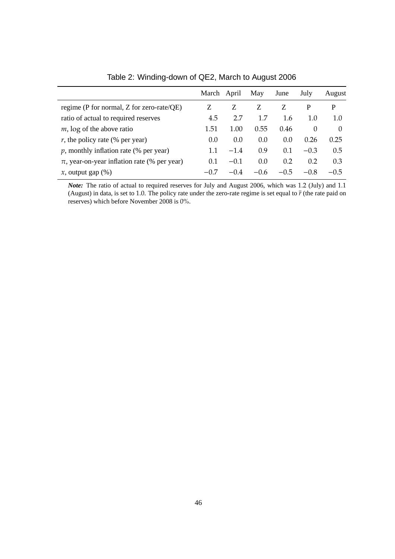|                                                  | March April |        | May    | June   | July     | August   |
|--------------------------------------------------|-------------|--------|--------|--------|----------|----------|
| regime (P for normal, Z for zero-rate/QE)        |             | Z.     | Z      | Z      | P        | P        |
| ratio of actual to required reserves             | 4.5         | 2.7    | 1.7    | 1.6    | 1.0      | 1.0      |
| $m$ , log of the above ratio                     | 1.51        | 1.00   | 0.55   | 0.46   | $\Omega$ | $\theta$ |
| $r$ , the policy rate (% per year)               | (0.0)       | 0.0    | 0.0    | 0.0    | 0.26     | 0.25     |
| $p$ , monthly inflation rate (% per year)        | 1.1         | $-1.4$ | 0.9    | 0.1    | $-0.3$   | 0.5      |
| $\pi$ , year-on-year inflation rate (% per year) | 0.1         | $-0.1$ | 0.0    | 0.2    | 0.2      | 0.3      |
| $x$ , output gap $(\%)$                          | $-0.7$      | $-0.4$ | $-0.6$ | $-0.5$ | $-0.8$   | $-0.5$   |

Table 2: Winding-down of QE2, March to August 2006

*Note:* The ratio of actual to required reserves for July and August 2006, which was 1.2 (July) and 1.1 (August) in data, is set to 1.0. The policy rate under the zero-rate regime is set equal to  $\bar{r}$  (the rate paid on reserves) which before November 2008 is 0%.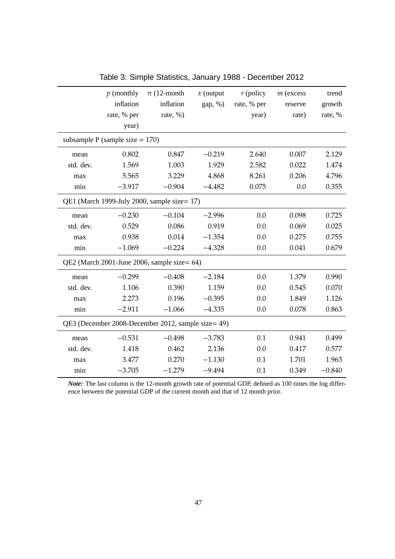|           | $p$ (monthly                       | $\pi$ (12-month                                    | $x$ (output | $r$ (policy | $m$ (excess | trend    |
|-----------|------------------------------------|----------------------------------------------------|-------------|-------------|-------------|----------|
|           | inflation                          | inflation                                          | gap, %)     | rate, % per | reserve     | growth   |
|           | rate, % per                        | rate, $%$ )                                        |             | year)       | rate)       | rate, %  |
|           | year)                              |                                                    |             |             |             |          |
|           | subsample P (sample size $= 170$ ) |                                                    |             |             |             |          |
| mean      | 0.802                              | 0.847                                              | $-0.219$    | 2.640       | 0.007       | 2.129    |
| std. dev. | 1.569                              | 1.003                                              | 1.929       | 2.582       | 0.022       | 1.474    |
| max       | 5.565                              | 3.229                                              | 4.868       | 8.261       | 0.206       | 4.796    |
| min       | $-3.917$                           | $-0.904$                                           | $-4.482$    | 0.075       | 0.0         | 0.355    |
|           |                                    | QE1 (March 1999-July 2000, sample size= 17)        |             |             |             |          |
| mean      | $-0.230$                           | $-0.104$                                           | $-2.996$    | 0.0         | 0.098       | 0.725    |
| std. dev. | 0.529                              | 0.086                                              | 0.919       | 0.0         | 0.069       | 0.025    |
| max       | 0.938                              | 0.014                                              | $-1.354$    | 0.0         | 0.275       | 0.755    |
| min       | $-1.069$                           | $-0.224$                                           | $-4.328$    | 0.0         | 0.041       | 0.679    |
|           |                                    | QE2 (March 2001-June 2006, sample size= 64)        |             |             |             |          |
| mean      | $-0.299$                           | $-0.408$                                           | $-2.184$    | 0.0         | 1.379       | 0.990    |
| std. dev. | 1.106                              | 0.390                                              | 1.159       | 0.0         | 0.545       | 0.070    |
| max       | 2.273                              | 0.196                                              | $-0.395$    | 0.0         | 1.849       | 1.126    |
| min       | $-2.911$                           | $-1.066$                                           | $-4.335$    | 0.0         | 0.078       | 0.863    |
|           |                                    | QE3 (December 2008-December 2012, sample size= 49) |             |             |             |          |
| mean      | $-0.531$                           | $-0.498$                                           | $-3.783$    | 0.1         | 0.941       | 0.499    |
| std. dev. | 1.418                              | 0.462                                              | 2.136       | 0.0         | 0.417       | 0.577    |
| max       | 3.477                              | 0.270                                              | $-1.130$    | 0.1         | 1.701       | 1.963    |
| min       | $-3.705$                           | $-1.279$                                           | $-9.494$    | 0.1         | 0.349       | $-0.840$ |

Table 3: Simple Statistics, January 1988 - December 2012

*Note:* The last column is the 12-month growth rate of potential GDP, defined as 100 times the log difference between the potential GDP of the current month and that of 12 month prior.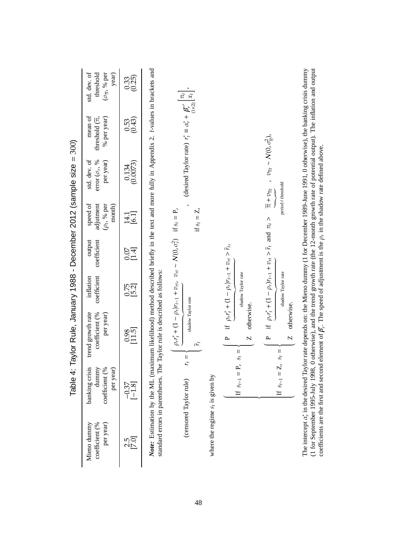|                                                                        | std. dev. of<br>$(\sigma_{\overline{n}}, \sqrt[9]{6}$ per<br>year)<br>threshold | $0.33$<br>$(0.25)$                             |                                                                                                                                                                                     |                                                                                                                                                     |                                    |                                                                                                            |                                                                                    |
|------------------------------------------------------------------------|---------------------------------------------------------------------------------|------------------------------------------------|-------------------------------------------------------------------------------------------------------------------------------------------------------------------------------------|-----------------------------------------------------------------------------------------------------------------------------------------------------|------------------------------------|------------------------------------------------------------------------------------------------------------|------------------------------------------------------------------------------------|
|                                                                        | mean of<br>% per year)<br>threshold $(\overline{\pi},$                          | $0.53$<br>$(0.43)$                             |                                                                                                                                                                                     | (desired Taylor rate) $r_i^* \equiv \alpha_r^* + \beta_r^{*'} \begin{bmatrix} \pi_t \\ x_t^* \end{bmatrix}$                                         |                                    |                                                                                                            |                                                                                    |
|                                                                        | std. dev. of<br>per year)<br>error $(\sigma_r,\, \%$                            | $\begin{array}{c} 0.134 \\ 0.0073 \end{array}$ |                                                                                                                                                                                     |                                                                                                                                                     |                                    |                                                                                                            | $v_{\overline{\pi}t} \sim \mathcal{N}(0, \sigma^2_{\overline{\pi}})$ ,             |
|                                                                        | speed of<br>adjutment<br>$(\rho_t,$ % per<br>month)                             | 14.1<br>[6.1]                                  |                                                                                                                                                                                     | if $s_t = Z$ ,                                                                                                                                      |                                    |                                                                                                            | period t threshold<br>$\overline{\pi}+v_{\overline{\pi}t}$                         |
|                                                                        | output<br>coefficient                                                           | 0.07<br>[1.4]                                  |                                                                                                                                                                                     |                                                                                                                                                     |                                    |                                                                                                            | if $\rho_r r_t^* + (1 - \rho_r)r_{t-1} + v_{rt} > \bar{r}_t$ and $\pi_t >$         |
|                                                                        | coefficient<br>inflation                                                        | 0.75                                           |                                                                                                                                                                                     |                                                                                                                                                     |                                    | if $\rho_r r_t^* + (1 - \rho_r)r_{t-1} + v_{rt} > \bar{r}_t$ ,<br>shadow Taylor rate                       | shadow Taylor rate                                                                 |
| Table 4: Taylor Rule, January 1988 - December 2012 (sample size = 300) | trend growth rate<br>per year)<br>coefficient (%                                | $\frac{0.98}{[11.5]}$                          | Note: Estimation by the ML (maximum likelihood) method described briefly in the text and more fully in Appendix 2. t-values in brackets and<br>Taylor rule is described as follows: | $\rho_r r_i^* + (1 - \rho_r)r_{t-1} + v_{rt}$ , $v_{rt} \sim N(0, \sigma_r^2)$ if $s_t = P$ ,<br>shadow Taylor rate<br>$\bar{\mu}$<br>$\mathsf{II}$ |                                    | otherwise.<br>$\overline{\mathsf{N}}$<br>$\sim$<br>$\label{eq:1} \prod_{i=1}^n \mathbb{I}^i$<br>$\ddot{s}$ | otherwise.<br>$\overline{\mathsf{N}}$<br>$\sim$<br>$\mathsf{II}$<br>s <sub>t</sub> |
|                                                                        | banking crisis<br>dunnny<br>per year)<br>coefficient (%                         | $\frac{-0.37}{[-1.8]}$                         | standard errors in parentheses. The                                                                                                                                                 | $\mathcal{L}_t$<br>(censored Taylor rule)                                                                                                           |                                    | If $s_{t-1} = P$ ,                                                                                         | If $s_{t-1} = Z$ ,                                                                 |
|                                                                        | Mieno dunnny<br>per year)<br>coefficient (%                                     | 2.51<br>2.51                                   |                                                                                                                                                                                     |                                                                                                                                                     | where the regime $s_t$ is given by |                                                                                                            |                                                                                    |

The intercept α∗ *r* in the desired Taylor rate depends on: the Mieno dummy (1 for December 1989-June 1991, 0 otherwise), the banking crisis dummy (1 for September 1995-July 1998, 0 otherwise), and the trend growth rate (the 12-month growth rate of potential output). The inflation and output coefficients are the first and second element of ້ອ້ *r*. The speed of adjustment is the  $\rho_r$  in the shadow rate defined above.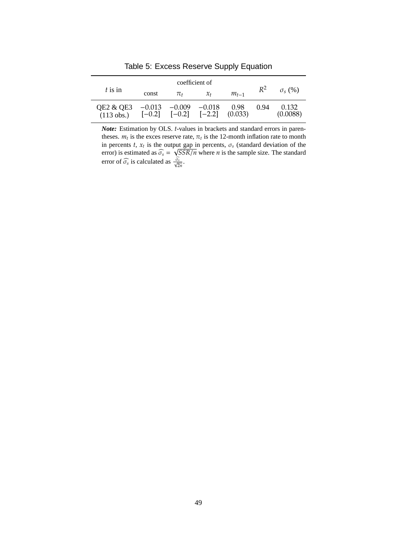|                           |                      |                      | coefficient of       |                 |       |                   |
|---------------------------|----------------------|----------------------|----------------------|-----------------|-------|-------------------|
| $t$ is in                 | const                | πŧ                   | $\chi_{t}$           | $m_{t-1}$       | $R^2$ | $\sigma_{s}$ (%)  |
| QE2 & QE3<br>$(113$ obs.) | $-0.013$<br>$[-0.2]$ | $-0.009$<br>$[-0.2]$ | $-0.018$<br>$[-2.2]$ | 0.98<br>(0.033) | 0.94  | 0.132<br>(0.0088) |

Table 5: Excess Reserve Supply Equation

*Note:* Estimation by OLS. *t*-values in brackets and standard errors in parentheses.  $m_t$  is the exces reserve rate,  $\pi_t$  is the 12-month inflation rate to month in percents  $t$ ,  $x_t$  is the output gap in percents,  $\sigma_s$  (standard deviation of the error) is estimated as  $\widehat{\sigma_s}$  = √ *SSR*/*n* where *n* is the sample size. The standard error of  $\widehat{\sigma_s}$  is calculated as  $\frac{\widehat{\sigma_s}}{\sqrt{2n}}$ .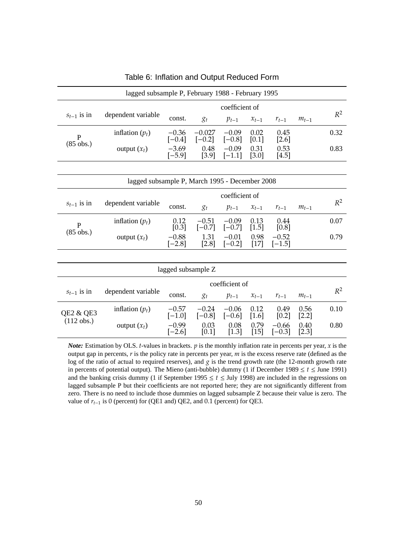| lagged subsample P, February 1988 - February 1995 |                                                |                     |                      |                     |                 |                     |                 |       |
|---------------------------------------------------|------------------------------------------------|---------------------|----------------------|---------------------|-----------------|---------------------|-----------------|-------|
|                                                   |                                                |                     |                      | coefficient of      |                 |                     |                 |       |
| $s_{t-1}$ is in                                   | dependent variable                             | const.              | $g_t$                | $p_{t-1}$           | $x_{t-1}$       | $r_{t-1}$           | $m_{t-1}$       | $R^2$ |
| $\mathbf{P}$                                      | inflation $(p_t)$                              | $-0.36$<br>$[-0.4]$ | $-0.027$<br>$[-0.2]$ | $-0.09$<br>$[-0.8]$ | 0.02<br>[0.1]   | 0.45<br>$[2.6]$     |                 | 0.32  |
| $(85$ obs.)                                       | output $(x_t)$                                 | $-3.69$<br>$[-5.9]$ | 0.48<br>$[3.9]$      | $-0.09$<br>$[-1.1]$ | 0.31<br>$[3.0]$ | 0.53<br>[4.5]       |                 | 0.83  |
|                                                   |                                                |                     |                      |                     |                 |                     |                 |       |
|                                                   | lagged subsample P, March 1995 - December 2008 |                     |                      |                     |                 |                     |                 |       |
|                                                   | coefficient of                                 |                     |                      |                     |                 |                     |                 |       |
| $S_{t-1}$ is in                                   | dependent variable                             | const.              | $g_t$                | $p_{t-1}$           | $x_{t-1}$       | $r_{t-1}$           | $m_{t-1}$       | $R^2$ |
| $\mathbf{P}$                                      | inflation $(p_t)$                              | 0.12<br>[0.3]       | $-0.51$<br>$[-0.7]$  | $-0.09$<br>$[-0.7]$ | 0.13<br>[1.5]   | 0.44<br>[0.8]       |                 | 0.07  |
| $(85$ obs.)                                       | output $(x_t)$                                 | $-0.88$<br>$[-2.8]$ | 1.31<br>$[2.8]$      | $-0.01$<br>$[-0.2]$ | 0.98<br>$[17]$  | $-0.52$<br>$[-1.5]$ |                 | 0.79  |
|                                                   |                                                |                     |                      |                     |                 |                     |                 |       |
|                                                   |                                                | lagged subsample Z  |                      |                     |                 |                     |                 |       |
|                                                   |                                                |                     |                      | coefficient of      |                 |                     |                 |       |
| $S_{t-1}$ is in                                   | dependent variable                             | const.              | $g_t$                | $p_{t-1}$           | $x_{t-1}$       | $r_{t-1}$           | $m_{t-1}$       | $R^2$ |
| <b>QE2 &amp; QE3</b>                              | inflation $(p_t)$                              | $-0.57$<br>$[-1.0]$ | $-0.24$<br>$[-0.8]$  | $-0.06$<br>$[-0.6]$ | 0.12<br>$[1.6]$ | 0.49<br>[0.2]       | 0.56<br>$[2.2]$ | 0.10  |
| $(112$ obs.)                                      | output $(x_t)$                                 | $-0.99$<br>$[-2.6]$ | 0.03<br>[0.1]        | 0.08<br>$[1.3]$     | 0.79<br>[15]    | $-0.66$<br>$[-0.3]$ | 0.40<br>[2.3]   | 0.80  |

Table 6: Inflation and Output Reduced Form

*Note:* Estimation by OLS. *t*-values in brackets. *p* is the monthly inflation rate in percents per year, *x* is the output gap in percents, *r* is the policy rate in percents per year, *m* is the excess reserve rate (defined as the log of the ratio of actual to required reserves), and *g* is the trend growth rate (the 12-month growth rate in percents of potential output). The Mieno (anti-bubble) dummy (1 if December 1989  $\le t \le$  June 1991) and the banking crisis dummy (1 if September 1995  $\leq t \leq$  July 1998) are included in the regressions on lagged subsample P but their coefficients are not reported here; they are not significantly different from zero. There is no need to include those dummies on lagged subsample Z because their value is zero. The value of *rt*−<sup>1</sup> is 0 (percent) for (QE1 and) QE2, and 0.1 (percent) for QE3.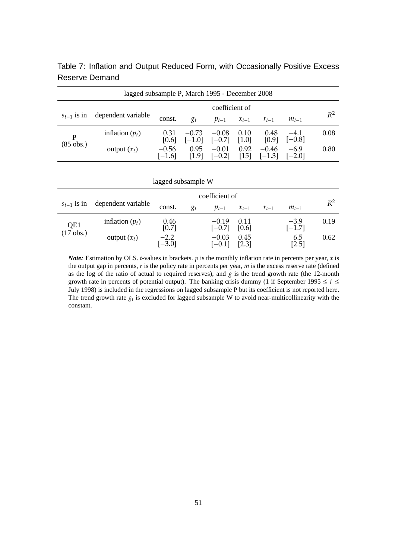| lagged subsample P, March 1995 - December 2008 |                    |                     |                     |                     |                 |                     |                    |       |
|------------------------------------------------|--------------------|---------------------|---------------------|---------------------|-----------------|---------------------|--------------------|-------|
| coefficient of                                 |                    |                     |                     |                     |                 |                     |                    |       |
| $S_{t-1}$ 1S 1n                                | dependent variable | const.              | $g_t$               | $p_{t-1}$           | $x_{t-1}$       | $r_{t-1}$           | $m_{t-1}$          | $R^2$ |
| P                                              | inflation $(p_t)$  | 0.31<br>[0.6]       | $-0.73$<br>$[-1.0]$ | $-0.08$<br>$[-0.7]$ | 0.10<br>[1.0]   | 0.48<br>[0.9]       | $-4.1$<br>$[-0.8]$ | 0.08  |
| $(85 \text{ obs.})$                            | output $(x_t)$     | $-0.56$<br>$[-1.6]$ | 0.95<br>$[1.9]$     | $-0.01$<br>$[-0.2]$ | 0.92<br>$[15]$  | $-0.46$<br>$[-1.3]$ | $-6.9$<br>$[-2.0]$ | 0.80  |
|                                                |                    |                     |                     |                     |                 |                     |                    |       |
|                                                |                    | lagged subsample W  |                     |                     |                 |                     |                    |       |
|                                                |                    |                     |                     | coefficient of      |                 |                     |                    |       |
| $S_{t-1}$ 1S 1n                                | dependent variable | const.              | $\chi_t$            | $p_{t-1}$           | $x_{t-1}$       | $r_{t-1}$           | $m_{t-1}$          | $R^2$ |
| QE1                                            | inflation $(p_t)$  | 0.46<br>[0.7]       |                     | $-0.19$<br>$[-0.7]$ | 0.11<br>[0.6]   |                     | $-3.9$<br>$[-1.7]$ | 0.19  |
| $(17 \text{ obs.})$                            | output $(x_t)$     | $-2.2$<br>$[-3.0]$  |                     | $-0.03$<br>$[-0.1]$ | 0.45<br>$[2.3]$ |                     | 6.5<br>$[2.5]$     | 0.62  |

Table 7: Inflation and Output Reduced Form, with Occasionally Positive Excess Reserve Demand

*Note:* Estimation by OLS. *t*-values in brackets.  $p$  is the monthly inflation rate in percents per year,  $x$  is the output gap in percents, *r* is the policy rate in percents per year, *m* is the excess reserve rate (defined as the log of the ratio of actual to required reserves), and *g* is the trend growth rate (the 12-month growth rate in percents of potential output). The banking crisis dummy (1 if September 1995  $\leq t \leq$ July 1998) is included in the regressions on lagged subsample P but its coefficient is not reported here. The trend growth rate  $g_t$  is excluded for lagged subsample W to avoid near-multicollinearity with the constant.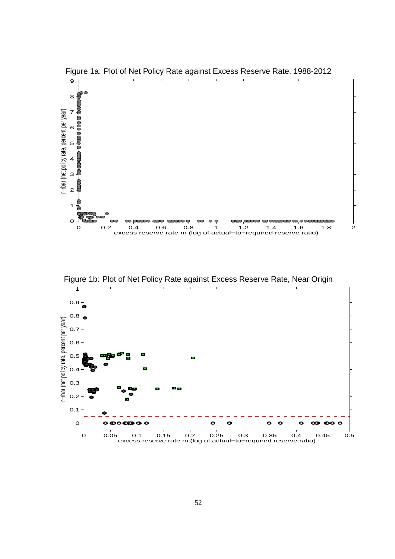

Figure 1a: Plot of Net Policy Rate against Excess Reserve Rate, 1988-2012

Figure 1b: Plot of Net Policy Rate against Excess Reserve Rate, Near Origin

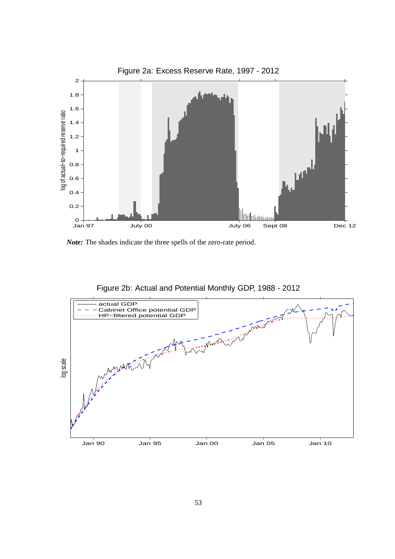

*Note:* The shades indicate the three spells of the zero-rate period.



Figure 2b: Actual and Potential Monthly GDP, 1988 - 2012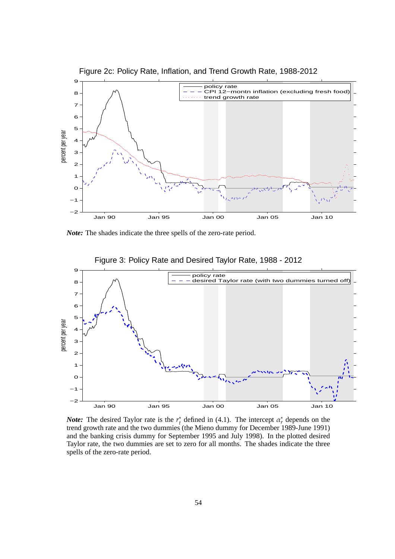

Figure 2c: Policy Rate, Inflation, and Trend Growth Rate, 1988-2012

*Note:* The shades indicate the three spells of the zero-rate period.



*Note:* The desired Taylor rate is the *r* ∗ <sup>\*</sup><sub>*t*</sub> defined in (4.1). The intercept  $\alpha_r^*$  depends on the trend growth rate and the two dummies (the Mieno dummy for December 1989-June 1991) and the banking crisis dummy for September 1995 and July 1998). In the plotted desired Taylor rate, the two dummies are set to zero for all months. The shades indicate the three spells of the zero-rate period.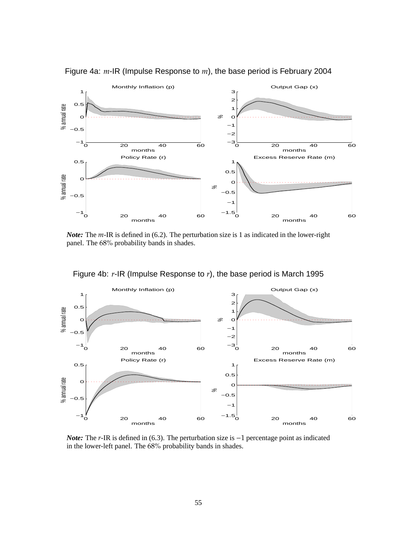

Figure 4a: *m*-IR (Impulse Response to *m*), the base period is February 2004

*Note:* The *m*-IR is defined in (6.2). The perturbation size is 1 as indicated in the lower-right panel. The 68% probability bands in shades.



Figure 4b: *r*-IR (Impulse Response to *r*), the base period is March 1995

*Note:* The *r*-IR is defined in (6.3). The perturbation size is −1 percentage point as indicated in the lower-left panel. The 68% probability bands in shades.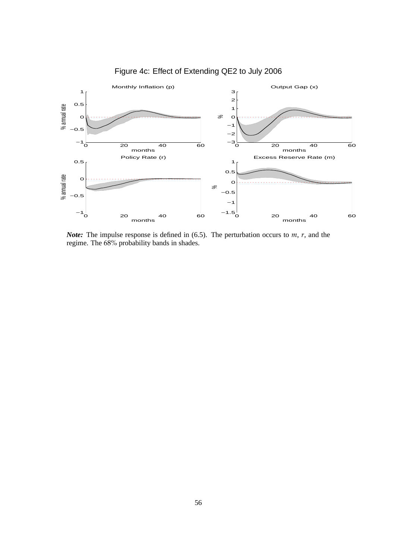

Figure 4c: Effect of Extending QE2 to July 2006

*Note:* The impulse response is defined in (6.5). The perturbation occurs to *m*, *r*, and the regime. The 68% probability bands in shades.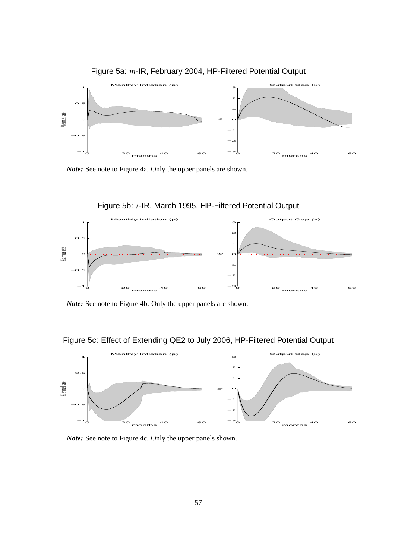

Figure 5a: *m*-IR, February 2004, HP-Filtered Potential Output

*Note:* See note to Figure 4a. Only the upper panels are shown.



*Note:* See note to Figure 4b. Only the upper panels are shown.

Figure 5c: Effect of Extending QE2 to July 2006, HP-Filtered Potential Output



*Note:* See note to Figure 4c. Only the upper panels shown.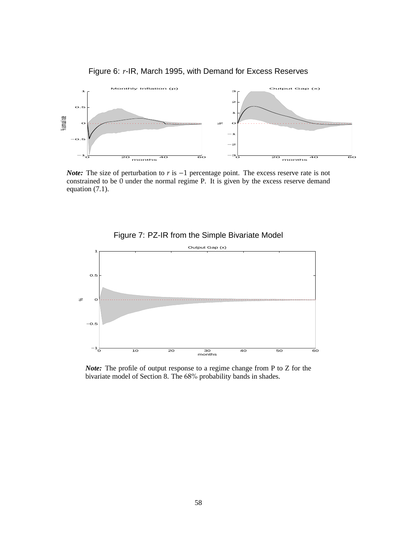

Figure 6: *r*-IR, March 1995, with Demand for Excess Reserves

*Note:* The size of perturbation to *r* is −1 percentage point. The excess reserve rate is not constrained to be  $\overline{0}$  under the normal regime P. It is given by the excess reserve demand equation (7.1).





*Note:* The profile of output response to a regime change from P to Z for the bivariate model of Section 8. The 68% probability bands in shades.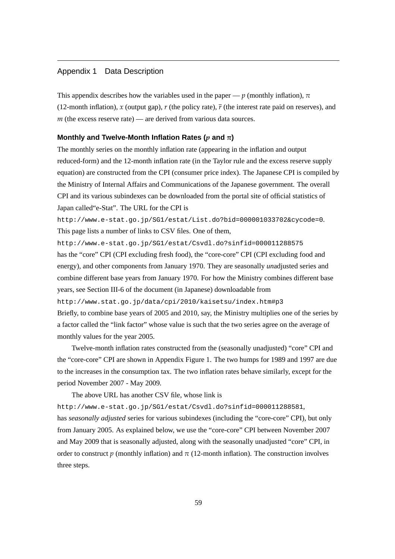# Appendix 1 Data Description

This appendix describes how the variables used in the paper — *p* (monthly inflation),  $\pi$ (12-month inflation), *x* (output gap), *r* (the policy rate),  $\bar{r}$  (the interest rate paid on reserves), and *m* (the excess reserve rate) — are derived from various data sources.

#### **Monthly and Twelve-Month Inflation Rates (***p* **and** π**)**

The monthly series on the monthly inflation rate (appearing in the inflation and output reduced-form) and the 12-month inflation rate (in the Taylor rule and the excess reserve supply equation) are constructed from the CPI (consumer price index). The Japanese CPI is compiled by the Ministry of Internal Affairs and Communications of the Japanese government. The overall CPI and its various subindexes can be downloaded from the portal site of official statistics of Japan called"e-Stat". The URL for the CPI is

http://www.e-stat.go.jp/SG1/estat/List.do?bid=000001033702&cycode=0. This page lists a number of links to CSV files. One of them,

http://www.e-stat.go.jp/SG1/estat/Csvdl.do?sinfid=000011288575 has the "core" CPI (CPI excluding fresh food), the "core-core" CPI (CPI excluding food and energy), and other components from January 1970. They are seasonally *un*adjusted series and combine different base years from January 1970. For how the Ministry combines different base years, see Section III-6 of the document (in Japanese) downloadable from

```
http://www.stat.go.jp/data/cpi/2010/kaisetsu/index.htm#p3
```
Briefly, to combine base years of 2005 and 2010, say, the Ministry multiplies one of the series by a factor called the "link factor" whose value is such that the two series agree on the average of monthly values for the year 2005.

Twelve-month inflation rates constructed from the (seasonally unadjusted) "core" CPI and the "core-core" CPI are shown in Appendix Figure 1. The two humps for 1989 and 1997 are due to the increases in the consumption tax. The two inflation rates behave similarly, except for the period November 2007 - May 2009.

The above URL has another CSV file, whose link is

http://www.e-stat.go.jp/SG1/estat/Csvdl.do?sinfid=000011288581, has *seasonally adjusted* series for various subindexes (including the "core-core" CPI), but only from January 2005. As explained below, we use the "core-core" CPI between November 2007 and May 2009 that is seasonally adjusted, along with the seasonally unadjusted "core" CPI, in order to construct  $p$  (monthly inflation) and  $\pi$  (12-month inflation). The construction involves three steps.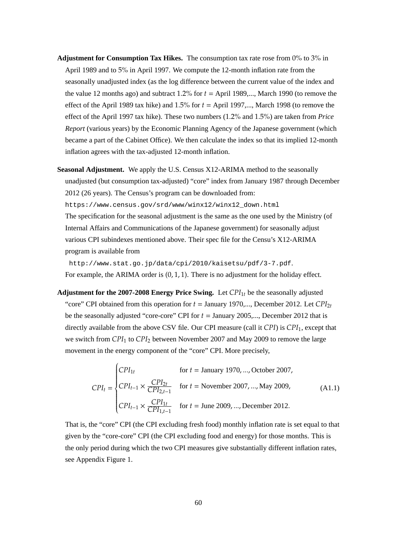- **Adjustment for Consumption Tax Hikes.** The consumption tax rate rose from 0% to 3% in April 1989 and to 5% in April 1997. We compute the 12-month inflation rate from the seasonally unadjusted index (as the log difference between the current value of the index and the value 12 months ago) and subtract 1.2% for *t* = April 1989,..., March 1990 (to remove the effect of the April 1989 tax hike) and 1.5% for *t* = April 1997,..., March 1998 (to remove the effect of the April 1997 tax hike). These two numbers (1.2% and 1.5%) are taken from *Price Report* (various years) by the Economic Planning Agency of the Japanese government (which became a part of the Cabinet Office). We then calculate the index so that its implied 12-month inflation agrees with the tax-adjusted 12-month inflation.
- **Seasonal Adjustment.** We apply the U.S. Census X12-ARIMA method to the seasonally unadjusted (but consumption tax-adjusted) "core" index from January 1987 through December 2012 (26 years). The Census's program can be downloaded from:

https://www.census.gov/srd/www/winx12/winx12\_down.html

The specification for the seasonal adjustment is the same as the one used by the Ministry (of Internal Affairs and Communications of the Japanese government) for seasonally adjust various CPI subindexes mentioned above. Their spec file for the Censu's X12-ARIMA program is available from

http://www.stat.go.jp/data/cpi/2010/kaisetsu/pdf/3-7.pdf.

For example, the ARIMA order is  $(0, 1, 1)$ . There is no adjustment for the holiday effect.

**Adjustment for the 2007-2008 Energy Price Swing.** Let *CPI*1*<sup>t</sup>* be the seasonally adjusted "core" CPI obtained from this operation for  $t =$  January 1970,..., December 2012. Let  $CPI_{2t}$ be the seasonally adjusted "core-core" CPI for *t* = January 2005,..., December 2012 that is directly available from the above CSV file. Our CPI measure (call it *CPI*) is *CPI*1, except that we switch from *CPI*<sup>1</sup> to *CPI*<sup>2</sup> between November 2007 and May 2009 to remove the large movement in the energy component of the "core" CPI. More precisely,

$$
CPI_{t} = \begin{cases} CPI_{1t} & \text{for } t = \text{January 1970, ..., October 2007,} \\ CPI_{t-1} \times \frac{CPI_{2t}}{CPI_{2,t-1}} & \text{for } t = \text{November 2007, ..., May 2009,} \\ CPI_{t-1} \times \frac{CPI_{1t}}{CPI_{1,t-1}} & \text{for } t = \text{June 2009, ..., December 2012.} \end{cases}
$$
(A1.1)

That is, the "core" CPI (the CPI excluding fresh food) monthly inflation rate is set equal to that given by the "core-core" CPI (the CPI excluding food and energy) for those months. This is the only period during which the two CPI measures give substantially different inflation rates, see Appendix Figure 1.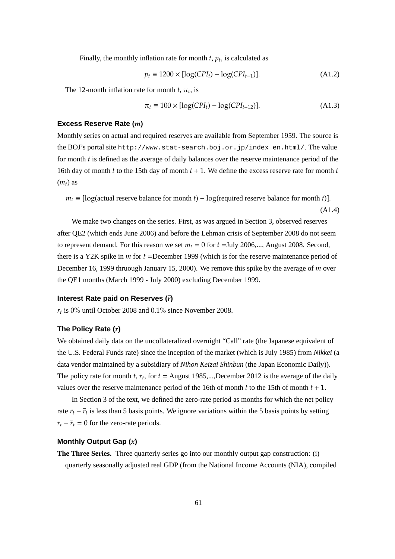Finally, the monthly inflation rate for month  $t$ ,  $p_t$ , is calculated as

$$
p_t \equiv 1200 \times [\log(CPI_t) - \log(CPI_{t-1})]. \tag{A1.2}
$$

The 12-month inflation rate for month  $t$ ,  $\pi$ <sub>t</sub>, is

$$
\pi_t \equiv 100 \times [\log(CPI_t) - \log(CPI_{t-12})]. \tag{A1.3}
$$

#### **Excess Reserve Rate (***m***)**

Monthly series on actual and required reserves are available from September 1959. The source is the BOJ's portal site http://www.stat-search.boj.or.jp/index\_en.html/. The value for month *t* is defined as the average of daily balances over the reserve maintenance period of the 16th day of month *t* to the 15th day of month *t* + 1. We define the excess reserve rate for month *t*  $(m<sub>t</sub>)$  as

$$
m_t \equiv [\log(\text{actual reserve balance for month } t) - \log(\text{required reserve balance for month } t)].
$$
\n(A1.4)

We make two changes on the series. First, as was argued in Section 3, observed reserves after QE2 (which ends June 2006) and before the Lehman crisis of September 2008 do not seem to represent demand. For this reason we set  $m_t = 0$  for  $t =$ July 2006,..., August 2008. Second, there is a Y2K spike in *m* for *t* =December 1999 (which is for the reserve maintenance period of December 16, 1999 thruough January 15, 2000). We remove this spike by the average of *m* over the QE1 months (March 1999 - July 2000) excluding December 1999.

# **Interest Rate paid on Reserves (***r***)**

 $\bar{r}_t$  is 0% until October 2008 and 0.1% since November 2008.

#### **The Policy Rate (***r***)**

We obtained daily data on the uncollateralized overnight "Call" rate (the Japanese equivalent of the U.S. Federal Funds rate) since the inception of the market (which is July 1985) from *Nikkei* (a data vendor maintained by a subsidiary of *Nihon Keizai Shinbun* (the Japan Economic Daily)). The policy rate for month *t*,  $r_t$ , for  $t =$  August 1985,...,December 2012 is the average of the daily values over the reserve maintenance period of the 16th of month  $t$  to the 15th of month  $t + 1$ .

In Section 3 of the text, we defined the zero-rate period as months for which the net policy rate  $r_t - \overline{r}_t$  is less than 5 basis points. We ignore variations within the 5 basis points by setting  $r_t - \overline{r}_t = 0$  for the zero-rate periods.

### **Monthly Output Gap (***x***)**

**The Three Series.** Three quarterly series go into our monthly output gap construction: (i) quarterly seasonally adjusted real GDP (from the National Income Accounts (NIA), compiled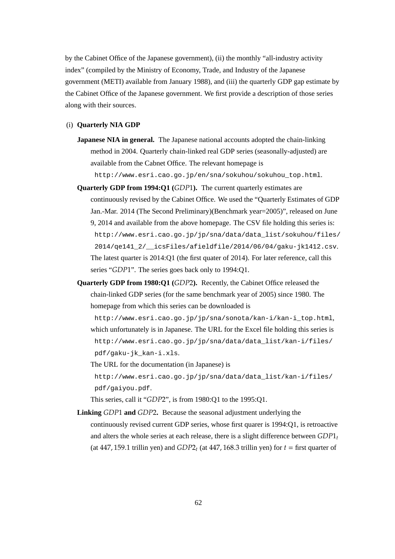by the Cabinet Office of the Japanese government), (ii) the monthly "all-industry activity index" (compiled by the Ministry of Economy, Trade, and Industry of the Japanese government (METI) available from January 1988), and (iii) the quarterly GDP gap estimate by the Cabinet Office of the Japanese government. We first provide a description of those series along with their sources.

#### (i) **Quarterly NIA GDP**

- **Japanese NIA in general.** The Japanese national accounts adopted the chain-linking method in 2004. Quarterly chain-linked real GDP series (seasonally-adjusted) are available from the Cabnet Office. The relevant homepage is http://www.esri.cao.go.jp/en/sna/sokuhou/sokuhou\_top.html.
- **Quarterly GDP from 1994:Q1 (***GDP*1**).** The current quarterly estimates are continuously revised by the Cabinet Office. We used the "Quarterly Estimates of GDP Jan.-Mar. 2014 (The Second Preliminary)(Benchmark year=2005)", released on June 9, 2014 and available from the above homepage. The CSV file holding this series is: http://www.esri.cao.go.jp/jp/sna/data/data\_list/sokuhou/files/ 2014/qe141\_2/\_\_icsFiles/afieldfile/2014/06/04/gaku-jk1412.csv. The latest quarter is 2014:Q1 (the first quater of 2014). For later reference, call this series "*GDP*1". The series goes back only to 1994:Q1.
- **Quarterly GDP from 1980:Q1 (***GDP*2**).** Recently, the Cabinet Office released the chain-linked GDP series (for the same benchmark year of 2005) since 1980. The homepage from which this series can be downloaded is

http://www.esri.cao.go.jp/jp/sna/sonota/kan-i/kan-i\_top.html, which unfortunately is in Japanese. The URL for the Excel file holding this series is http://www.esri.cao.go.jp/jp/sna/data/data\_list/kan-i/files/ pdf/gaku-jk\_kan-i.xls.

The URL for the documentation (in Japanese) is http://www.esri.cao.go.jp/jp/sna/data/data\_list/kan-i/files/ pdf/gaiyou.pdf.

This series, call it "*GDP*2", is from 1980:Q1 to the 1995:Q1.

**Linking** *GDP*1 **and** *GDP*2**.** Because the seasonal adjustment underlying the continuously revised current GDP series, whose first quarer is 1994:Q1, is retroactive and alters the whole series at each release, there is a slight difference between *GDP*1*<sup>t</sup>* (at 447, 159.1 trillin yen) and  $GDP2<sub>t</sub>$  (at 447, 168.3 trillin yen) for  $t =$  first quarter of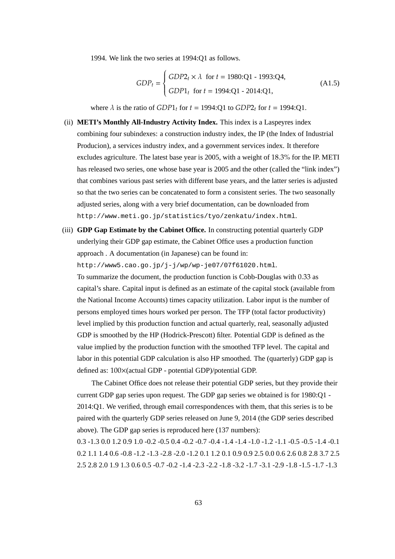1994. We link the two series at 1994:Q1 as follows.

$$
GDP_t = \begin{cases} GDP2_t \times \lambda \text{ for } t = 1980:Q1 - 1993:Q4, \\ GDP1_t \text{ for } t = 1994:Q1 - 2014:Q1, \end{cases}
$$
(A1.5)

where  $\lambda$  is the ratio of *GDP*1<sub>t</sub> for  $t = 1994$ :Q1 to *GDP*2<sub>t</sub> for  $t = 1994$ :Q1.

- (ii) **METI's Monthly All-Industry Activity Index.** This index is a Laspeyres index combining four subindexes: a construction industry index, the IP (the Index of Industrial Producion), a services industry index, and a government services index. It therefore excludes agriculture. The latest base year is 2005, with a weight of 18.3% for the IP. METI has released two series, one whose base year is 2005 and the other (called the "link index") that combines various past series with different base years, and the latter series is adjusted so that the two series can be concatenated to form a consistent series. The two seasonally adjusted series, along with a very brief documentation, can be downloaded from http://www.meti.go.jp/statistics/tyo/zenkatu/index.html.
- (iii) **GDP Gap Estimate by the Cabinet Office.** In constructing potential quarterly GDP underlying their GDP gap estimate, the Cabinet Office uses a production function approach . A documentation (in Japanese) can be found in:

http://www5.cao.go.jp/j-j/wp/wp-je07/07f61020.html.

To summarize the document, the production function is Cobb-Douglas with 0.33 as capital's share. Capital input is defined as an estimate of the capital stock (available from the National Income Accounts) times capacity utilization. Labor input is the number of persons employed times hours worked per person. The TFP (total factor productivity) level implied by this production function and actual quarterly, real, seasonally adjusted GDP is smoothed by the HP (Hodrick-Prescott) filter. Potential GDP is defined as the value implied by the production function with the smoothed TFP level. The capital and labor in this potential GDP calculation is also HP smoothed. The (quarterly) GDP gap is defined as: 100×(actual GDP - potential GDP)/potential GDP.

The Cabinet Office does not release their potential GDP series, but they provide their current GDP gap series upon request. The GDP gap series we obtained is for 1980:Q1 - 2014:Q1. We verified, through email correspondences with them, that this series is to be paired with the quarterly GDP series released on June 9, 2014 (the GDP series described above). The GDP gap series is reproduced here (137 numbers):

0.3 -1.3 0.0 1.2 0.9 1.0 -0.2 -0.5 0.4 -0.2 -0.7 -0.4 -1.4 -1.4 -1.0 -1.2 -1.1 -0.5 -0.5 -1.4 -0.1 0.2 1.1 1.4 0.6 -0.8 -1.2 -1.3 -2.8 -2.0 -1.2 0.1 1.2 0.1 0.9 0.9 2.5 0.0 0.6 2.6 0.8 2.8 3.7 2.5 2.5 2.8 2.0 1.9 1.3 0.6 0.5 -0.7 -0.2 -1.4 -2.3 -2.2 -1.8 -3.2 -1.7 -3.1 -2.9 -1.8 -1.5 -1.7 -1.3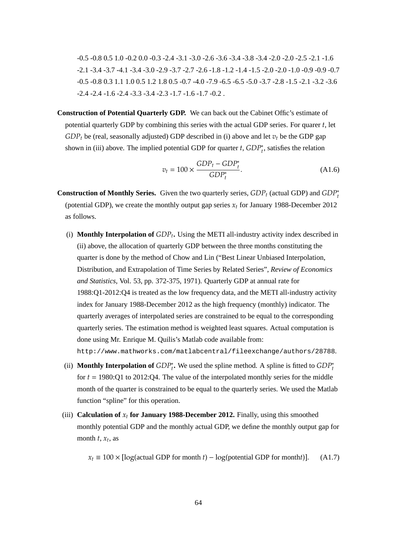-0.5 -0.8 0.5 1.0 -0.2 0.0 -0.3 -2.4 -3.1 -3.0 -2.6 -3.6 -3.4 -3.8 -3.4 -2.0 -2.0 -2.5 -2.1 -1.6 -2.1 -3.4 -3.7 -4.1 -3.4 -3.0 -2.9 -3.7 -2.7 -2.6 -1.8 -1.2 -1.4 -1.5 -2.0 -2.0 -1.0 -0.9 -0.9 -0.7 -0.5 -0.8 0.3 1.1 1.0 0.5 1.2 1.8 0.5 -0.7 -4.0 -7.9 -6.5 -6.5 -5.0 -3.7 -2.8 -1.5 -2.1 -3.2 -3.6  $-2.4 -2.4 -1.6 -2.4 -3.3 -3.4 -2.3 -1.7 -1.6 -1.7 -0.2$ .

**Construction of Potential Quarterly GDP.** We can back out the Cabinet Offic's estimate of potential quarterly GDP by combining this series with the actual GDP series. For quarer *t*, let  $GDP<sub>t</sub>$  be (real, seasonally adjusted) GDP described in (i) above and let  $v<sub>t</sub>$  be the GDP gap shown in (iii) above. The implied potential GDP for quarter  $t$ ,  $GDP_t^*$ , satisfies the relation

$$
v_t = 100 \times \frac{GDP_t - GDP_t^*}{GDP_t^*}.
$$
\n(A1.6)

- **Construction of Monthly Series.** Given the two quarterly series,  $GDP_t$  (actual GDP) and  $GDP_t^*$ (potential GDP), we create the monthly output gap series *x<sup>t</sup>* for January 1988-December 2012 as follows.
	- (i) **Monthly Interpolation of** *GDP<sup>t</sup>* **.** Using the METI all-industry activity index described in (ii) above, the allocation of quarterly GDP between the three months constituting the quarter is done by the method of Chow and Lin ("Best Linear Unbiased Interpolation, Distribution, and Extrapolation of Time Series by Related Series", *Review of Economics and Statistics*, Vol. 53, pp. 372-375, 1971). Quarterly GDP at annual rate for 1988:Q1-2012:Q4 is treated as the low frequency data, and the METI all-industry activity index for January 1988-December 2012 as the high frequency (monthly) indicator. The quarterly averages of interpolated series are constrained to be equal to the corresponding quarterly series. The estimation method is weighted least squares. Actual computation is done using Mr. Enrique M. Quilis's Matlab code available from: http://www.mathworks.com/matlabcentral/fileexchange/authors/28788.
	- (ii) **Monthly Interpolation of**  $GDP_t^*$ . We used the spline method. A spline is fitted to  $GDP_t^*$ for *t* = 1980:Q1 to 2012:Q4. The value of the interpolated monthly series for the middle month of the quarter is constrained to be equal to the quarterly series. We used the Matlab function "spline" for this operation.
	- (iii) **Calculation of**  $x_t$  **for January 1988-December 2012.** Finally, using this smoothed monthly potential GDP and the monthly actual GDP, we define the monthly output gap for month  $t$ ,  $x_t$ , as

 $x_t \equiv 100 \times [\log(\text{actual GDP for month } t) - \log(\text{potential GDP for month } t)]$ . (A1.7)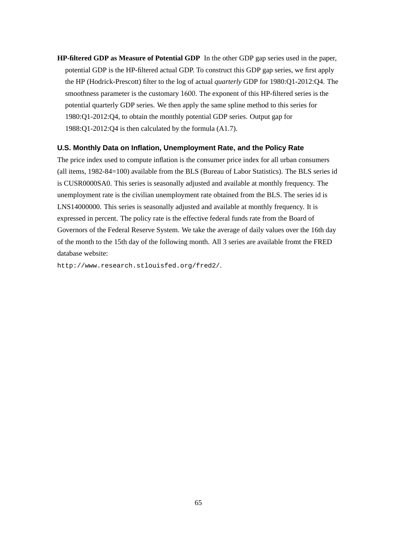**HP-filtered GDP as Measure of Potential GDP** In the other GDP gap series used in the paper, potential GDP is the HP-filtered actual GDP. To construct this GDP gap series, we first apply the HP (Hodrick-Prescott) filter to the log of actual *quarterly* GDP for 1980:Q1-2012:Q4. The smoothness parameter is the customary 1600. The exponent of this HP-filtered series is the potential quarterly GDP series. We then apply the same spline method to this series for 1980:Q1-2012:Q4, to obtain the monthly potential GDP series. Output gap for 1988:Q1-2012:Q4 is then calculated by the formula (A1.7).

## **U.S. Monthly Data on Inflation, Unemployment Rate, and the Policy Rate**

The price index used to compute inflation is the consumer price index for all urban consumers (all items, 1982-84=100) available from the BLS (Bureau of Labor Statistics). The BLS series id is CUSR0000SA0. This series is seasonally adjusted and available at monthly frequency. The unemployment rate is the civilian unemployment rate obtained from the BLS. The series id is LNS14000000. This series is seasonally adjusted and available at monthly frequency. It is expressed in percent. The policy rate is the effective federal funds rate from the Board of Governors of the Federal Reserve System. We take the average of daily values over the 16th day of the month to the 15th day of the following month. All 3 series are available fromt the FRED database website:

http://www.research.stlouisfed.org/fred2/.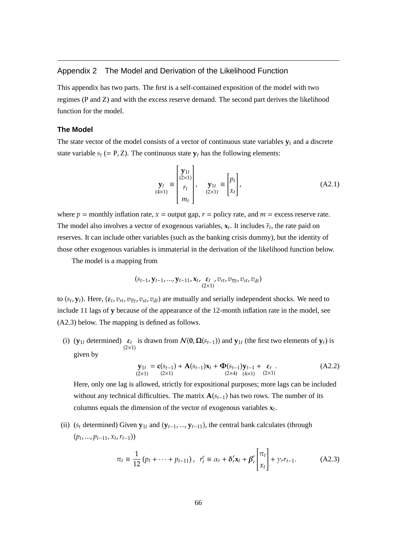# Appendix 2 The Model and Derivation of the Likelihood Function

This appendix has two parts. The first is a self-contained exposition of the model with two regimes (P and Z) and with the excess reserve demand. The second part derives the likelihood function for the model.

# **The Model**

The state vector of the model consists of a vector of continuous state variables  $y_t$  and a discrete state variable  $s_t$  (= P, Z). The continuous state  $y_t$  has the following elements:

$$
\mathbf{y}_{t} = \begin{bmatrix} \mathbf{y}_{1t} \\ r_t \\ m_t \end{bmatrix}, \quad \mathbf{y}_{1t} = \begin{bmatrix} p_t \\ x_t \end{bmatrix}, \quad \text{(A2.1)}
$$

where  $p =$  monthly inflation rate,  $x =$  output gap,  $r =$  policy rate, and  $m =$  excess reserve rate. The model also involves a vector of exogenous variables,  $x_t$ . It includes  $\bar{r}_t$ , the rate paid on reserves. It can include other variables (such as the banking crisis dummy), but the identity of those other exogenous variables is immaterial in the derivation of the likelihood function below.

The model is a mapping from

$$
(s_{t-1},\mathbf{y}_{t-1},...,\mathbf{y}_{t-11},\mathbf{x}_t,\underset{(2\times1)}{\varepsilon_t},v_{rt},v_{\overline{\pi}t},v_{st},v_{dt})
$$

to  $(s_t, y_t)$ . Here,  $(\varepsilon_t, v_{rt}, v_{\overline{\pi}t}, v_{st}, v_{dt})$  are mutually and serially independent shocks. We need to include 11 lags of **y** because of the appearance of the 12-month inflation rate in the model, see (A2.3) below. The mapping is defined as follows.

(i) ( $\mathbf{y}_{1t}$  determined)  $\epsilon_t$  is drawn from  $\mathcal{N}(\mathbf{0}, \mathbf{\Omega}(s_{t-1}))$  and  $\mathbf{y}_{1t}$  (the first two elements of  $\mathbf{y}_t$ ) is given by

$$
\mathbf{y}_{1t} = \mathbf{c}(s_{t-1}) + \mathbf{A}(s_{t-1})\mathbf{x}_t + \mathbf{\Phi}(s_{t-1})\mathbf{y}_{t-1} + \varepsilon_t
$$
  
(A2.2)  
(2×1) (2×1) (2×1)

Here, only one lag is allowed, strictly for expositional purposes; more lags can be included without any technical difficulties. The matrix  $A(s_{t-1})$  has two rows. The number of its columns equals the dimension of the vector of exogenous variables **x***<sup>t</sup>* .

(ii) ( $s_t$  determined) Given  $\mathbf{y}_{1t}$  and ( $\mathbf{y}_{t-1},...,\mathbf{y}_{t-11}$ ), the central bank calculates (through (*pt* , ..., *pt*−11, *x<sup>t</sup>* ,*rt*−1))

$$
\pi_t \equiv \frac{1}{12} \left( p_t + \dots + p_{t-11} \right), \ \ r_t^e \equiv \alpha_r + \delta'_r \mathbf{x}_t + \beta'_r \begin{bmatrix} \pi_t \\ x_t \end{bmatrix} + \gamma_r r_{t-1}. \tag{A2.3}
$$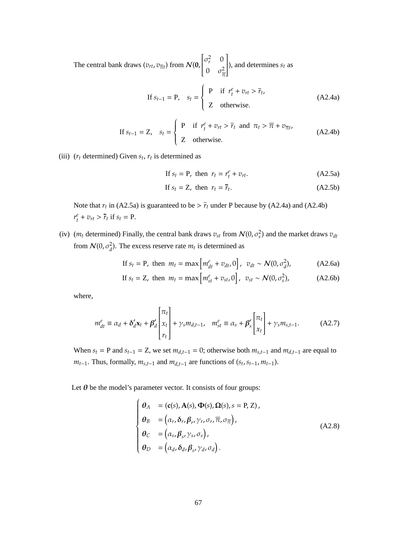The central bank draws  $(v_{rt}, v_{\overline{t}})$  from  $\mathcal{N}(0, t)$  $\begin{bmatrix} \sigma_r^2 & 0 \end{bmatrix}$  $\overline{\mathsf{l}}$ 0  $\sigma_{\frac{2}{n}}^2$ π 1  $\overline{\phantom{a}}$ ), and determines  $s_t$  as

If 
$$
s_{t-1} = P
$$
,  $s_t = \begin{cases} P & \text{if } r_t^e + v_{rt} > \overline{r}_t, \\ Z & \text{otherwise.} \end{cases}$  (A2.4a)

If 
$$
s_{t-1} = Z
$$
,  $s_t = \begin{cases} P & \text{if } r_t^e + v_{rt} > \overline{r}_t \text{ and } \pi_t > \overline{\pi} + v_{\overline{\pi}t}, \\ Z & \text{otherwise.} \end{cases}$  (A2.4b)

(iii)  $(r_t$  determined) Given  $s_t$ ,  $r_t$  is determined as

If 
$$
s_t = P
$$
, then  $r_t = r_t^e + v_{rt}$ . (A2.5a)

$$
\text{If } s_t = Z, \text{ then } r_t = \overline{r}_t. \tag{A2.5b}
$$

Note that  $r_t$  in (A2.5a) is guaranteed to be  $> \bar{r}_t$  under P because by (A2.4a) and (A2.4b)  $r_t^e + v_{rt} > \overline{r}_t$  if  $s_t = \text{P}.$ 

(iv)  $(m_t$  determined) Finally, the central bank draws  $v_{st}$  from  $\mathcal{N}(0, \sigma_s^2)$  and the market draws  $v_{dt}$ from  $\mathcal{N}(0, \sigma_d^2)$ . The excess reserve rate  $m_t$  is determined as

If 
$$
s_t = P
$$
, then  $m_t = \max \left[ m_{dt}^e + v_{dt}, 0 \right]$ ,  $v_{dt} \sim \mathcal{N}(0, \sigma_d^2)$ , (A2.6a)

If 
$$
s_t = Z
$$
, then  $m_t = \max \left[ m_{st}^e + v_{st}, 0 \right]$ ,  $v_{st} \sim \mathcal{N}(0, \sigma_s^2)$ , (A2.6b)

where,

$$
m_{dt}^{e} \equiv \alpha_d + \delta_d' \mathbf{x}_t + \beta_d' \begin{bmatrix} \pi_t \\ x_t \\ r_t \end{bmatrix} + \gamma_s m_{d,t-1}, \quad m_{st}^{e} \equiv \alpha_s + \beta_s' \begin{bmatrix} \pi_t \\ x_t \end{bmatrix} + \gamma_s m_{s,t-1}.
$$
 (A2.7)

When  $s_t$  = P and  $s_{t-1}$  = Z, we set  $m_{d,t-1}$  = 0; otherwise both  $m_{s,t-1}$  and  $m_{d,t-1}$  are equal to *m*<sub>*t*−1</sub>. Thus, formally,  $m_{s,t-1}$  and  $m_{d,t-1}$  are functions of ( $s_t$ ,  $s_{t-1}$ ,  $m_{t-1}$ ).

Let  $\theta$  be the model's parameter vector. It consists of four groups:

$$
\begin{cases}\n\theta_A = (c(s), A(s), \Phi(s), \Omega(s), s = P, Z), \\
\theta_B = (\alpha_r, \delta_r, \beta_r, \gamma_r, \sigma_r, \overline{\pi}, \sigma_{\overline{\pi}}), \\
\theta_C = (\alpha_s, \beta_s, \gamma_s, \sigma_s), \\
\theta_D = (\alpha_d, \delta_d, \beta_s, \gamma_d, \sigma_d).\n\end{cases}
$$
\n(A2.8)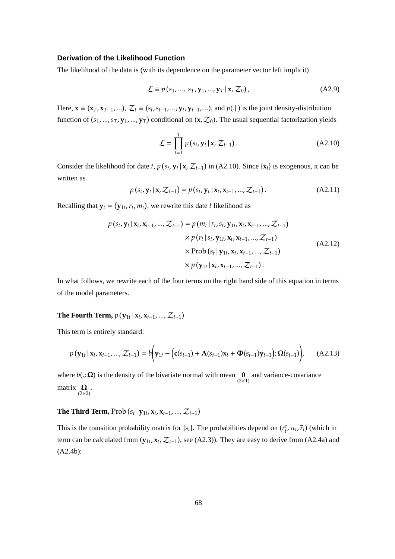# **Derivation of the Likelihood Function**

The likelihood of the data is (with its dependence on the parameter vector left implicit)

$$
\mathcal{L} \equiv p\left(s_1, \dots, \, s_T, \mathbf{y}_1, \dots, \mathbf{y}_T \, | \, \mathbf{x}, \mathcal{Z}_0\right),\tag{A2.9}
$$

Here,  $\mathbf{x} \equiv (\mathbf{x}_T, \mathbf{x}_{T-1},...), \mathcal{Z}_t \equiv (s_t, s_{t-1}, ..., \mathbf{y}_t, \mathbf{y}_{t-1},...),$  and  $p(.|.)$  is the joint density-distribution function of  $(s_1, ..., s_T, y_1, ..., y_T)$  conditional on  $(x, \mathcal{Z}_0)$ . The usual sequential factorization yields

$$
\mathcal{L} = \prod_{t=1}^{T} p(s_t, \mathbf{y}_t | \mathbf{x}, \mathcal{Z}_{t-1}).
$$
 (A2.10)

Consider the likelihood for date *t*,  $p(s_t, y_t | x, Z_{t-1})$  in (A2.10). Since  $\{x_t\}$  is exogenous, it can be written as

$$
p(s_t, y_t | x, Z_{t-1}) = p(s_t, y_t | x_t, x_{t-1}, ..., Z_{t-1}).
$$
 (A2.11)

Recalling that  $y_t = (y_{1t}, r_t, m_t)$ , we rewrite this date *t* likelihood as

$$
p(s_t, \mathbf{y}_t | \mathbf{x}_t, \mathbf{x}_{t-1}, ..., \mathcal{Z}_{t-1}) = p(m_t | r_t, s_t, \mathbf{y}_{1t}, \mathbf{x}_t, \mathbf{x}_{t-1}, ..., \mathcal{Z}_{t-1})
$$
  
\n
$$
\times p(r_t | s_t, \mathbf{y}_{1t}, \mathbf{x}_t, \mathbf{x}_{t-1}, ..., \mathcal{Z}_{t-1})
$$
  
\n
$$
\times \text{Prob}(s_t | \mathbf{y}_{1t}, \mathbf{x}_t, \mathbf{x}_{t-1}, ..., \mathcal{Z}_{t-1})
$$
  
\n
$$
\times p(\mathbf{y}_{1t} | \mathbf{x}_t, \mathbf{x}_{t-1}, ..., \mathcal{Z}_{t-1}).
$$
\n(A2.12)

In what follows, we rewrite each of the four terms on the right hand side of this equation in terms of the model parameters.

# The Fourth Term,  $p(\mathbf{y}_{1t} | \mathbf{x}_t, \mathbf{x}_{t-1}, ..., \mathcal{Z}_{t-1})$

This term is entirely standard:

$$
p(\mathbf{y}_{1t} | \mathbf{x}_t, \mathbf{x}_{t-1}, ..., \mathcal{Z}_{t-1}) = b(\mathbf{y}_{1t} - (\mathbf{c}(s_{t-1}) + \mathbf{A}(s_{t-1})\mathbf{x}_t + \mathbf{\Phi}(s_{t-1})\mathbf{y}_{t-1}); \mathbf{\Omega}(s_{t-1})) \qquad (A2.13)
$$

where  $b(., \Omega)$  is the density of the bivariate normal with mean  $\int_{(2\times 1)}^{\infty}$  and variance-covariance matrix  $\mathbf{Q}_{(2\times2)}$ .

**The Third Term,** Prob  $(s_t | y_{1t}, x_t, x_{t-1}, ..., Z_{t-1})$ 

This is the transition probability matrix for  $\{s_t\}$ . The probabilities depend on  $(r_t^e, \pi_t, \bar{r}_t)$  (which in term can be calculated from  $(y_{1t}, x_t, Z_{t-1})$ , see (A2.3)). They are easy to derive from (A2.4a) and (A2.4b):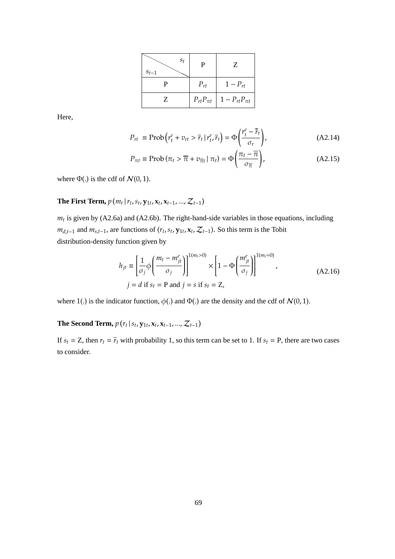| $S_t$<br>$S_{t-1}$ | Р                 | Z                   |
|--------------------|-------------------|---------------------|
| P                  | $P_{rt}$          | $1-P_{rt}$          |
| Ζ                  | $P_{rt}P_{\pi t}$ | $1-P_{rt}P_{\pi t}$ |

Here,

$$
P_{rt} \equiv \text{Prob}\left(r_t^e + v_{rt} > \overline{r}_t \mid r_t^e, \overline{r}_t\right) = \Phi\left(\frac{r_t^e - \overline{r}_t}{\sigma_r}\right),\tag{A2.14}
$$

$$
P_{\pi t} \equiv \text{Prob}\left(\pi_t > \overline{\pi} + v_{\overline{\pi}t} \mid \pi_t\right) = \Phi\left(\frac{\pi_t - \overline{\pi}}{\sigma_{\overline{\pi}}}\right),\tag{A2.15}
$$

where  $\Phi(.)$  is the cdf of  $\mathcal{N}(0, 1)$ .

**The First Term,**  $p(m_t | r_t, s_t, \mathbf{y}_{1t}, \mathbf{x}_t, \mathbf{x}_{t-1}, ..., \mathcal{Z}_{t-1})$ 

 $m_t$  is given by (A2.6a) and (A2.6b). The right-hand-side variables in those equations, including  $m_{d,t-1}$  and  $m_{s,t-1}$ , are functions of  $(r_t, s_t, \mathbf{y}_{1t}, \mathbf{x}_t, \mathcal{Z}_{t-1})$ . So this term is the Tobit distribution-density function given by

$$
h_{jt} \equiv \left[\frac{1}{\sigma_j} \phi \left(\frac{m_t - m_{jt}^e}{\sigma_j}\right)\right]^{1(m_t > 0)} \times \left[1 - \Phi \left(\frac{m_{jt}^e}{\sigma_j}\right)\right]^{1(m_t = 0)},
$$
  
\n
$$
j = d \text{ if } s_t = \text{P and } j = s \text{ if } s_t = \text{Z},
$$
\n(A2.16)

where 1(.) is the indicator function,  $\phi(.)$  and  $\Phi(.)$  are the density and the cdf of  $\mathcal{N}(0, 1)$ .

**The Second Term,**  $p(r_t | s_t, y_{1t}, x_t, x_{t-1}, ..., Z_{t-1})$ 

If  $s_t = Z$ , then  $r_t = \overline{r}_t$  with probability 1, so this term can be set to 1. If  $s_t = P$ , there are two cases to consider.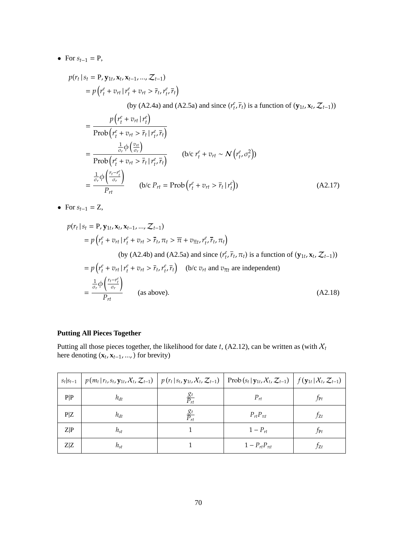• For  $s_{t-1} = P$ ,

$$
p(r_t | s_t = P, \mathbf{y}_{1t}, \mathbf{x}_t, \mathbf{x}_{t-1}, ..., \mathcal{Z}_{t-1})
$$
  
=  $p(r_t^e + v_{rt} | r_t^e + v_{rt} > \overline{r}_t, r_t^e, \overline{r}_t)$   
(by (A2.4a) and (A2.5a) and since  $(r_t^e, \overline{r}_t)$  is a function of  $(\mathbf{y}_{1t}, \mathbf{x}_t, \mathcal{Z}_{t-1})$ )

=  $p(r_t^e + v_{rt} | r_t^e)$ Prob $\left(r_t^e + v_{rt} > \overline{r}_t \mid r_t^e, \overline{r}_t\right)$ =  $\frac{1}{\sigma_r}\phi\left(\frac{v_{rt}}{\sigma_r}\right)$  $\frac{\sigma_{rt}}{\sigma_r}$  $\frac{\sigma_r \tau (\sigma_r)}{\text{Prob}\left(r_t^e + v_{rt} > \overline{r}_t | r_{t'}^e, \overline{r}_t\right)}$  (b/c  $r_t^e + v_{rt} \sim \mathcal{N}\left(r_t^e, \sigma_r^2\right)$ ) =  $\frac{1}{\sigma_r} \phi \left( \frac{r_t - r_t^e}{\sigma_r} \right)$ )  $\frac{P_{rt}}{P_{rt}}$  (b/c  $P_{rt} = \text{Prob}\left(r_t^e + v_{rt} > \bar{r}_t \mid r_t^e\right)$ ) (A2.17)

• For  $s_{t-1} = Z$ ,

$$
p(r_t | s_t = P, \mathbf{y}_{1t}, \mathbf{x}_t, \mathbf{x}_{t-1}, ..., \mathcal{Z}_{t-1})
$$
  
\n
$$
= p(r_t^e + v_{rt} | r_t^e + v_{rt} > \overline{r}_t, \pi_t > \overline{\pi} + v_{\overline{\pi}t}, r_t^e, \overline{r}_t, \pi_t)
$$
  
\n(by (A2.4b) and (A2.5a) and since  $(r_t^e, \overline{r}_t, \pi_t)$  is a function of  $(\mathbf{y}_{1t}, \mathbf{x}_t, \mathcal{Z}_{t-1}))$   
\n
$$
= p(r_t^e + v_{rt} | r_t^e + v_{rt} > \overline{r}_t, r_t^e, \overline{r}_t) \text{ (b/c } v_{rt} \text{ and } v_{\overline{\pi}t} \text{ are independent)}
$$
  
\n
$$
= \frac{\frac{1}{\sigma_r} \phi\left(\frac{r_t - r_t^e}{\sigma_r}\right)}{P_{rt}}
$$
 (as above). (A2.18)

# **Putting All Pieces Together**

Putting all those pieces together, the likelihood for date  $t$ , (A2.12), can be written as (with  $X_t$ here denoting  $(\mathbf{x}_t, \mathbf{x}_{t-1}, \dots)$  for brevity)

| $S_t S_{t-1}$ | $p(m_t   r_t, s_t, \mathbf{y}_{1t}, X_t, \mathcal{Z}_{t-1})   p(r_t   s_t, \mathbf{y}_{1t}, X_t, \mathcal{Z}_{t-1})  $ |                      | $\vert \text{Prob}(s_t   \mathbf{y}_{1t}, \mathcal{X}_t, \mathcal{Z}_{t-1}) \vert f(\mathbf{y}_{1t}   \mathcal{X}_t, \mathcal{Z}_{t-1}) \vert$ |          |
|---------------|------------------------------------------------------------------------------------------------------------------------|----------------------|------------------------------------------------------------------------------------------------------------------------------------------------|----------|
| P P           | $h_{dt}$                                                                                                               |                      | $P_{rt}$                                                                                                                                       | $f_{Pt}$ |
| P/Z           | $h_{dt}$                                                                                                               | $\frac{g_t}{P_{rt}}$ | $P_{rt}P_{\pi t}$                                                                                                                              | $f_{Zt}$ |
| Z P           | $h_{st}$                                                                                                               |                      | $1-P_{rt}$                                                                                                                                     | $f_{Pt}$ |
| $Z\!Z$        | $h_{st}$                                                                                                               |                      | $1 - P_{rt}P_{\pi t}$                                                                                                                          | ŤZt      |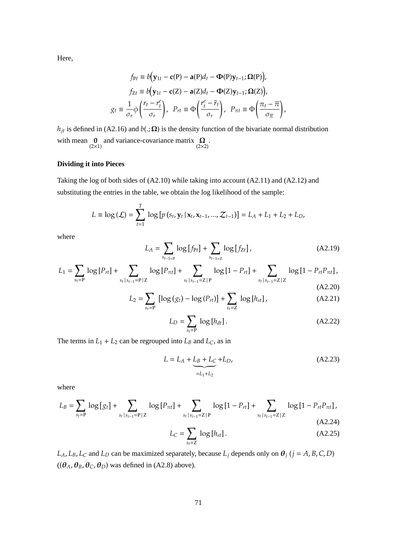Here,

$$
f_{Pt} \equiv b(\mathbf{y}_{1t} - \mathbf{c}(P) - \mathbf{a}(P)d_t - \mathbf{\Phi}(P)\mathbf{y}_{t-1}; \mathbf{\Omega}(P)),
$$
  
\n
$$
f_{Zt} \equiv b(\mathbf{y}_{1t} - \mathbf{c}(Z) - \mathbf{a}(Z)d_t - \mathbf{\Phi}(Z)\mathbf{y}_{t-1}; \mathbf{\Omega}(Z)),
$$
  
\n
$$
g_t \equiv \frac{1}{\sigma_r} \phi\left(\frac{r_t - r_t^e}{\sigma_r}\right), \quad P_{rt} \equiv \Phi\left(\frac{r_t^e - \overline{r}_t}{\sigma_r}\right), \quad P_{\pi t} \equiv \Phi\left(\frac{\pi_t - \overline{\pi}}{\sigma_{\overline{\pi}}}\right),
$$

*h*<sub>jt</sub> is defined in (A2.16) and *b*(.;  $\Omega$ ) is the density function of the bivariate normal distribution with mean  $\mathbf{0}$  and variance-covariance matrix  $\mathbf{\Omega}$ .<br>(2×2)

# **Dividing it into Pieces**

Taking the log of both sides of (A2.10) while taking into account (A2.11) and (A2.12) and substituting the entries in the table, we obtain the log likelihood of the sample:

$$
L \equiv \log (\mathcal{L}) = \sum_{t=1}^{T} \log [p(s_t, \mathbf{y}_t | \mathbf{x}_t, \mathbf{x}_{t-1}, ..., \mathcal{Z}_{t-1})] = L_A + L_1 + L_2 + L_D,
$$

where

$$
L_A = \sum_{s_{t-1=P}} \log [f_{Pt}] + \sum_{s_{t-1=Z}} \log [f_{Zt}], \qquad (A2.19)
$$

$$
L_1 = \sum_{s_t = P} \log [P_{rt}] + \sum_{s_t | s_{t-1} = P | Z} \log [P_{\pi t}] + \sum_{s_t | s_{t-1} = Z | P} \log [1 - P_{rt}] + \sum_{s_t | s_{t-1} = Z | Z} \log [1 - P_{rt} P_{\pi t}],
$$
\n(A2.20)

$$
L_2 = \sum_{s_t = P} \left[ \log (g_t) - \log (P_{rt}) \right] + \sum_{s_t = Z} \log [h_{st}], \tag{A2.21}
$$

$$
L_D = \sum_{s_t = P} \log[h_{dt}].
$$
 (A2.22)

The terms in  $L_1 + L_2$  can be regrouped into  $L_B$  and  $L_C$ , as in

$$
L = L_A + \underbrace{L_B + L_C}_{=L_1 + L_2} + L_D,\tag{A2.23}
$$

where

$$
L_B = \sum_{s_t = P} \log [g_t] + \sum_{s_t | s_{t-1} = P | Z} \log [P_{\pi t}] + \sum_{s_t | s_{t-1} = Z | P} \log [1 - P_{rt}] + \sum_{s_t | s_{t-1} = Z | Z} \log [1 - P_{rt} P_{\pi t}],
$$
\n
$$
L_C = \sum_{s_t = Z} \log [h_{st}].
$$
\n(A2.24)

*L*<sub>*A*</sub>, *L*<sub>*B*</sub>, *L*<sub>*C*</sub> and *L*<sub>*D*</sub> can be maximized separately, because *L*<sub>*j*</sub> depends only on  $\theta$ <sub>*j*</sub> (*j* = *A*, *B*, *C*, *D*)  $((\theta_A, \theta_B, \theta_C, \theta_D)$  was defined in (A2.8) above).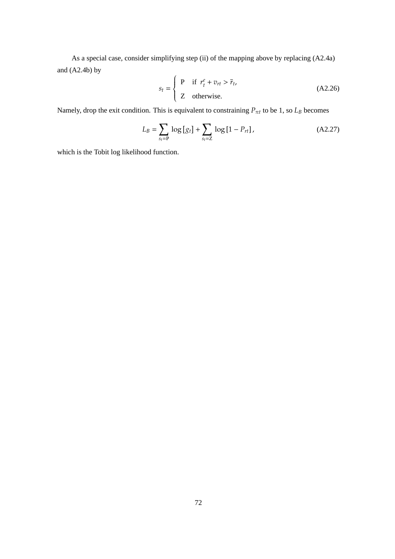As a special case, consider simplifying step (ii) of the mapping above by replacing (A2.4a) and  $(A2.4b)$  by

$$
s_t = \begin{cases} \n\mathbf{P} & \text{if } r_t^e + v_{rt} > \overline{r}_t, \\ \n\mathbf{Z} & \text{otherwise.} \n\end{cases} \tag{A2.26}
$$

Namely, drop the exit condition. This is equivalent to constraining  $P_{\pi t}$  to be 1, so  $L_B$  becomes

$$
L_B = \sum_{s_t = P} \log [g_t] + \sum_{s_t = Z} \log [1 - P_{rt}], \qquad (A2.27)
$$

which is the Tobit log likelihood function.